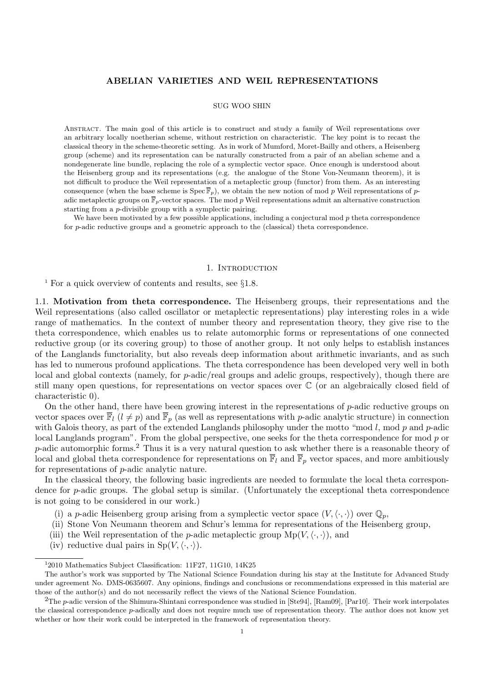# **ABELIAN VARIETIES AND WEIL REPRESENTATIONS**

## SUG WOO SHIN

Abstract. The main goal of this article is to construct and study a family of Weil representations over an arbitrary locally noetherian scheme, without restriction on characteristic. The key point is to recast the classical theory in the scheme-theoretic setting. As in work of Mumford, Moret-Bailly and others, a Heisenberg group (scheme) and its representation can be naturally constructed from a pair of an abelian scheme and a nondegenerate line bundle, replacing the role of a symplectic vector space. Once enough is understood about the Heisenberg group and its representations (e.g. the analogue of the Stone Von-Neumann theorem), it is not difficult to produce the Weil representation of a metaplectic group (functor) from them. As an interesting consequence (when the base scheme is  $Spec \overline{\mathbb{F}}_p$ ), we obtain the new notion of mod *p* Weil representations of *p*adic metaplectic groups on  $\overline{\mathbb{F}}_p$ -vector spaces. The mod p Weil representations admit an alternative construction starting from a *p*-divisible group with a symplectic pairing.

We have been motivated by a few possible applications, including a conjectural mod p theta correspondence for *p*-adic reductive groups and a geometric approach to the (classical) theta correspondence.

### 1. INTRODUCTION

<sup>1</sup> For a quick overview of contents and results, see *§*1.8.

1.1. **Motivation from theta correspondence.** The Heisenberg groups, their representations and the Weil representations (also called oscillator or metaplectic representations) play interesting roles in a wide range of mathematics. In the context of number theory and representation theory, they give rise to the theta correspondence, which enables us to relate automorphic forms or representations of one connected reductive group (or its covering group) to those of another group. It not only helps to establish instances of the Langlands functoriality, but also reveals deep information about arithmetic invariants, and as such has led to numerous profound applications. The theta correspondence has been developed very well in both local and global contexts (namely, for *p*-adic/real groups and adelic groups, respectively), though there are still many open questions, for representations on vector spaces over C (or an algebraically closed field of characteristic 0).

On the other hand, there have been growing interest in the representations of *p*-adic reductive groups on vector spaces over  $\overline{\mathbb{F}}_l$  ( $l \neq p$ ) and  $\overline{\mathbb{F}}_p$  (as well as representations with *p*-adic analytic structure) in connection with Galois theory, as part of the extended Langlands philosophy under the motto "mod *l*, mod *p* and *p*-adic local Langlands program". From the global perspective, one seeks for the theta correspondence for mod *p* or *p*-adic automorphic forms.<sup>2</sup> Thus it is a very natural question to ask whether there is a reasonable theory of local and global theta correspondence for representations on  $\overline{\mathbb{F}}_l$  and  $\overline{\mathbb{F}}_p$  vector spaces, and more ambitiously for representations of *p*-adic analytic nature.

In the classical theory, the following basic ingredients are needed to formulate the local theta correspondence for *p*-adic groups. The global setup is similar. (Unfortunately the exceptional theta correspondence is not going to be considered in our work.)

- (i) a *p*-adic Heisenberg group arising from a symplectic vector space  $(V, \langle \cdot, \cdot \rangle)$  over  $\mathbb{Q}_p$ ,
- (ii) Stone Von Neumann theorem and Schur's lemma for representations of the Heisenberg group,
- (iii) the Weil representation of the *p*-adic metaplectic group  $Mp(V, \langle \cdot, \cdot \rangle)$ , and
- (iv) reductive dual pairs in  $Sp(V, \langle \cdot, \cdot \rangle)$ .

<sup>&</sup>lt;sup>1</sup>2010 Mathematics Subject Classification: 11F27, 11G10, 14K25

The author's work was supported by The National Science Foundation during his stay at the Institute for Advanced Study under agreement No. DMS-0635607. Any opinions, findings and conclusions or recommendations expressed in this material are those of the author(s) and do not necessarily reflect the views of the National Science Foundation.

<sup>&</sup>lt;sup>2</sup>The *p*-adic version of the Shimura-Shintani correspondence was studied in [Ste94], [Ram09], [Par10]. Their work interpolates the classical correspondence *p*-adically and does not require much use of representation theory. The author does not know yet whether or how their work could be interpreted in the framework of representation theory.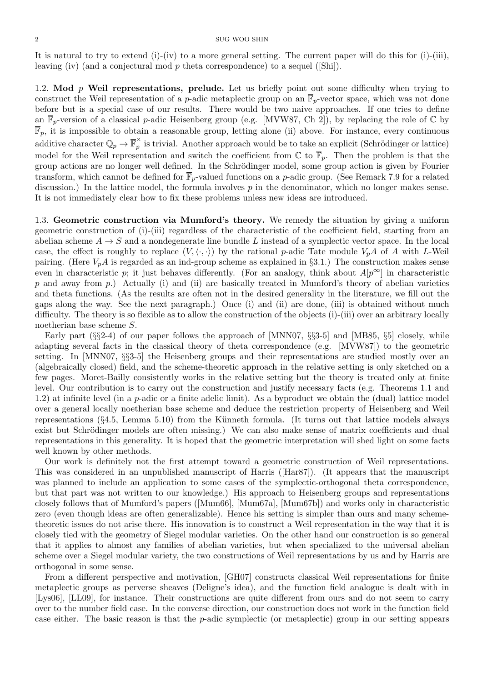It is natural to try to extend (i)-(iv) to a more general setting. The current paper will do this for (i)-(iii), leaving (iv) (and a conjectural mod *p* theta correspondence) to a sequel ([Shi]).

1.2. **Mod** *p* **Weil representations, prelude.** Let us briefly point out some difficulty when trying to construct the Weil representation of a *p*-adic metaplectic group on an  $\overline{\mathbb{F}}_p$ -vector space, which was not done before but is a special case of our results. There would be two naive approaches. If one tries to define an  $\overline{\mathbb{F}}_p$ -version of a classical *p*-adic Heisenberg group (e.g. [MVW87, Ch 2]), by replacing the role of  $\mathbb{C}$  by  $\overline{\mathbb{F}}_p$ , it is impossible to obtain a reasonable group, letting alone (ii) above. For instance, every continuous additive character  $\mathbb{Q}_p \to \overline{\mathbb{F}}_p^{\times}$  $\hat{p}$  is trivial. Another approach would be to take an explicit (Schrödinger or lattice) model for the Weil representation and switch the coefficient from  $\mathbb{C}$  to  $\overline{\mathbb{F}}_p$ . Then the problem is that the group actions are no longer well defined. In the Schrödinger model, some group action is given by Fourier transform, which cannot be defined for  $\overline{\mathbb{F}}_p$ -valued functions on a *p*-adic group. (See Remark 7.9 for a related discussion.) In the lattice model, the formula involves p in the denominator, which no longer makes sense. It is not immediately clear how to fix these problems unless new ideas are introduced.

1.3. **Geometric construction via Mumford's theory.** We remedy the situation by giving a uniform geometric construction of (i)-(iii) regardless of the characteristic of the coefficient field, starting from an abelian scheme  $A \rightarrow S$  and a nondegenerate line bundle L instead of a symplectic vector space. In the local case, the effect is roughly to replace  $(V, \langle \cdot, \cdot \rangle)$  by the rational *p*-adic Tate module  $V_pA$  of *A* with *L*-Weil pairing. (Here *VpA* is regarded as an ind-group scheme as explained in *§*3.1.) The construction makes sense even in characteristic *p*; it just behaves differently. (For an analogy, think about  $A[p^{\infty}]$  in characteristic *p* and away from *p*.) Actually (i) and (ii) are basically treated in Mumford's theory of abelian varieties and theta functions. (As the results are often not in the desired generality in the literature, we fill out the gaps along the way. See the next paragraph.) Once (i) and (ii) are done, (iii) is obtained without much difficulty. The theory is so flexible as to allow the construction of the objects (i)-(iii) over an arbitrary locally noetherian base scheme *S*.

Early part (*§§*2-4) of our paper follows the approach of [MNN07, *§§*3-5] and [MB85, *§*5] closely, while adapting several facts in the classical theory of theta correspondence (e.g. [MVW87]) to the geometric setting. In [MNN07, *§§*3-5] the Heisenberg groups and their representations are studied mostly over an (algebraically closed) field, and the scheme-theoretic approach in the relative setting is only sketched on a few pages. Moret-Bailly consistently works in the relative setting but the theory is treated only at finite level. Our contribution is to carry out the construction and justify necessary facts (e.g. Theorems 1.1 and 1.2) at infinite level (in a *p*-adic or a finite adelic limit). As a byproduct we obtain the (dual) lattice model over a general locally noetherian base scheme and deduce the restriction property of Heisenberg and Weil representations (§4.5, Lemma 5.10) from the Künneth formula. (It turns out that lattice models always exist but Schrödinger models are often missing.) We can also make sense of matrix coefficients and dual representations in this generality. It is hoped that the geometric interpretation will shed light on some facts well known by other methods.

Our work is definitely not the first attempt toward a geometric construction of Weil representations. This was considered in an unpublished manuscript of Harris ([Har87]). (It appears that the manuscript was planned to include an application to some cases of the symplectic-orthogonal theta correspondence, but that part was not written to our knowledge.) His approach to Heisenberg groups and representations closely follows that of Mumford's papers ([Mum66], [Mum67a], [Mum67b]) and works only in characteristic zero (even though ideas are often generalizable). Hence his setting is simpler than ours and many schemetheoretic issues do not arise there. His innovation is to construct a Weil representation in the way that it is closely tied with the geometry of Siegel modular varieties. On the other hand our construction is so general that it applies to almost any families of abelian varieties, but when specialized to the universal abelian scheme over a Siegel modular variety, the two constructions of Weil representations by us and by Harris are orthogonal in some sense.

From a different perspective and motivation, [GH07] constructs classical Weil representations for finite metaplectic groups as perverse sheaves (Deligne's idea), and the function field analogue is dealt with in [Lys06], [LL09], for instance. Their constructions are quite different from ours and do not seem to carry over to the number field case. In the converse direction, our construction does not work in the function field case either. The basic reason is that the *p*-adic symplectic (or metaplectic) group in our setting appears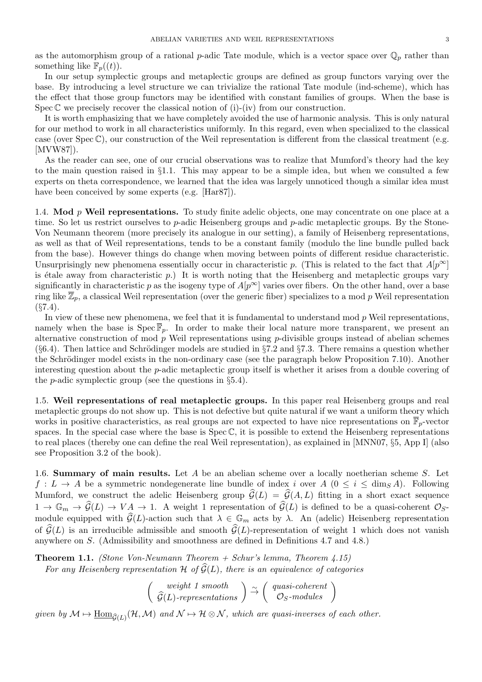as the automorphism group of a rational *p*-adic Tate module, which is a vector space over  $\mathbb{Q}_p$  rather than something like  $\mathbb{F}_p((t))$ .

In our setup symplectic groups and metaplectic groups are defined as group functors varying over the base. By introducing a level structure we can trivialize the rational Tate module (ind-scheme), which has the effect that those group functors may be identified with constant families of groups. When the base is Spec  $\mathbb C$  we precisely recover the classical notion of (i)-(iv) from our construction.

It is worth emphasizing that we have completely avoided the use of harmonic analysis. This is only natural for our method to work in all characteristics uniformly. In this regard, even when specialized to the classical case (over Spec C), our construction of the Weil representation is different from the classical treatment (e.g. [MVW87]).

As the reader can see, one of our crucial observations was to realize that Mumford's theory had the key to the main question raised in *§*1.1. This may appear to be a simple idea, but when we consulted a few experts on theta correspondence, we learned that the idea was largely unnoticed though a similar idea must have been conceived by some experts (e.g. [Har87]).

1.4. **Mod** *p* **Weil representations.** To study finite adelic objects, one may concentrate on one place at a time. So let us restrict ourselves to *p*-adic Heisenberg groups and *p*-adic metaplectic groups. By the Stone-Von Neumann theorem (more precisely its analogue in our setting), a family of Heisenberg representations, as well as that of Weil representations, tends to be a constant family (modulo the line bundle pulled back from the base). However things do change when moving between points of different residue characteristic. Unsurprisingly new phenomena essentially occur in characteristic *p*. (This is related to the fact that  $A[p^{\infty}]$ is étale away from characteristic  $p$ .) It is worth noting that the Heisenberg and metaplectic groups vary significantly in characteristic *p* as the isogeny type of  $A[p^{\infty}]$  varies over fibers. On the other hand, over a base ring like  $\overline{Z}_p$ , a classical Weil representation (over the generic fiber) specializes to a mod p Weil representation (*§*7.4).

In view of these new phenomena, we feel that it is fundamental to understand mod *p* Weil representations, namely when the base is  $\text{Spec } \overline{\mathbb{F}}_p$ . In order to make their local nature more transparent, we present an alternative construction of mod *p* Weil representations using *p*-divisible groups instead of abelian schemes (§6.4). Then lattice and Schrödinger models are studied in §7.2 and §7.3. There remains a question whether the Schrödinger model exists in the non-ordinary case (see the paragraph below Proposition 7.10). Another interesting question about the *p*-adic metaplectic group itself is whether it arises from a double covering of the *p*-adic symplectic group (see the questions in *§*5.4).

1.5. **Weil representations of real metaplectic groups.** In this paper real Heisenberg groups and real metaplectic groups do not show up. This is not defective but quite natural if we want a uniform theory which works in positive characteristics, as real groups are not expected to have nice representations on  $\overline{\mathbb{F}}_p$ -vector spaces. In the special case where the base is  $Spec \mathbb{C}$ , it is possible to extend the Heisenberg representations to real places (thereby one can define the real Weil representation), as explained in [MNN07, *§*5, App I] (also see Proposition 3.2 of the book).

1.6. **Summary of main results.** Let *A* be an abelian scheme over a locally noetherian scheme *S*. Let *f* :  $L \rightarrow A$  be a symmetric nondegenerate line bundle of index *i* over  $A$  ( $0 \le i \le \dim_S A$ ). Following Mumford, we construct the adelic Heisenberg group  $\widehat{\mathcal{G}}(L) = \widehat{\mathcal{G}}(A, L)$  fitting in a short exact sequence 1.6. **Summary of main results.** Let *A* be an abelian scheme over a locally noetherian scheme *S*. Let  $f: L \to A$  be a symmetric nondegenerate line bundle of index *i* over  $A$  ( $0 \le i \le \dim_S A$ ). Following Mumford, we construc *f* : *L* → *A* be a symmetric nondegenerate line bundle of index *i* over *A* (0 ≤ *i* ≤ dim<sub>*S*</sub>*A*). Following Mumford, we construct the adelic Heisenberg group  $\hat{G}(L) = \hat{G}(A, L)$  fitting in a short exact sequence Mumford, we construct the adelic Heisenberg group  $\hat{G}(L) = \hat{G}(A, L)$  fitting in a short exact sequence  $1 \rightarrow \mathbb{G}_m \rightarrow \hat{G}(L) \rightarrow VA \rightarrow 1$ . A weight 1 representation of  $\hat{G}(L)$  is defined to be a quasi-coherent  $\mathcal{O}_S$ -<br>mod anywhere on *S*. (Admissibility and smoothness are defined in Definitions 4.7 and 4.8.) *of*  $\hat{G}(L)$  is an irreducible admissible and smooth  $\hat{G}(L)$ -representation of weight 1 which does not vanish anywhere on *S*. (Admissibility and smoothness are defined in Definitions 4.7 and 4.8.)<br>**Theorem 1.1.** *(St* 

**Theorem 1.1.** *(Stone Von-Neumann Theorem + Schur's lemma, Theorem 4.15)*  $\begin{array}{l} \text{Definitions 4.7 a} \ \textit{ma, Theorem 4.1} \ \textit{quivalence of cat} \ \textit{uasi-coherent} \ \textit{O}_S\textit{-modules} \end{array}$ 

 *weight 1 smooth* and smoothness are defined in Definitions 4.<br> *Lumann Theorem* + *Schur's lemma, Theorem*<br> *ation H* of  $\widehat{G}(L)$ , there is an equivalence of<br> *weight* 1 smooth<br>  $\widehat{G}(L)$ -representations  $\Big)$   $\stackrel{\sim}{\rightarrow}$   $\Big($  quasi

 $given\; by\; \mathcal{M}\mapsto \underline{\mathrm{Hom}}_{\widehat{\mathcal{G}}(L)}(\mathcal{H},\mathcal{M})\; \textit{and}\; \mathcal{N}\mapsto \mathcal{H}\otimes \mathcal{N}, \textit{which are quasi-inverses of each other.}$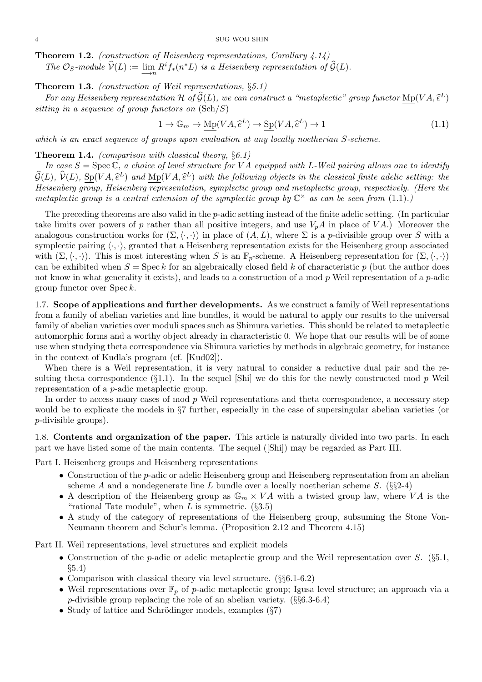**Theorem 1.2.** *(construction of Heisenberg representations, Corollary 4.14)* **The**  $O_S$ -module  $\hat{V}(L) := \lim_{n \to \infty} R^i f_*(n^*L)$  *is a Heisenberg representation of*  $\hat{G}(L)$ *.* 

**Theorem 1.3.** *(construction of Weil representations,* §5.1)<br> *For any Heisenberg representation*  $H$  *of*  $\hat{G}(L)$ *, we can cons*<br> *sitting in a sequence of group functors on*  $(\text{Sch}/S)$ <br>  $1 \rightarrow \mathbb{G}_m \rightarrow \text{Mp}(VA, \hat{e}^L) \rightarrow \$ **For any 1.2.** (construction of Heisenberg representations, Corollary 4.14)<br> *The*  $\mathcal{O}_S$ -module  $\widehat{\mathcal{V}}(L) := \lim_{\epsilon \to 0} R^i f_*(n^*L)$  is a Heisenberg representation of  $\widehat{\mathcal{G}}(L)$ .<br> **Roord 1.3.** (construction of Wei *L*) *sitting in a sequence of group functors on* (Sch*/S*)  $\frac{\S 5.1}{\text{construct a}}$ <br>  $\rightarrow$   $\text{Sp}(VA, \hat{e})$ 

$$
1 \to \mathbb{G}_m \to \mathrm{Mp}(VA, \hat{e}^L) \to \mathrm{Sp}(VA, \hat{e}^L) \to 1 \tag{1.1}
$$

*which is an exact sequence of groups upon evaluation at any locally noetherian S-scheme.*

**Theorem 1.4.** *(comparison with classical theory, §6.1)*

*In case S* = Spec C*, a choice of level structure for V A equipped with L-Weil pairing allows one to identify which is an exact sequence of groups upon evaluation at any locally noetherian S-scheme.*<br> **Theorem 1.4.** *(comparison with classical theory,* §6.1)<br> *In case*  $S = \text{Spec } \mathbb{C}$ , *a choice of level structure for*  $VA$  *equi Lead of groups up*<br> *L*) *and a doice of level*<br> *L*) *and*  $Mp(VA, \hat{e})$ *Heisenberg group, Heisenberg representation, symplectic group and metaplectic group, respectively. (Here the metaplectic group is a central extension of the symplectic group by*  $\mathbb{C}^\times$  *as can be seen from*  $(1.1)$ *.*)

The preceding theorems are also valid in the *p*-adic setting instead of the finite adelic setting. (In particular take limits over powers of  $p$  rather than all positive integers, and use  $V_pA$  in place of  $VA$ .) Moreover the analogous construction works for  $(\Sigma, \langle \cdot, \cdot \rangle)$  in place of  $(A, L)$ , where  $\Sigma$  is a *p*-divisible group over *S* with a symplectic pairing  $\langle \cdot, \cdot \rangle$ , granted that a Heisenberg representation exists for the Heisenberg group associated with  $(\Sigma, \langle \cdot, \cdot \rangle)$ . This is most interesting when *S* is an  $\mathbb{F}_p$ -scheme. A Heisenberg representation for  $(\Sigma, \langle \cdot, \cdot \rangle)$ can be exhibited when  $S = \text{Spec } k$  for an algebraically closed field k of characteristic p (but the author does not know in what generality it exists), and leads to a construction of a mod *p* Weil representation of a *p*-adic group functor over Spec *k*.

1.7. **Scope of applications and further developments.** As we construct a family of Weil representations from a family of abelian varieties and line bundles, it would be natural to apply our results to the universal family of abelian varieties over moduli spaces such as Shimura varieties. This should be related to metaplectic automorphic forms and a worthy object already in characteristic 0. We hope that our results will be of some use when studying theta correspondence via Shimura varieties by methods in algebraic geometry, for instance in the context of Kudla's program (cf. [Kud02]).

When there is a Weil representation, it is very natural to consider a reductive dual pair and the resulting theta correspondence (*§*1.1). In the sequel [Shi] we do this for the newly constructed mod *p* Weil representation of a *p*-adic metaplectic group.

In order to access many cases of mod *p* Weil representations and theta correspondence, a necessary step would be to explicate the models in *§*7 further, especially in the case of supersingular abelian varieties (or *p*-divisible groups).

1.8. **Contents and organization of the paper.** This article is naturally divided into two parts. In each part we have listed some of the main contents. The sequel ([Shi]) may be regarded as Part III.

Part I. Heisenberg groups and Heisenberg representations

- Construction of the *p*-adic or adelic Heisenberg group and Heisenberg representation from an abelian scheme *A* and a nondegenerate line *L* bundle over a locally noetherian scheme *S*. (*§§*2-4)
- A description of the Heisenberg group as  $\mathbb{G}_m \times VA$  with a twisted group law, where *VA* is the "rational Tate module", when *L* is symmetric. (*§*3.5)
- A study of the category of representations of the Heisenberg group, subsuming the Stone Von-Neumann theorem and Schur's lemma. (Proposition 2.12 and Theorem 4.15)

Part II. Weil representations, level structures and explicit models

- *•* Construction of the *p*-adic or adelic metaplectic group and the Weil representation over *S*. (*§*5.1, *§*5.4)
- *•* Comparison with classical theory via level structure. (*§§*6.1-6.2)
- Weil representations over  $\overline{\mathbb{F}}_p$  of *p*-adic metaplectic group; Igusa level structure; an approach via a *p*-divisible group replacing the role of an abelian variety. (*§§*6.3-6.4)
- Study of lattice and Schrödinger models, examples ( $\S7$ )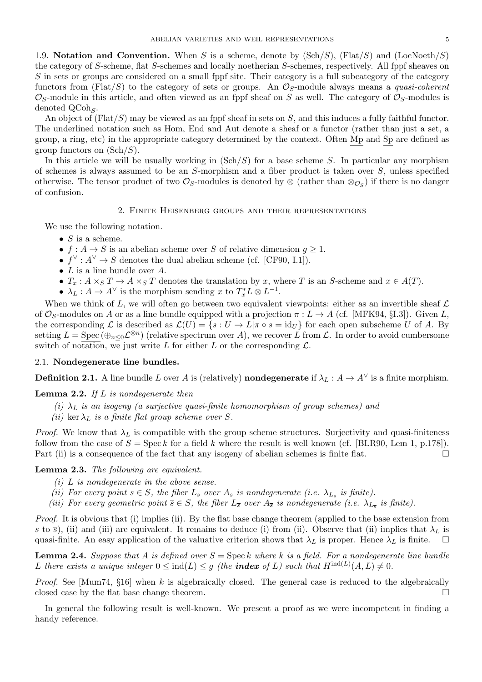1.9. **Notation and Convention.** When *S* is a scheme, denote by (Sch*/S*), (Flat*/S*) and (LocNoeth*/S*) the category of *S*-scheme, flat *S*-schemes and locally noetherian *S*-schemes, respectively. All fppf sheaves on *S* in sets or groups are considered on a small fppf site. Their category is a full subcategory of the category functors from (Flat*/S*) to the category of sets or groups. An *OS*-module always means a *quasi-coherent*  $\mathcal{O}_S$ -module in this article, and often viewed as an fppf sheaf on *S* as well. The category of  $\mathcal{O}_S$ -modules is denoted QCoh*<sup>S</sup>* .

An object of (Flat*/S*) may be viewed as an fppf sheaf in sets on *S*, and this induces a fully faithful functor. The underlined notation such as <u>Hom, End</u> and Aut denote a sheaf or a functor (rather than just a set, a group, a ring, etc) in the appropriate category determined by the context. Often Mp and Sp are defined as group functors on (Sch*/S*).

In this article we will be usually working in (Sch*/S*) for a base scheme *S*. In particular any morphism of schemes is always assumed to be an *S*-morphism and a fiber product is taken over *S*, unless specified otherwise. The tensor product of two  $\mathcal{O}_S$ -modules is denoted by  $\otimes$  (rather than  $\otimes_{\mathcal{O}_S}$ ) if there is no danger of confusion.

## 2. Finite Heisenberg groups and their representations

We use the following notation.

- *• S* is a scheme.
- $f: A \to S$  is an abelian scheme over *S* of relative dimension  $g \geq 1$ .
- $f^{\vee}: A^{\vee} \to S$  denotes the dual abelian scheme (cf. [CF90, I.1]).
- *• L* is a line bundle over *A*.
- $T_x: A \times_S T \to A \times_S T$  denotes the translation by *x*, where *T* is an *S*-scheme and  $x \in A(T)$ .
- $\lambda_L : A \to A^{\vee}$  is the morphism sending *x* to  $T_x^* L \otimes L^{-1}$ .

When we think of L, we will often go between two equivalent viewpoints: either as an invertible sheaf  $\mathcal L$ of  $\mathcal{O}_S$ -modules on *A* or as a line bundle equipped with a projection  $\pi : L \to A$  (cf. [MFK94, §I.3]). Given *L*, the corresponding  $\mathcal L$  is described as  $\mathcal L(U) = \{s : U \to L | \pi \circ s = \text{id}_U \}$  for each open subscheme *U* of *A*. By setting  $L = \text{Spec}(\bigoplus_{n \leq 0} \mathcal{L}^{\otimes n})$  (relative spectrum over *A*), we recover *L* from *L*. In order to avoid cumbersome switch of notation, we just write  $L$  for either  $L$  or the corresponding  $\mathcal{L}$ .

## 2.1. **Nondegenerate line bundles.**

**Definition 2.1.** A line bundle *L* over *A* is (relatively) **nondegenerate** if  $\lambda_L : A \to A^{\vee}$  is a finite morphism.

**Lemma 2.2.** *If L is nondegenerate then*

- *(i)*  $\lambda_L$  *is an isogeny (a surjective quasi-finite homomorphism of group schemes) and*
- *(ii)* ker  $\lambda_L$  *is a finite flat group scheme over S.*

*Proof.* We know that  $\lambda_L$  is compatible with the group scheme structures. Surjectivity and quasi-finiteness follow from the case of  $S = \text{Spec } k$  for a field  $k$  where the result is well known (cf. [BLR90, Lem 1, p.178]). Part (ii) is a consequence of the fact that any isogeny of abelian schemes is finite flat.  $\square$ 

# **Lemma 2.3.** *The following are equivalent.*

- *(i) L is nondegenerate in the above sense.*
- *(ii)* For every point  $s \in S$ , the fiber  $L_s$  over  $A_s$  is nondegenerate (i.e.  $\lambda_{L_s}$  is finite).
- *(iii)* For every geometric point  $\overline{s} \in S$ , the fiber  $L_{\overline{s}}$  over  $A_{\overline{s}}$  is nondegenerate (i.e.  $\lambda_{L_{\overline{s}}}$  is finite).

*Proof.* It is obvious that (i) implies (ii). By the flat base change theorem (applied to the base extension from *s* to  $\bar{s}$ ), (ii) and (iii) are equivalent. It remains to deduce (i) from (ii). Observe that (ii) implies that  $\lambda_L$  is quasi-finite. An easy application of the valuative criterion shows that  $\lambda_L$  is proper. Hence  $\lambda_L$  is finite.  $\square$ 

**Lemma 2.4.** *Suppose that A is defined over*  $S = \text{Spec } k$  *where*  $k$  *is a field. For a nondegenerate line bundle L* there exists a unique integer  $0 \leq \text{ind}(L) \leq g$  (the **index** of *L*) such that  $H^{\text{ind}(L)}(A, L) \neq 0$ .

*Proof.* See [Mum74, *§*16] when *k* is algebraically closed. The general case is reduced to the algebraically closed case by the flat base change theorem.

In general the following result is well-known. We present a proof as we were incompetent in finding a handy reference.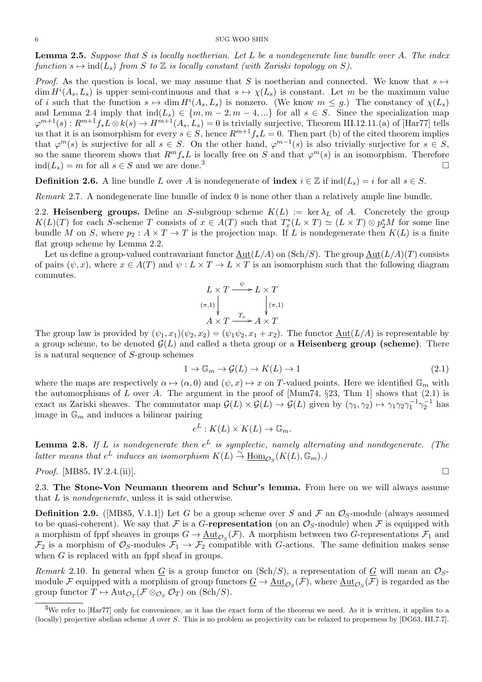**Lemma 2.5.** *Suppose that S is locally noetherian. Let L be a nondegenerate line bundle over A. The index function*  $s \mapsto \text{ind}(L_s)$  *from*  $S$  *to*  $\mathbb Z$  *is locally constant (with Zariski topology on*  $S$ ).

*Proof.* As the question is local, we may assume that *S* is noetherian and connected. We know that  $s \mapsto$  $\dim H^{i}(A_s, L_s)$  is upper semi-continuous and that  $s \mapsto \chi(L_s)$  is constant. Let *m* be the maximum value of *i* such that the function  $s \mapsto \dim H^i(A_s, L_s)$  is nonzero. (We know  $m \leq g$ .) The constancy of  $\chi(L_s)$ and Lemma 2.4 imply that  $\text{ind}(L_s) \in \{m, m-2, m-4, ...\}$  for all  $s \in S$ . Since the specialization map  $\varphi^{m+1}(s): R^{m+1}f_*L \otimes k(s) \to H^{m+1}(A_s, L_s) = 0$  is trivially surjective, Theorem III.12.11.(a) of [Har77] tells us that it is an isomorphism for every  $s \in S$ , hence  $R^{m+1}f_*L = 0$ . Then part (b) of the cited theorem implies that  $\varphi^{m}(s)$  is surjective for all  $s \in S$ . On the other hand,  $\varphi^{m-1}(s)$  is also trivially surjective for  $s \in S$ , so the same theorem shows that  $R^m f_* L$  is locally free on *S* and that  $\varphi^m(s)$  is an isomorphism. Therefore ind( $L$ <sup>*s*</sup>) = *m* for all *s* ∈ *S* and we are done.<sup>3</sup> □

**Definition 2.6.** A line bundle *L* over *A* is nondegenerate of **index**  $i \in \mathbb{Z}$  if  $\text{ind}(L_s) = i$  for all  $s \in S$ .

*Remark* 2.7*.* A nondegenerate line bundle of index 0 is none other than a relatively ample line bundle.

2.2. **Heisenberg groups.** Define an *S*-subgroup scheme  $K(L) := \ker \lambda_L$  of *A*. Concretely the group  $K(L)(T)$  for each S-scheme T consists of  $x \in A(T)$  such that  $T_x^*(L \times T) \simeq (L \times T) \otimes p_2^*M$  for some line bundle *M* on *S*, where  $p_2: A \times T \to T$  is the projection map. If *L* is nondegenerate then  $K(L)$  is a finite flat group scheme by Lemma 2.2.

Let us define a group-valued contravariant functor  $Aut(L/A)$  on  $(Sch/S)$ . The group  $Aut(L/A)(T)$  consists of pairs  $(\psi, x)$ , where  $x \in A(T)$  and  $\psi: L \times T \to L \times T$  is an isomorphism such that the following diagram commutes.

$$
L \times T \xrightarrow{\psi} L \times T
$$
  
\n
$$
(\pi,1)
$$
  
\n
$$
A \times T \xrightarrow{T_x} A \times T
$$
  
\n
$$
T
$$

The group law is provided by  $(\psi_1, x_1)(\psi_2, x_2) = (\psi_1 \psi_2, x_1 + x_2)$ . The functor Aut(*L/A*) is representable by a group scheme, to be denoted  $\mathcal{G}(L)$  and called a theta group or a **Heisenberg group (scheme)**. There is a natural sequence of *S*-group schemes

$$
1 \to \mathbb{G}_m \to \mathcal{G}(L) \to K(L) \to 1 \tag{2.1}
$$

where the maps are respectively  $\alpha \mapsto (\alpha, 0)$  and  $(\psi, x) \mapsto x$  on *T*-valued points. Here we identified  $\mathbb{G}_m$  with the automorphisms of *L* over *A*. The argument in the proof of [Mum74, *§*23, Thm 1] shows that (2.1) is exact as Zariski sheaves. The commutator map  $\mathcal{G}(L) \times \mathcal{G}(L) \to \mathcal{G}(L)$  given by  $(\gamma_1, \gamma_2) \mapsto \gamma_1 \gamma_2 \gamma_1^{-1} \gamma_2^{-1}$  has image in G*<sup>m</sup>* and induces a bilinear pairing

$$
e^L: K(L) \times K(L) \to \mathbb{G}_m.
$$

**Lemma 2.8.** *If L is nondegenerate then e <sup>L</sup> is symplectic, namely alternating and nondegenerate. (The latter means that*  $e^L$  *induces an isomorphism*  $K(L) \stackrel{\sim}{\to} \underline{\text{Hom}}_{\mathcal{O}_S}(K(L), \mathbb{G}_m)$ *.*)

*Proof.* [MB85, IV.2.4.(ii)].

2.3. **The Stone-Von Neumann theorem and Schur's lemma.** From here on we will always assume that *L* is *nondegenerate*, unless it is said otherwise.

**Definition 2.9.** ([MB85, V.1.1]) Let *G* be a group scheme over *S* and *F* an  $\mathcal{O}_S$ -module (always assumed to be quasi-coherent). We say that  $\mathcal F$  is a *G*-**representation** (on an  $\mathcal O_S$ -module) when  $\mathcal F$  is equipped with a morphism of fppf sheaves in groups  $G \to \underline{\text{Aut}}_{\mathcal{O}_S}(\mathcal{F})$ . A morphism between two *G*-representations  $\mathcal{F}_1$  and  $\mathcal{F}_2$  is a morphism of  $\mathcal{O}_S$ -modules  $\mathcal{F}_1 \to \mathcal{F}_2$  compatible with *G*-actions. The same definition makes sense when *G* is replaced with an fppf sheaf in groups.

*Remark* 2.10. In general when  $G$  is a group functor on (Sch/S), a representation of  $G$  will mean an  $\mathcal{O}_S$ module  $\mathcal F$  equipped with a morphism of group functors  $\underline{G}\to \underline{\rm Aut}_{\mathcal O_S}(\mathcal F),$  where  $\underline{\rm Aut}_{\mathcal O_S}(\mathcal F)$  is regarded as the group functor  $T \mapsto \text{Aut}_{\mathcal{O}_T}(\mathcal{F} \otimes_{\mathcal{O}_S} \mathcal{O}_T)$  on  $(\text{Sch}/S)$ .

 $3$ We refer to [Har77] only for convenience, as it has the exact form of the theorem we need. As it is written, it applies to a (locally) projective abelian scheme *A* over *S*. This is no problem as projectivity can be relaxed to properness by [DG63, III.7.7].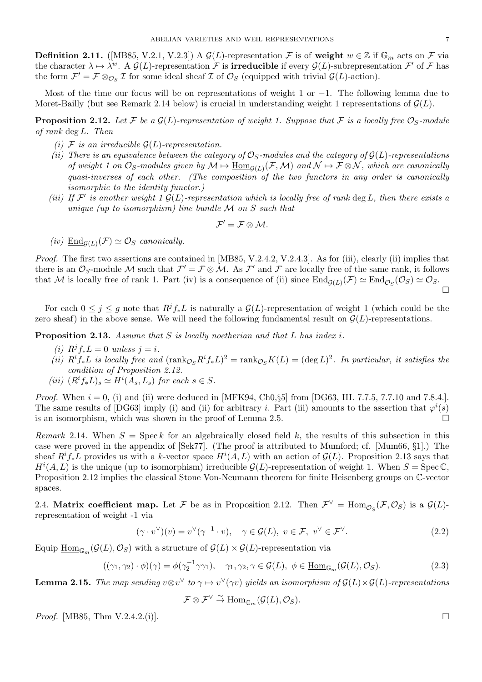**Definition 2.11.** ([MB85, V.2.1, V.2.3]) A  $\mathcal{G}(L)$ -representation  $\mathcal{F}$  is of weight  $w \in \mathbb{Z}$  if  $\mathbb{G}_m$  acts on  $\mathcal{F}$  via the character  $\lambda \mapsto \lambda^w$ . A  $\mathcal{G}(L)$ -representation  $\mathcal F$  is **irreducible** if every  $\mathcal{G}(L)$ -subrepresentation  $\mathcal F'$  of  $\mathcal F$  has the form  $\mathcal{F}' = \mathcal{F} \otimes_{\mathcal{O}_S} \mathcal{I}$  for some ideal sheaf  $\mathcal{I}$  of  $\mathcal{O}_S$  (equipped with trivial  $\mathcal{G}(L)$ -action).

Most of the time our focus will be on representations of weight 1 or *−*1. The following lemma due to Moret-Bailly (but see Remark 2.14 below) is crucial in understanding weight 1 representations of  $\mathcal{G}(L)$ .

**Proposition 2.12.** Let F be a  $\mathcal{G}(L)$ -representation of weight 1. Suppose that F is a locally free  $\mathcal{O}_S$ -module *of rank* deg *L. Then*

- *(i)*  $\mathcal F$  *is an irreducible*  $\mathcal G(L)$ *-representation.*
- *(ii)* There is an equivalence between the category of  $\mathcal{O}_S$ -modules and the category of  $\mathcal{G}(L)$ -representations *of weight 1 on*  $\mathcal{O}_S$ -modules given by  $\mathcal{M} \mapsto \underline{\text{Hom}}_{\mathcal{G}(L)}(\mathcal{F},\mathcal{M})$  and  $\mathcal{N} \mapsto \mathcal{F} \otimes \mathcal{N}$ , which are canonically *quasi-inverses of each other. (The composition of the two functors in any order is canonically isomorphic to the identity functor.)*
- *(iii)* If  $\mathcal{F}'$  is another weight 1  $\mathcal{G}(L)$ -representation which is locally free of rank deg *L*, then there exists a *unique (up to isomorphism) line bundle M on S such that*

$$
\mathcal{F}'=\mathcal{F}\otimes\mathcal{M}.
$$

 $(iv)$   $\underline{\text{End}}_{\mathcal{G}(L)}(\mathcal{F}) \simeq \mathcal{O}_S$  *canonically.* 

*Proof.* The first two assertions are contained in [MB85, V.2.4.2, V.2.4.3]. As for (iii), clearly (ii) implies that there is an  $\mathcal{O}_S$ -module M such that  $\mathcal{F}' = \mathcal{F} \otimes \mathcal{M}$ . As  $\mathcal{F}'$  and  $\mathcal{F}$  are locally free of the same rank, it follows that *M* is locally free of rank 1. Part (iv) is a consequence of (ii) since  $\underline{End}_{\mathcal{G}(L)}(\mathcal{F}) \simeq \underline{End}_{\mathcal{O}_S}(\mathcal{O}_S) \simeq \mathcal{O}_S$ .

For each  $0 \leq j \leq g$  note that  $R^j f_* L$  is naturally a  $\mathcal{G}(L)$ -representation of weight 1 (which could be the zero sheaf) in the above sense. We will need the following fundamental result on  $\mathcal{G}(L)$ -representations.

**Proposition 2.13.** *Assume that S is locally noetherian and that L has index i.*

- $(i)$   $R^{j} f_{*} L = 0$  *unless*  $j = i$ .
- (ii)  $R^i f_* L$  is locally free and  $(\text{rank}_{\mathcal{O}_S} R^i f_* L)^2 = \text{rank}_{\mathcal{O}_S} K(L) = (\text{deg } L)^2$ . In particular, it satisfies the *condition of Proposition 2.12.*
- $(iii)$   $(R<sup>i</sup>f<sub>*</sub>L)<sub>s</sub> \simeq H<sup>i</sup>(A<sub>s</sub>, L<sub>s</sub>)$  *for each*  $s \in S$ *.*

*Proof.* When  $i = 0$ , (i) and (ii) were deduced in [MFK94, Ch0, $\S5$ ] from [DG63, III. 7.7.5, 7.7.10 and 7.8.4.]. The same results of [DG63] imply (i) and (ii) for arbitrary *i*. Part (iii) amounts to the assertion that  $\varphi^{i}(s)$ is an isomorphism, which was shown in the proof of Lemma 2.5.

*Remark* 2.14. When  $S = \text{Spec } k$  for an algebraically closed field k, the results of this subsection in this case were proved in the appendix of [Sek77]. (The proof is attributed to Mumford; cf. [Mum66, *§*1].) The sheaf  $R^if_*L$  provides us with a *k*-vector space  $H^i(A, L)$  with an action of  $\mathcal{G}(L)$ . Proposition 2.13 says that  $H^{i}(A, L)$  is the unique (up to isomorphism) irreducible  $G(L)$ -representation of weight 1. When  $S = \text{Spec } \mathbb{C}$ , Proposition 2.12 implies the classical Stone Von-Neumann theorem for finite Heisenberg groups on C-vector spaces.

2.4. **Matrix coefficient map.** Let *F* be as in Proposition 2.12. Then  $\mathcal{F}^{\vee} = \underline{\text{Hom}}_{\mathcal{O}_S}(\mathcal{F}, \mathcal{O}_S)$  is a  $\mathcal{G}(L)$ representation of weight -1 via

$$
(\gamma \cdot v^{\vee})(v) = v^{\vee}(\gamma^{-1} \cdot v), \quad \gamma \in \mathcal{G}(L), \ v \in \mathcal{F}, \ v^{\vee} \in \mathcal{F}^{\vee}.
$$
 (2.2)

Equip  $\underline{\mathrm{Hom}}_{\mathbb{G}_m}(\mathcal{G}(L), \mathcal{O}_S)$  with a structure of  $\mathcal{G}(L) \times \mathcal{G}(L)$ -representation via

$$
((\gamma_1, \gamma_2) \cdot \phi)(\gamma) = \phi(\gamma_2^{-1} \gamma \gamma_1), \quad \gamma_1, \gamma_2, \gamma \in \mathcal{G}(L), \ \phi \in \underline{\text{Hom}}_{\mathbb{G}_m}(\mathcal{G}(L), \mathcal{O}_S). \tag{2.3}
$$

**Lemma 2.15.** The map sending  $v \otimes v^{\vee}$  to  $\gamma \mapsto v^{\vee}(\gamma v)$  yields an isomorphism of  $\mathcal{G}(L) \times \mathcal{G}(L)$ -representations

 $\mathcal{F} \otimes \mathcal{F}^{\vee} \overset{\sim}{\to} \underline{\text{Hom}}_{\mathbb{G}_m}(\mathcal{G}(L), \mathcal{O}_S).$ 

*Proof.* [MB85, Thm V.2.4.2.(i)]. □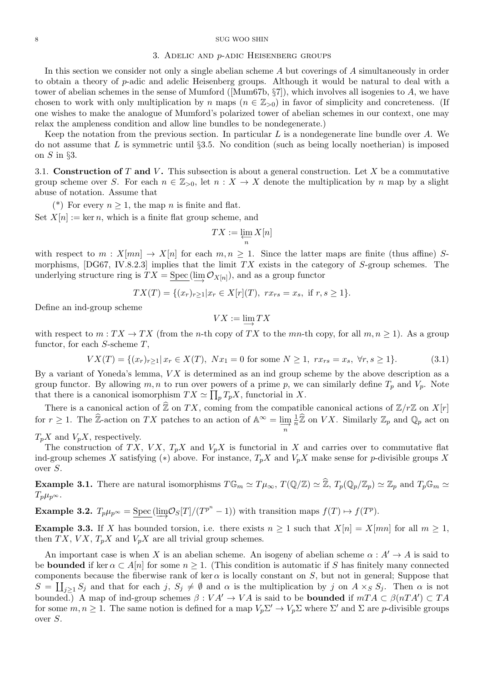#### 3. Adelic and *p*-adic Heisenberg groups

In this section we consider not only a single abelian scheme *A* but coverings of *A* simultaneously in order to obtain a theory of *p*-adic and adelic Heisenberg groups. Although it would be natural to deal with a tower of abelian schemes in the sense of Mumford ([Mum67b, *§*7]), which involves all isogenies to *A*, we have chosen to work with only multiplication by *n* maps  $(n \in \mathbb{Z}_{>0})$  in favor of simplicity and concreteness. (If one wishes to make the analogue of Mumford's polarized tower of abelian schemes in our context, one may relax the ampleness condition and allow line bundles to be nondegenerate.)

Keep the notation from the previous section. In particular *L* is a nondegenerate line bundle over *A*. We do not assume that *L* is symmetric until *§*3.5. No condition (such as being locally noetherian) is imposed on *S* in *§*3.

3.1. **Construction of** *T* **and** *V* **.** This subsection is about a general construction. Let *X* be a commutative group scheme over *S*. For each  $n \in \mathbb{Z}_{>0}$ , let  $n : X \to X$  denote the multiplication by *n* map by a slight abuse of notation. Assume that

(\*) For every  $n \geq 1$ , the map *n* is finite and flat.

Set  $X[n] := \ker n$ , which is a finite flat group scheme, and

$$
TX := \varprojlim_n X[n]
$$

with respect to  $m: X[mn] \to X[n]$  for each  $m, n \geq 1$ . Since the latter maps are finite (thus affine) *S*morphisms, [DG67, IV.8.2.3] implies that the limit *T X* exists in the category of *S*-group schemes. The underlying structure ring is  $TX = \text{Spec}(\varinjlim \mathcal{O}_{X[n]}),$  and as a group functor

$$
TX(T) = \{(x_r)_{r \geq 1} | x_r \in X[r](T), \ rx_{rs} = x_s, \text{ if } r, s \geq 1 \}.
$$

Define an ind-group scheme

$$
VX:=\varinjlim TX
$$

with respect to  $m: TX \to TX$  (from the *n*-th copy of *TX* to the *mn*-th copy, for all  $m, n \ge 1$ ). As a group functor, for each *S*-scheme *T*,

$$
VX(T) = \{(x_r)_{r \ge 1} | x_r \in X(T), \ Nx_1 = 0 \text{ for some } N \ge 1, \ rx_{rs} = x_s, \ \forall r, s \ge 1\}.
$$
 (3.1)

By a variant of Yoneda's lemma, *V X* is determined as an ind group scheme by the above description as a group functor. By allowing  $m, n$  to run over powers of a prime  $p$ , we can similarly define  $T_p$  and  $V_p$ . Note that there is a canonical isomorphism  $TX \simeq \prod_p T_p X$ , functorial in X. There is a canonical action of  $\hat{\mathbb{Z}}$  on *TX*, coming from the compatible canonical actions of  $\mathbb{Z}/r\mathbb{Z}$  on  $X[r]$ <br>There is a canonical isomorphism  $TX \simeq \prod_p T_p X$ , functorial in X.<br>There is a canonical action of  $Z_p$  scheme by the above description as a<br>e can similarly define  $T_p$  and  $V_p$ . Note<br> $X$ .<br>ible canonical actions of  $\mathbb{Z}/r\mathbb{Z}$  on  $X[r]$ <br> $\mathbb{Z}_p$  on  $VX$ . Similarly  $\mathbb{Z}_p$  and  $\mathbb{Q}_p$  act on

for *r*  $\geq$  1. The  $\hat{\mathbb{Z}}$ -action on *TX* patches to an action of  $\mathbb{A}^{\infty}$  = lim<sub>*n*</sub></sub> for  $r \geq 1$ . The  $\hat{\mathbb{Z}}$ -action on *TX* patches to an action of  $\mathbb{A}^{\infty} = \lim_{n \to \infty} \frac{1}{n}$ 1 *n*

 $T_pX$  and  $V_pX$ , respectively.

The construction of *TX*, *VX*,  $T_pX$  and  $V_pX$  is functorial in *X* and carries over to commutative flat ind-group schemes *X* satisfying (\*) above. For instance,  $T_pX$  and  $V_pX$  make sense for *p*-divisible groups *X* over *S*.

**Example 3.1.** There are natural isomorphisms  $T\mathbb{G}_m \simeq T\mu_\infty$ ,  $T(\mathbb{Q}/\mathbb{Z}) \simeq \widehat{\mathbb{Z}}$ ,  $T_p(\mathbb{Q}_p/\mathbb{Z}_p) \simeq \mathbb{Z}_p$  and  $T_p\mathbb{G}_m \simeq T_p$  $T_p\mu_p \infty$ .

**Example 3.2.**  $T_p\mu_{p^{\infty}} = \underline{\text{Spec}}(\underline{\lim}\mathcal{O}_S[T]/(T^{p^n}-1))$  with transition maps  $f(T) \mapsto f(T^p)$ .

**Example 3.3.** If *X* has bounded torsion, i.e. there exists  $n \geq 1$  such that  $X[n] = X[mn]$  for all  $m \geq 1$ , then  $TX$ ,  $V X$ ,  $T_p X$  and  $V_p X$  are all trivial group schemes.

An important case is when *X* is an abelian scheme. An isogeny of abelian scheme  $\alpha : A' \to A$  is said to be **bounded** if ker  $\alpha \subset A[n]$  for some  $n \geq 1$ . (This condition is automatic if *S* has finitely many connected components because the fiberwise rank of ker  $\alpha$  is locally constant on *S*, but not in general; Suppose that  $S = \coprod_{j\geq 1} S_j$  and that for each  $j, S_j \neq \emptyset$  and  $\alpha$  is the multiplication by j on  $A \times_S S_j$ . Then  $\alpha$  is not bounded.) A map of ind-group schemes  $\beta: VA' \to VA$  is said to be **bounded** if  $mTA \subset \beta(nTA') \subset TA$ for some  $m, n \ge 1$ . The same notion is defined for a map  $V_p \Sigma' \to V_p \Sigma$  where  $\Sigma'$  and  $\Sigma$  are *p*-divisible groups over *S*.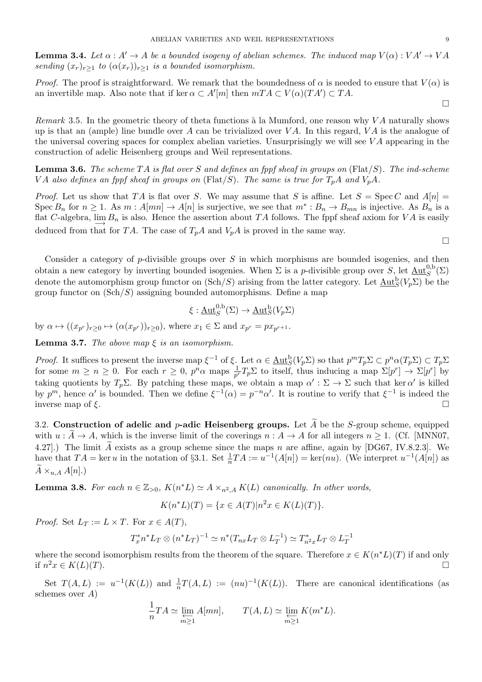**Lemma 3.4.** Let  $\alpha : A' \to A$  be a bounded isogeny of abelian schemes. The induced map  $V(\alpha) : VA' \to VA$ *sending*  $(x_r)_{r>1}$  *to*  $(\alpha(x_r))_{r>1}$  *is a bounded isomorphism.* 

*Proof.* The proof is straightforward. We remark that the boundedness of  $\alpha$  is needed to ensure that  $V(\alpha)$  is an invertible map. Also note that if ker  $\alpha \subset A'[m]$  then  $mTA \subset V(\alpha)(TA') \subset TA$ .

*Remark* 3.5. In the geometric theory of theta functions à la Mumford, one reason why *VA* naturally shows up is that an (ample) line bundle over *A* can be trivialized over *V A*. In this regard, *V A* is the analogue of the universal covering spaces for complex abelian varieties. Unsurprisingly we will see *V A* appearing in the construction of adelic Heisenberg groups and Weil representations.

**Lemma 3.6.** *The scheme T A is flat over S and defines an fppf sheaf in groups on* (Flat*/S*)*. The ind-scheme VA* also defines an fppf sheaf in groups on (Flat/S). The same is true for  $T_pA$  and  $V_pA$ .

*Proof.* Let us show that *TA* is flat over *S*. We may assume that *S* is affine. Let  $S = \text{Spec } C$  and  $A[n] =$ Spec  $B_n$  for  $n \geq 1$ . As  $m : A[mn] \to A[n]$  is surjective, we see that  $m^* : B_n \to B_{mn}$  is injective. As  $B_n$  is a flat *<sup>C</sup>*-algebra, lim*−→ B<sup>n</sup>* is also. Hence the assertion about *T A* follows. The fppf sheaf axiom for *V A* is easily deduced from that for *TA*. The case of  $T_pA$  and  $V_pA$  is proved in the same way.

Consider a category of *p*-divisible groups over *S* in which morphisms are bounded isogenies, and then obtain a new category by inverting bounded isogenies. When  $\Sigma$  is a *p*-divisible group over  $S$ , let  $\underline{\mathrm{Aut}}_{S}^{0,b}(\Sigma)$ denote the automorphism group functor on  $(\text{Sch}/S)$  arising from the latter category. Let  $\underline{\text{Aut}}_S^{\text{b}}(V_p \Sigma)$  be the group functor on (Sch*/S*) assigning bounded automorphisms. Define a map

$$
\xi: \underline{\mathrm{Aut}}_{S}^{0,b}(\Sigma) \to \underline{\mathrm{Aut}}_{S}^{b}(V_{p}\Sigma)
$$

by  $\alpha \mapsto ((x_{p^r})_{r \geq 0} \mapsto (\alpha(x_{p^r}))_{r \geq 0}),$  where  $x_1 \in \Sigma$  and  $x_{p^r} = px_{p^{r+1}}$ .

**Lemma 3.7.** *The above map*  $\xi$  *is an isomorphism.* 

*Proof.* It suffices to present the inverse map  $\xi^{-1}$  of  $\xi$ . Let  $\alpha \in \underline{\mathrm{Aut}}_{S}^{b}(V_{p}\Sigma)$  so that  $p^{m}T_{p}\Sigma \subset p^{n}\alpha(T_{p}\Sigma) \subset T_{p}\Sigma$ for some  $m \ge n \ge 0$ . For each  $r \ge 0$ ,  $p^n \alpha$  maps  $\frac{1}{p^r}T_p \Sigma$  to itself, thus inducing a map  $\Sigma[p^r] \to \Sigma[p^r]$  by taking quotients by  $T_p \Sigma$ . By patching these maps, we obtain a map  $\alpha' : \Sigma \to \Sigma$  such that ker  $\alpha'$  is killed by  $p^m$ , hence  $\alpha'$  is bounded. Then we define  $\xi^{-1}(\alpha) = p^{-n}\alpha'$ . It is routine to verify that  $\xi^{-1}$  is indeed the inverse map of *ξ*. taking quotients by  $T_p \Sigma$ . By patching these maps, we obtain a map  $\alpha' : \Sigma \to \Sigma$  such that ker  $\alpha'$  is killed<br>by  $p^m$ , hence  $\alpha'$  is bounded. Then we define  $\xi^{-1}(\alpha) = p^{-n} \alpha'$ . It is routine to verify that  $\xi^{-1}$  is i

3.2. **Construction of adelic and** *p***-adic Heisenberg groups.** Let  $\tilde{A}$  be the *S*-group scheme, equipped with  $u : \tilde{A} \to A$ , which is the inverse limit of the coverings  $n : A \to A$  for all integers  $n \ge 1$ . (Cf. [MNN07, 4.27].) The limit  $\tilde{A}$  exists as a group scheme since the maps  $n$  are affine, again by [DG67, IV.8.2.3]. We have that  $TA = \ker u$  in the notation of §3.1. Set  $\frac{1}{n}TA := u^{-1}(A[n]) = \ker(nu)$ . (We interpret  $u^{-1}(A[n])$  as with  $u : \tilde{A} \rightarrow$ <br>4.27].) The li<br>have that  $TA$ <br> $\tilde{A} \times_{u,A} A[n].$ 

**Lemma 3.8.** *For each*  $n \in \mathbb{Z}_{>0}$ ,  $K(n^*L) \simeq A \times_{n^2, A} K(L)$  *canonically. In other words,* 

$$
K(n^*L)(T) = \{ x \in A(T) | n^2x \in K(L)(T) \}.
$$

*Proof.* Set  $L_T := L \times T$ . For  $x \in A(T)$ ,

$$
T_x^* n^* L_T \otimes (n^* L_T)^{-1} \simeq n^* (T_{nx} L_T \otimes L_T^{-1}) \simeq T_{n^2x}^* L_T \otimes L_T^{-1}
$$

where the second isomorphism results from the theorem of the square. Therefore  $x \in K(n^*L)(T)$  if and only if  $n^2x$  ∈  $K(L)(T)$ .  $\Box$ 

Set  $T(A, L) := u^{-1}(K(L))$  and  $\frac{1}{n}T(A, L) := (nu)^{-1}(K(L))$ . There are canonical identifications (as schemes over *A*)

$$
\frac{1}{n}TA \simeq \varprojlim_{m \ge 1} A[mn], \qquad T(A, L) \simeq \varprojlim_{m \ge 1} K(m^*L).
$$

 $\Box$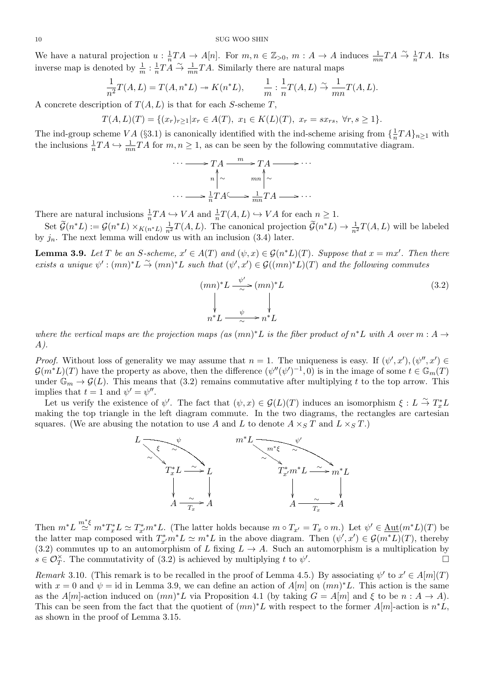We have a natural projection  $u: \frac{1}{n}$  $\frac{1}{n}TA \to A[n]$ . For  $m, n \in \mathbb{Z}_{>0}$ ,  $m: A \to A$  induces  $\frac{1}{mn}TA \stackrel{\sim}{\to} \frac{1}{n}TA$ . Its inverse map is denoted by  $\frac{1}{m} : \frac{1}{n}$  $\frac{1}{n}T\ddot{A} \stackrel{\sim}{\rightarrow} \frac{1}{mn}T\dot{A}$ . Similarly there are natural maps

$$
\frac{1}{n^2}T(A,L) = T(A,n^*L) \twoheadrightarrow K(n^*L), \qquad \frac{1}{m} : \frac{1}{n}T(A,L) \xrightarrow{\sim} \frac{1}{mn}T(A,L).
$$

A concrete description of *T*(*A, L*) is that for each *S*-scheme *T*,

$$
T(A, L)(T) = \{(x_r)_{r \ge 1} | x_r \in A(T), x_1 \in K(L)(T), x_r = sx_{rs}, \forall r, s \ge 1 \}.
$$

The ind-group scheme  $VA$  (§3.1) is canonically identified with the ind-scheme arising from  $\{\frac{1}{n}\}$  $\frac{1}{n}TA\}_{n\geq 1}$  with the inclusions  $\frac{1}{n}TA \hookrightarrow \frac{1}{mn}TA$  for  $m, n \geq 1$ , as can be seen by the following commutative diagram.

$$
\cdots \longrightarrow TA \xrightarrow{m} TA \longrightarrow TA \longrightarrow \cdots
$$
  
\n
$$
n \uparrow \sim \qquad mn \uparrow \sim
$$
  
\n
$$
\cdots \longrightarrow \frac{1}{n}TA \longrightarrow \frac{1}{mn}TA \longrightarrow \cdots
$$

There are natural inclusions  $\frac{1}{n}TA \hookrightarrow VA$  and  $\frac{1}{n}T(A, L) \hookrightarrow VA$  for each  $n \geq 1$ .

set  $\widetilde{G}(n^*L) := \mathcal{G}(n^*L) \times_{K(n^*L)} \frac{1}{n^2}$  $\cdots \longrightarrow \frac{1}{n} T A \longrightarrow \frac{1}{mn} T A \longrightarrow \cdots$ <br>  $\hookrightarrow VA$  and  $\frac{1}{n} T(A, L) \hookrightarrow VA$  for each  $n \geq 1$ .<br>  $\frac{1}{n^2} T(A, L)$ . The canonical projection  $\widetilde{\mathcal{G}}(n^*L) \rightarrow \frac{1}{n^2} T(A, L)$  will be labeled by  $j_n$ . The next lemma will endow us with an inclusion  $(3.4)$  later.

**Lemma 3.9.** Let T be an S-scheme,  $x' \in A(T)$  and  $(\psi, x) \in \mathcal{G}(n^*L)(T)$ . Suppose that  $x = mx'$ . Then there exists a unique  $\psi': (mn)^*L \stackrel{\sim}{\to} (mn)^*L$  such that  $(\psi', x') \in \mathcal{G}((mn)^*L)(T)$  and the following commutes

$$
(mn)^{*}L \xrightarrow{\psi'} (mn)^{*}L
$$
\n
$$
\downarrow \qquad \qquad \downarrow
$$
\n
$$
n^{*}L \xrightarrow{\psi} n^{*}L
$$
\n(3.2)

*where the vertical maps are the projection maps (as*  $(mn)^*L$  *<i>is the fiber product of*  $n^*L$  *with A over*  $m : A \rightarrow$ *A).*

*Proof.* Without loss of generality we may assume that  $n = 1$ . The uniqueness is easy. If  $(\psi', x')$ ,  $(\psi'', x') \in$  $\mathcal{G}(m^*L)(T)$  have the property as above, then the difference  $(\psi''(\psi')^{-1}, 0)$  is in the image of some  $t \in \mathbb{G}_m(T)$ under  $\mathbb{G}_m \to \mathcal{G}(L)$ . This means that (3.2) remains commutative after multiplying *t* to the top arrow. This implies that  $t = 1$  and  $\psi' = \psi''$ .

Let us verify the existence of  $\psi'$ . The fact that  $(\psi, x) \in \mathcal{G}(L)(T)$  induces an isomorphism  $\xi : L \stackrel{\sim}{\to} T_x^*L$ making the top triangle in the left diagram commute. In the two diagrams, the rectangles are cartesian squares. (We are abusing the notation to use A and L to denote  $A \times_S T$  and  $L \times_S T$ .)



Then  $m^*L \stackrel{m^*\xi}{\simeq} m^*T_x^*L \simeq T_{x'}^*m^*L$ . (The latter holds because  $m \circ T_{x'} = T_x \circ m$ .) Let  $\psi' \in \underline{\text{Aut}}(m^*L)(T)$  be the latter map composed with  $T^*_{x'}m^*L \simeq m^*L$  in the above diagram. Then  $(\psi', x') \in \mathcal{G}(m^*L)(T)$ , thereby (3.2) commutes up to an automorphism of *L* fixing  $L \rightarrow A$ . Such an automorphism is a multiplication by  $s \in \mathcal{O}_T^{\times}$ . The commutativity of (3.2) is achieved by multiplying *t* to  $\psi'$ .

*Remark* 3.10. (This remark is to be recalled in the proof of Lemma 4.5.) By associating  $\psi'$  to  $x' \in A[m](T)$ with  $x = 0$  and  $\psi = id$  in Lemma 3.9, we can define an action of  $A[m]$  on  $(mn)^*L$ . This action is the same as the *A*[*m*]-action induced on  $(mn)^*L$  via Proposition 4.1 (by taking  $G = A[m]$  and  $\xi$  to be  $n : A \to A$ ). This can be seen from the fact that the quotient of  $(mn)^*L$  with respect to the former  $A[m]$ -action is  $n^*L$ , as shown in the proof of Lemma 3.15.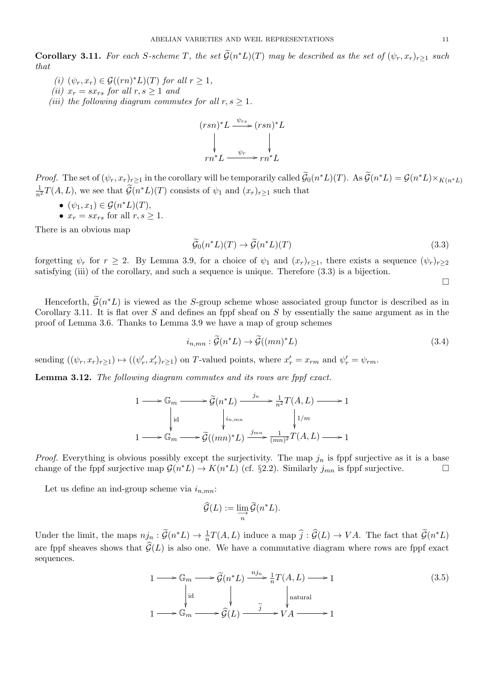ABELIAN VARIETIES AND WEIL REPRESENTATIONS<br> **Corollary 3.11.** For each S-scheme T, the set  $\tilde{G}(n^*L)(T)$  may be described as the set of  $(\psi_r, x_r)_{r \geq 1}$  such *that*

- *(i)*  $(\psi_r, x_r) \in \mathcal{G}((rn)^*L)(T)$  *for all*  $r \geq 1$ *,*
- *(ii)*  $x_r = s x_{rs}$  *for all*  $r, s \geq 1$  *and*
- *(iii) the following diagram commutes for all*  $r, s \geq 1$ *.*

$$
(rsn)^{*}L \xrightarrow{\psi_{rs}} (rsn)^{*}L
$$
  
\n
$$
\downarrow \qquad \qquad \downarrow
$$
  
\n
$$
rn^{*}L \xrightarrow{\psi_{r}} rn^{*}L
$$

 $\downarrow$ <br> $rn^*L \xrightarrow{\psi_r} rn^*L$ <br>Proof. The set of  $(\psi_r, x_r)_{r \geq 1}$  in the corollary will be temporarily called  $\widetilde{\mathcal{G}}_0(n^*L)(T)$ . As  $\widetilde{\mathcal{G}}(n^*L) = \mathcal{G}(n^*L) \times_{K(n^*L)} \mathcal{G}(n^*L)$ 1 *n*<sup> $\psi$ </sup><sub>*rn*<sup> $*$ </sup>L  $\longrightarrow$   $rn^*L$   $\longrightarrow$   $rn^*L$ <br>*Proof.* The set of  $(\psi_r, x_r)_{r \geq 1}$  in the corollary will be temporarily called  $\widetilde{\mathcal{G}}_{n^2}T(A, L)$ , we see that  $\widetilde{\mathcal{G}}(n^*L)(T)$  consists of  $\psi_1$  and  $(x_r)_{r \geq 1}$  </sub>

- *•*  $(\psi_1, x_1) \in \mathcal{G}(n^*L)(T)$ ,
- $x_r = sx_{rs}$  for all  $r, s \geq 1$ .

There is an obvious map

$$
\widetilde{\mathcal{G}}_0(n^*L)(T) \to \widetilde{\mathcal{G}}(n^*L)(T) \tag{3.3}
$$

forgetting  $\psi_r$  for  $r \geq 2$ . By Lemma 3.9, for a choice of  $\psi_1$  and  $(x_r)_{r \geq 1}$ , there exists a sequence  $(\psi_r)_{r \geq 2}$ satisfying (iii) of the corollary, and such a sequence is unique. Therefore (3.3) is a bijection.

 $\Box$ 

getting  $\psi_r$  for  $r \geq 2$ . By Lemma 3.9, for a choice of  $\psi_1$  and  $(x_r)_{r\geq 1}$ , there exists a sequence  $(\psi_r)_{r\geq 2}$ <br>isfying (iii) of the corollary, and such a sequence is unique. Therefore (3.3) is a bijection.<br><br>He Corollary 3.11. It is flat over *S* and defines an fppf sheaf on *S* by essentially the same argument as in the proof of Lemma 3.6. Thanks to Lemma 3.9 we have a map of group schemes

$$
i_{n,mn} : \widetilde{\mathcal{G}}(n^*L) \to \widetilde{\mathcal{G}}((mn)^*L)
$$
\n(3.4)

sending  $((\psi_r, x_r)_{r \geq 1}) \mapsto ((\psi'_r, x'_r)_{r \geq 1})$  on *T*-valued points, where  $x'_r = x_{rm}$  and  $\psi'_r = \psi_{rm}$ .<br> **Lemma 3.12.** The following diagram commutes and its rows are fppf exact.<br>  $1 \longrightarrow \mathbb{G}_m \longrightarrow \widetilde{\mathcal{G}}(n^*L) \xrightarrow{j_n} \frac{1}{$ 

**Lemma 3.12.** *The following diagram commutes and its rows are fppf exact.*

$$
1 \longrightarrow \mathbb{G}_m \longrightarrow \widetilde{\mathcal{G}}(n^*L) \xrightarrow{j_n} \frac{1}{n^2} T(A, L) \longrightarrow 1
$$
  
\n
$$
\downarrow id \qquad \qquad \downarrow i_{n, mn} \qquad \qquad \downarrow 1/m
$$
  
\n
$$
1 \longrightarrow \mathbb{G}_m \longrightarrow \widetilde{\mathcal{G}}((mn)^*L) \xrightarrow{j_{mn}} \frac{1}{(mn)^2} T(A, L) \longrightarrow 1
$$

*Proof.* Everything is obvious possibly except the surjectivity. The map  $j_n$  is fppf surjective as it is a base change of the fppf surjective map  $\mathcal{G}(n^*L) \to K(n^*L)$  (cf. §2.2). Similarly  $j_{mn}$  is fppf surjective.<br>
Let us define an ind-group scheme via  $i_{n,mn}$ :<br>  $\widehat{\mathcal{G}}(L) := \underline{\lim} \, \widetilde{\mathcal{G}}(n^*L)$ .

Let us define an ind-group scheme via *in,mn*:

$$
\widehat{\mathcal{G}}(L):=\varinjlim_{n}\widetilde{\mathcal{G}}(n^{*}L).
$$

Let us define an indegroup sending via  $\iota_{n,mn}$ .<br>  $\widehat{\mathcal{G}}(L) := \varinjlim_{n} \widetilde{\mathcal{G}}(n^*L).$ <br>
Under the limit, the maps  $nj_n : \widetilde{\mathcal{G}}(n^*L) \to \frac{1}{n}T(A,L)$  induce a map  $\widehat{j} : \widehat{\mathcal{G}}(L) \to VA$ . The fact that  $\widetilde{\mathcal{G}}(n^*$  $\widehat{\mathcal{G}}(L) := \varinjlim_{n} \widetilde{\mathcal{G}}(n^*L).$ <br>Under the limit, the maps  $n j_n : \widetilde{\mathcal{G}}(n^*L) \to \frac{1}{n} T(A, L)$  induce a map  $\widehat{j} : \widehat{\mathcal{G}}(L) \to VA$ . The fact that  $\widetilde{\mathcal{G}}(n^*L)$  are fppf sheaves shows that  $\widehat{\mathcal{G}}(L)$  is a sequences. are fppf sheaves shows that  $\hat{G}(L)$  is also one. We have a commutative diagram where rows are fppf exact

$$
1 \longrightarrow \mathbb{G}_m \longrightarrow \widetilde{\mathcal{G}}(n^*L) \xrightarrow{n j_n} \frac{1}{n} T(A, L) \longrightarrow 1
$$
\n
$$
\downarrow \text{id} \qquad \qquad \downarrow \qquad \qquad \downarrow \text{natural}
$$
\n
$$
1 \longrightarrow \mathbb{G}_m \longrightarrow \widehat{\mathcal{G}}(L) \xrightarrow{\hat{j}} V A \longrightarrow 1
$$
\n(3.5)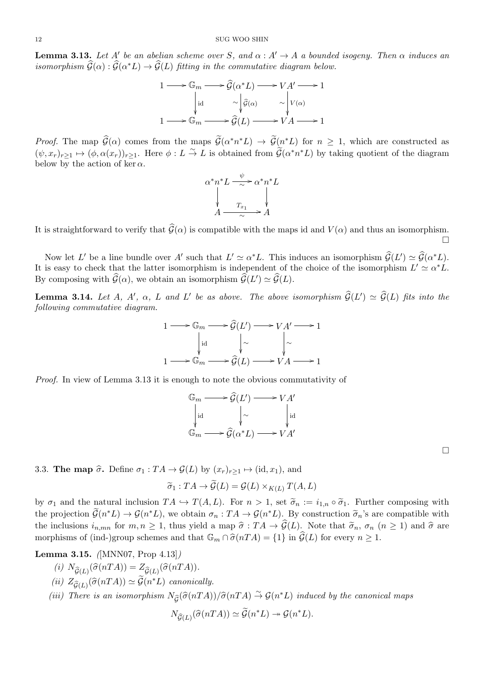**Lemma 3.13.** Let *A'* be an abelian scheme over *S*, and  $\alpha : A' \to A$  a bounded isogeny. Then  $\alpha$  induces an <sup>12</sup> SUG WOO SHIN<br> **Lemma 3.13.** Let  $A'$  be an abelian scheme over  $S$ , and  $\alpha : A' \to A$  a bounded isomorphism  $\widehat{G}(\alpha) : \widehat{G}(\alpha^*L) \to \widehat{G}(L)$  fitting in the commutative diagram below. *G*<br>*G*, *a*<br>*G*(*α* 

$$
1 \longrightarrow \mathbb{G}_m \longrightarrow \widehat{\mathcal{G}}(\alpha^*L) \longrightarrow VA' \longrightarrow 1
$$
  
\n
$$
\downarrow id \qquad \sim \begin{vmatrix} \widehat{\mathcal{G}}(\alpha) & \sim \\ \sqrt{\widehat{\mathcal{G}}(\alpha)} & \sim \\ 1 \longrightarrow \mathbb{G}_m \longrightarrow \widehat{\mathcal{G}}(L) \longrightarrow VA \longrightarrow 1 \end{vmatrix}
$$
  
\n*Proof.* The map  $\widehat{\mathcal{G}}(\alpha)$  comes from the maps  $\widetilde{\mathcal{G}}(\alpha^*n^*L) \rightarrow \widetilde{\mathcal{G}}(n^*L)$  for  $n \geq 1$ , which are constructed as

 $(\psi, x_r)_{r \geq 1} \mapsto (\phi, \alpha(x_r))_{r \geq 1}$ . Here  $\phi: L \stackrel{\sim}{\to} L$  is obtained from  $\tilde{\mathcal{G}}(\alpha^* n^* L)$  by taking quotient of the diagram  $\mathbb{G}_m \longrightarrow \hat{\mathcal{G}}(L) \longrightarrow V$ <br> *maps*  $\widetilde{\mathcal{G}}(\alpha^* n^* L) \rightarrow \widetilde{\mathcal{G}}(n^* L)$ <br>  $\stackrel{\sim}{\rightarrow} L$  is obtained from  $\widetilde{\mathcal{G}}(\alpha)$ below by the action of ker  $\alpha$ .

$$
\alpha^* n^* L \xrightarrow{\psi} \alpha^* n^* L
$$
\n
$$
\downarrow \qquad \qquad \downarrow
$$
\n
$$
A \xrightarrow{\tau_{x_1}} A
$$

It is straightforward to verify that  $\hat{G}(\alpha)$  is compatible with the maps id and  $V(\alpha)$  and thus an isomorphism.  $\Box$ *∗L*. This induces an isomorphism  $\hat{G}(L') \simeq \hat{G}(\alpha)$ 

Now let *L'* be a line bundle over *A'* such that  $L' \simeq \alpha^* L$ . This induces an isomorphism  $\widehat{\mathcal{G}}(L') \simeq \widehat{\mathcal{G}}(\alpha^* L)$ . It is easy to check that the latter isomorphism is independent of the choice of the isomorphism  $L' \simeq \alpha^* L$ . Now let *L'* be a line bundle over *A'* such that  $L' \simeq \alpha^* L$ . This in It is easy to check that the latter isomorphism is independent of the By composing with  $\widehat{\mathcal{G}}(\alpha)$ , we obtain an isomorphism  $\widehat{\mathcal{G}}(L') \simeq \wide$ Now let L' be a line bundle over A' such that  $L' \simeq \alpha^* L$ . This induces an isomorphism  $\widehat{G}(L') \simeq \widehat{G}(\alpha^* L)$ .<br>It is easy to check that the latter isomorphism is independent of the choice of the isomorphism  $L' \simeq \$ 

*following commutative diagram. n*<br>*g*e.<br> $\widehat{\mathcal{G}}(L)$ 

$$
1 \longrightarrow \mathbb{G}_m \longrightarrow \widehat{\mathcal{G}}(L') \longrightarrow VA' \longrightarrow 1
$$
  
\n
$$
\downarrow id \qquad \qquad \downarrow \sim \qquad \qquad \downarrow \sim
$$
  
\n
$$
1 \longrightarrow \mathbb{G}_m \longrightarrow \widehat{\mathcal{G}}(L) \longrightarrow VA \longrightarrow 1
$$
  
\nis enough to note the obvious commutati  
\n
$$
\mathbb{G}_m \longrightarrow \widehat{\mathcal{G}}(L') \longrightarrow VA'
$$

*Proof.* In view of Lemma 3.13 it is enough to note the obvious commutativity of

$$
\mathbb{G}_m \longrightarrow \widehat{\mathcal{G}}(L') \longrightarrow VA'
$$
  
\n
$$
\downarrow id \qquad \qquad \downarrow \sim \qquad \qquad \downarrow id
$$
  
\n
$$
\mathbb{G}_m \longrightarrow \widehat{\mathcal{G}}(\alpha^*L) \longrightarrow VA'
$$

3.3. **The map**  $\hat{\sigma}$ . Define  $\sigma_1: TA \to \mathcal{G}(L)$  by  $(x_r)_{r \geq 1} \mapsto (\text{id}, x_1)$ , and

$$
\rightarrow
$$
  $\mathcal{G}(L)$  by  $(x_r)_{r \geq 1} \mapsto (\text{id}, x_1)$ , and  
\n $\widetilde{\sigma}_1 : TA \rightarrow \widetilde{\mathcal{G}}(L) = \mathcal{G}(L) \times_{K(L)} T(A, L)$ 

**3.3. The map**  $\hat{\sigma}$ **.** Define  $\sigma_1 : TA \rightarrow \mathcal{G}(L)$  by  $(x_r)_{r \geq 1} \mapsto (\text{id}, x_1)$ , and<br>  $\tilde{\sigma}_1 : TA \rightarrow \tilde{\mathcal{G}}(L) = \mathcal{G}(L) \times_{K(L)} T(A, L)$ <br>
by  $\sigma_1$  and the natural inclusion  $TA \hookrightarrow T(A, L)$ . For  $n > 1$ , set  $\tilde{\sigma}_n := i_{1,n} \circ \tilde{\sigma}_1$ the projection *G*<sub>(*n*</sub><sup>∗</sup>*L*)  $\rightarrow$  *G*(*n*<sup>∗</sup>*L*) *v*<sub>*Cx*<sup>*γ*</sup><sub>*γ*<sup>*γ*</sup><sub>*Σ*</sub><sub>1</sub>. For *n* > 1, set *σ*<sub>*n*</sub> := *i*<sub>1*n*</sub> ο *σ*<sub>1</sub>. Further composing with the projection  $\tilde{G}(n^*L) \rightarrow G(n^*L)$ , we obtain  $σ_n : TA \rightarrow G(n^*L)$ *\*L*)  $\rightarrow$   $\mathcal{G}(n^*L)$ , we obtain  $\sigma_n$  :  $TA$  →  $\mathcal{G}(n)$  $\widetilde{\sigma}_1 : TA \to \widetilde{\mathcal{G}}(L) = \mathcal{G}(L) \times_{K(L)} T(A, L)$ <br>by  $\sigma_1$  and the natural inclusion  $TA \hookrightarrow T(A, L)$ . For  $n > 1$ , set  $\widetilde{\sigma}_n := i_{1,n} \circ \widetilde{\sigma}_1$ . Further composing with<br>the projection  $\widetilde{\mathcal{G}}(n^*L) \to \mathcal{G}(n^*L)$ , we obtain by  $\sigma_1$  and the natural inclusion  $TA \hookrightarrow T(A, L)$ . For  $n > 1$ , set  $\tilde{\sigma}_n := i_{1,n} \circ \tilde{\sigma}_1$ . Further<br>the projection  $\tilde{\mathcal{G}}(n^*L) \to \mathcal{G}(n^*L)$ , we obtain  $\sigma_n : TA \to \mathcal{G}(n^*L)$ . By construction  $\tilde{\sigma}_n$ 's are<br>the inclusi *n*chemes *n<sub>n,mn</sub>* for *m*,  $n \ge 1$ , thus yie *n n* is *n n n s* **.** (*ind-*)group schemes and tha **ma 3.15.** ([MNN07, Prop 4.13])<br> *(i)*  $N_{\hat{G}(L)}(\hat{\sigma}(nTA)) = Z_{\hat{G}(L)}(\hat{\sigma}(nTA)).$ 

**Lemma 3.15.** *(*[MNN07, Prop 4.13]*)*

- (*md*-)group sche<br>
(*(MNN07, Pro*)<br>  $(\widehat{\sigma}(nTA)) = Z_{\widehat{G}}($ <br>  $(\widehat{\sigma}(nTA)) \simeq \widetilde{\mathcal{G}}(nTA))$
- $(iii)$   $Z_{\widehat{\mathcal{G}}(L)}(\widehat{\sigma}(nTA)) \simeq \widehat{\mathcal{G}}(n^*L)$  *canonically.*
- **(i)**  $N_{\hat{G}(L)}(\hat{\sigma}(nTA)) = Z_{\hat{G}(L)}(\hat{\sigma}(nTA)).$ <br>
(ii)  $Z_{\hat{G}(L)}(\hat{\sigma}(nTA)) \simeq \tilde{\mathcal{G}}(n*L)$  canonically.<br>
(iii) There is an isomorphism  $N_{\hat{G}}(\hat{\sigma}(nTA))/\hat{\sigma}(nTA) \stackrel{\sim}{\rightarrow} \mathcal{G}(n*L)$  induced by the canonical maps

canonically.  
\n
$$
V_{\widehat{\mathcal{G}}}(\widehat{\sigma}(nTA))/\widehat{\sigma}(nTA) \stackrel{\sim}{\to} \mathcal{G}(n^*L) \text{ indu}
$$
\n
$$
N_{\widehat{\mathcal{G}}(L)}(\widehat{\sigma}(nTA)) \simeq \widetilde{\mathcal{G}}(n^*L) \twoheadrightarrow \mathcal{G}(n^*L).
$$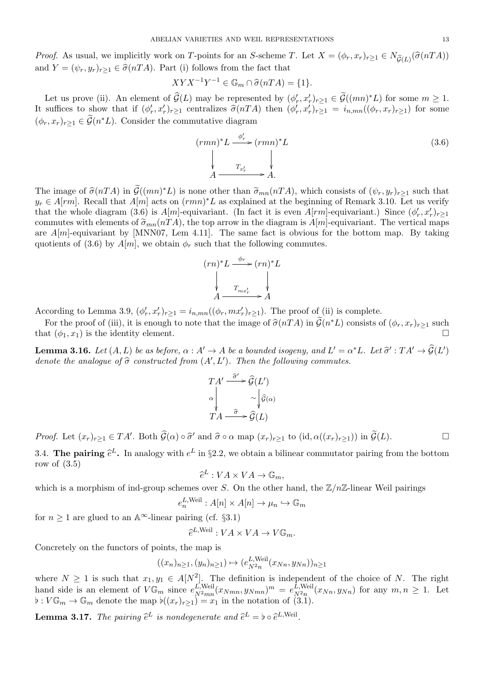ABELIAN VARIETIES AND WEIL REPRESENTATIONS<br> *Proof.* As usual, we implicitly work on *T*-points for an *S*-scheme *T*. Let  $X = (\phi_r, x_r)_{r \geq 1} \in N_{\widehat{\mathcal{G}}(L)}(\widehat{\sigma}(nTA))$ and  $Y = (\psi_r, y_r)_{r \geq 1} \in \hat{\sigma}(nTA)$ . Part (i) follows from the fact that  $\overline{F}$  and  $\overline{F}$  and  $\overline{F}$  *n c*  $\overline{F}$  *n n f c*  $\overline{F}$  *<i>n n f nTA*  $\overline{F}$   $\overline{F}$   $\overline{F}$   $\overline{F}$   $\overline{F}$   $\overline{F}$   $\overline{F}$   $\overline{F}$   $\overline{F}$   $\overline{F}$   $\overline{F}$   $\overline{F}$   $\overline{F}$   $\overline{F$ *oof.* As usual, we implicitly work on *T*-points for an *S*-scheme *T*. Let  $X = (\phi_r, x_r)_{r \ge 1} \in N_{\widehat{G}(L)}(\sigma(nTA))$ <br>d  $Y = (\psi_r, y_r)_{r \ge 1} \in \widehat{\sigma}(nTA)$ . Part (i) follows from the fact that<br> $XYX^{-1}Y^{-1} \in \mathbb{G}_m \cap \widehat{\sigma}(nTA) = \{1\}.$ <br>L

$$
XYX^{-1}Y^{-1} \in \mathbb{G}_m \cap \hat{\sigma}(nTA) = \{1\}.
$$

and  $Y = (\psi_r, y_r)_{r \ge 1} \in \sigma(nTA)$ . Part (i) follows from the fact that<br>  $XYX^{-1}Y^{-1} \in \mathbb{G}_m \cap \hat{\sigma}(nTA) = \{1\}$ .<br>
Let us prove (ii). An element of  $\hat{G}(L)$  may be represented by  $(\phi'_r, x'_r)_{r \ge 1} \in \tilde{G}((mn)^*L)$  for some  $m \ge 1$ Let us prove (*i*)<br>It suffices to sho<br> $(\phi_r, x_r)_{r \geq 1} \in \widetilde{\mathcal{G}}(n)$  $(\phi_r, x_r)_{r>1} \in \widetilde{\mathcal{G}}(n^*L)$ . Consider the commutative diagram

$$
(rmn)^{*}L \xrightarrow{\phi'_{r}} (rmn)^{*}L
$$
\n
$$
\downarrow \qquad \qquad \downarrow
$$
\n
$$
A \xrightarrow{T_{x'_{r}}} A
$$
\nThe image of  $\hat{\sigma}(nTA)$  in  $\tilde{\mathcal{G}}((mn)^{*}L)$  is none other than  $\tilde{\sigma}_{mn}(nTA)$ , which consists of  $(\psi_{r}, y_{r})_{r \geq 1}$  such that

 $y_r \in A[rm]$ . Recall that  $A[m]$  acts on  $(rmn)^*L$  as explained at the beginning of Remark 3.10. Let us verify that the whole diagram (3.6) is  $A[m]$ -equivariant. (In fact it is even  $A[rm]$ -equivariant.) Since  $(\phi'_r, x'_r)_{r \geq 1}$ The image of  $\hat{\sigma}(nTA)$  in  $\tilde{G}((mn)^*L)$  is none other than  $\tilde{\sigma}_{mn}(nTA)$ , which consists of  $(\psi_r, y_r)_{r \geq 1}$  such that  $y_r \in A[rm]$ . Recall that  $A[m]$  acts on  $(rmn)^*L$  as explained at the beginning of Remark 3.10. Let us are  $A[m]$ -equivariant by [MNN07, Lem 4.11]. The same fact is obvious for the bottom map. By taking quotients of (3.6) by  $A[m]$ , we obtain  $\phi_r$  such that the following commutes.

$$
(rn)^{*}L \xrightarrow{\phi_{r}} (rn)^{*}L
$$
  
\n
$$
\downarrow \qquad \qquad \downarrow
$$
  
\n
$$
A \xrightarrow{T_{mx'_r}} A
$$

According to Lemma 3.9,  $(\phi'_r, x'_r)_{r \geq 1} = i_{n,mn}((\phi_r, mx'_r)_{r \geq 1})$ . The proof of (ii) is complete.

For the proof of (iii), it is enough to note that the image of  $\hat{\sigma}(nTA)$  in  $\tilde{G}(n*L)$  consists of  $(\phi_r, x_r)_{r \geq 1}$  such  $\tilde{G}(nTA)$ . that  $(\phi_1, x_1)$  is the identity element. *n* mplete.<br>*†L. Let*  $\hat{\sigma}'$  *:*  $TA' \rightarrow \hat{G}(L)$ For the proof of (iii), it is enough to note the that  $(\phi_1, x_1)$  is the identity element.<br>**Lemma 3.16.** Let  $(A, L)$  be as before,  $\alpha : A'$  – denote the analogue of  $\hat{\sigma}$  constructed from  $(A')$ 

**Lemma 3.16.** Let  $(A, L)$  be as before,  $\alpha : A' \to A$  be a bounded isogeny, and  $L' = \alpha^* L$ . Let  $\widehat{\sigma}' : T A' \to \widehat{\mathcal{G}}(L')$ *, L′* )*. Then the following commutes. boun*<br>*en* the<br> $\widehat{\mathcal{G}}(L)$ 

$$
TA' \xrightarrow{\widehat{\sigma}'} \widehat{\mathcal{G}}(L')
$$
  

$$
\alpha \downarrow \sim \downarrow \widehat{\mathcal{G}}(\alpha)
$$
  

$$
TA \xrightarrow{\widehat{\sigma}} \widehat{\mathcal{G}}(L)
$$

 $\alpha \downarrow \qquad \sim \downarrow \hat{\mathcal{G}}(\alpha)$ <br>  $TA \xrightarrow{\hat{\sigma}} \hat{\mathcal{G}}(L)$ <br>  $Proof. \text{ Let } (x_r)_{r \geq 1} \in TA'. \text{ Both } \hat{\mathcal{G}}(\alpha) \circ \hat{\sigma}' \text{ and } \hat{\sigma} \circ \alpha \text{ map } (x_r)_{r \geq 1} \text{ to } (\text{id}, \alpha((x_r)_{r \geq 1})) \text{ in } \tilde{\mathcal{G}}(L).$ *Proof.* Let  $(x_r)_{r\geq 1} \in$  3.4. The pairing  $\widehat{e}$ 

 $L$ **.** In analogy with  $e^L$  in §2.2, we obtain a bilinear commutator pairing from the bottom row of  $(3.5)$ *e*b

$$
\widehat{e}^L: VA \times VA \to \mathbb{G}_m,
$$

which is a morphism of ind-group schemes over *S*. On the other hand, the  $\mathbb{Z}/n\mathbb{Z}$ -linear Weil pairings

$$
e_n^{L, \text{Weil}} : A[n] \times A[n] \to \mu_n \hookrightarrow \mathbb{G}_m
$$
\n
$$
\text{pairing (cf. §3.1)}
$$
\n
$$
\hat{e}^{L, \text{Weil}} : VA \times VA \to V\mathbb{G}_m.
$$

for  $n \geq 1$  are glued to an  $\mathbb{A}^{\infty}$ -linear pairing (cf. §3.1)

$$
\widehat{e}^{L,\text{Weil}}: VA \times VA \to V\mathbb{G}_m.
$$

Concretely on the functors of points, the map is

$$
((x_n)_{n\geq 1}, (y_n)_{n\geq 1}) \mapsto (e_{N^2n}^{L, \text{Weil}}(x_{Nn}, y_{Nn}))_{n\geq 1}
$$

where  $N \geq 1$  is such that  $x_1, y_1 \in A[N^2]$ . The definition is independent of the choice of *N*. The right hand side is an element of  $V\mathbb{G}_m$  since  $e_{N^2mn}^{L,\text{Weil}}$  $\frac{L, \text{Weil}}{N^2mn}(x_{Nmn}, y_{Nmn})^m = e^{L, \text{Weil}}_{N^2n}$  $\lim_{N^2 n} (x_{Nn}, y_{Nn})$  for any  $m, n \geq 1$ . Let  $\flat: V\mathbb{G}_m \to \mathbb{G}_m$  denote the map  $\flat((x_r)_{r\geq 1}) = x_1$  in the notation of (3.1). where  $N \ge 1$  is such that  $x_1, y_1 \in A[N^2]$ . The definition is<br>
hand side is an element of  $V\mathbb{G}_m$  since  $e_{N^2mn}^{L,\text{Well}}(x_{Nmn}, y_{Nmn})^m$ <br>  $\flat: V\mathbb{G}_m \to \mathbb{G}_m$  denote the map  $\flat((x_r)_{r\geq 1}) = x_1$  in the notation<br> **Lemma** 

*L,*Weil *.*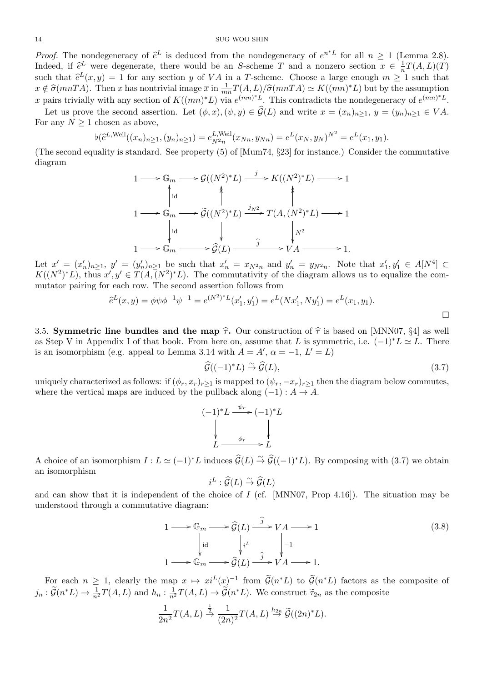*Proof.* The nondegeneracy of  $\hat{e}^L$  is deduced from the nondegeneracy of  $e^{n^*L}$  for all  $n \ge 1$  (Lemma 2.8). 14<br>*Proof.* The<br>Indeed, if  $\widehat{e}$ *L* were degenerate, there would be an *S*-scheme *T* and a nonzero section  $x \in \frac{1}{n}$  $\frac{1}{n}T(A,L)(T)$ such that *e*<sup>L</sup> (*x, y*) = 1 for any section *y* of *VA* in a *T*-scheme. Choose a large enough  $m \geq 1$  (Lemma 2.8).<br>
Such that  $\hat{e}^L$  were degenerate, there would be an *S*-scheme *T* and a nonzero section  $x \in \frac{1}{$ *Proof.* The nondegeneracy of  $\hat{e}^L$  is deduced from the nondegeneracy of  $e^{n^*L}$  for all  $n \ge 1$  (Lemma 2.8).<br>Indeed, if  $\hat{e}^L$  were degenerate, there would be an *S*-scheme *T* and a nonzero section  $x \in \frac{1}{n}T$ *x* pairs trivially with any section of  $K((mn)^*L)$  via  $e^{(mn)^*L}$ . This contradicts the nondegeneracy of  $e^{(mn)^*L}$ . that  $\hat{e}^L(x, y) = 1$  for any section y of VA in a T-scheme. Choose a large enough  $m \ge 1$  such that  $\hat{e}^L(x, y) = 1$  for any section y of VA in a T-scheme. Choose a large enough  $m \ge 1$  such that  $\hat{e}^T(mnTA)$ . Then x ha

For any  $N \geq 1$  chosen as above, *wi*<br>the<br>chc<br> $\flat(\hat{e})$ 

$$
\flat(\widehat{e}^{L,\text{Weil}}((x_n)_{n\geq 1}, (y_n)_{n\geq 1}) = e^{L,\text{Weil}}_{N^2 n}(x_{Nn}, y_{Nn}) = e^{L}(x_N, y_N)^{N^2} = e^{L}(x_1, y_1).
$$

(The second equality is standard. See property (5) of [Mum74, *§*23] for instance.) Consider the commutative diagram

$$
1 \longrightarrow \mathbb{G}_m \longrightarrow \mathcal{G}((N^2)^*L) \xrightarrow{j} K((N^2)^*L) \longrightarrow 1
$$
  
\n
$$
1 \longrightarrow \mathbb{G}_m \longrightarrow \widetilde{\mathcal{G}}((N^2)^*L) \xrightarrow{j_{N^2}} T(A, (N^2)^*L) \longrightarrow 1
$$
  
\n
$$
\downarrow id \qquad \qquad \downarrow N^2
$$
  
\n
$$
1 \longrightarrow \mathbb{G}_m \longrightarrow \widehat{\mathcal{G}}(L) \xrightarrow{\hat{j}} Y A \longrightarrow 1.
$$

Let  $x' = (x'_n)_{n \geq 1}$ ,  $y' = (y'_n)_{n \geq 1}$  be such that  $x'_n = x_{N^2 n}$  and  $y'_n = y_{N^2 n}$ . Note that  $x'_1, y'_1 \in A[N^4] \subset$  $K((N^2)^*L)$ , thus  $x', y' \in T(A, (N^2)^*L)$ . The commutativity of the diagram allows us to equalize the commutator pairing for each row. The second assertion follows from  $\begin{array}{c} y \ y', \ \theta' \end{array}$ 

$$
\hat{e}^{L}(x,y) = \phi \psi \phi^{-1} \psi^{-1} = e^{(N^2)^*L}(x'_1, y'_1) = e^L(Nx'_1, Ny'_1) = e^L(x_1, y_1).
$$
\n
$$
\Box
$$
\n3.5. Symmetric line bundles and the map  $\hat{\tau}$ . Our construction of  $\hat{\tau}$  is based on [MNN07, §4] as well.

as Step V in Appendix I of that book. From here on, assume that *L* is symmetric, i.e.  $(-1)^*L \simeq L$ . There is an isomorphism (e.g. appeal to Lemma 3.14 with  $A = A'$ ,  $\alpha = -1$ ,  $L' = L$ ) **nap**  $\hat{\tau}$ . Our construction of  $\hat{\tau}$  is based on [MNN07, §4] as well<br> *n* here on, assume that *L* is symmetric, i.e.  $(-1)^*L \simeq L$ . There<br> *G*( $(-1)^*L$ )  $\stackrel{\sim}{\rightarrow} \hat{G}(L)$ , (3.7)

$$
\widehat{\mathcal{G}}((-1)^*L) \stackrel{\sim}{\to} \widehat{\mathcal{G}}(L),\tag{3.7}
$$

uniquely characterized as follows: if  $(\phi_r, x_r)_{r\geq 1}$  is mapped to  $(\psi_r, -x_r)_{r\geq 1}$  then the diagram below commutes, where the vertical maps are induced by the pullback along  $(-1) : A \rightarrow A$ .

$$
(-1)^{*}L \xrightarrow{\psi_{r}} (-1)^{*}L
$$
  
\n
$$
\downarrow
$$
  
\n
$$
L \xrightarrow{\phi_{r}} L
$$

A choice of an isomorphism  $I: L \simeq (-1)^{*}L$  induces  $\widehat{G}(L) \stackrel{\sim}{\rightarrow} \widehat{G}((-1)^{*}L)$ . By composing with (3.7) we obtain an isomorphism  $\frac{\phi_r}{\cos \widehat{\mathcal{G}}(L) \stackrel{\sim}{\rightarrow} \widehat{\mathcal{G}}(L)}$ <br>:  $\widehat{\mathcal{G}}(L) \stackrel{\sim}{\rightarrow} \widehat{\mathcal{G}}(L)$ 

$$
i^L: \widehat{\mathcal{G}}(L) \stackrel{\sim}{\to} \widehat{\mathcal{G}}(L)
$$

and can show that it is independent of the choice of *I* (cf. [MNN07, Prop 4.16]). The situation may be understood through a commutative diagram:  $\epsilon$  of *I*<br> $\widehat{\mathcal{G}}(L)$ 

$$
1 \longrightarrow \mathbb{G}_m \longrightarrow \widehat{\mathcal{G}}(L) \xrightarrow{j} VA \longrightarrow 1
$$
\n
$$
\downarrow id \qquad \qquad \downarrow i.
$$
\n
$$
1 \longrightarrow \mathbb{G}_m \longrightarrow \widehat{\mathcal{G}}(L) \xrightarrow{j} VA \longrightarrow 1.
$$
\n
$$
\downarrow id \qquad \qquad \downarrow i.
$$
\nFor each  $n \geq 1$ , clearly the map  $x \mapsto xi^L(x)^{-1}$  from  $\widetilde{\mathcal{G}}(n^*L)$  to  $\widetilde{\mathcal{G}}(n^*L)$  factors as the composite of

*j*<sup>*n*</sup> :  $\widetilde{G}(n^*L)$  →  $\frac{1}{n^2}T(A, L)$  and  $h_n: \frac{1}{n^2}$  $\overrightarrow{\mathcal{G}}(L) \xrightarrow{\hat{j}} V^A \longrightarrow 1.$ <br>ap  $x \mapsto xi^L(x)^{-1}$  from  $\widetilde{\mathcal{G}}(n^*L)$  to  $\widetilde{\mathcal{G}}(n^*L)$  factors as the  $\frac{1}{n^2}T(A,L) \to \widetilde{\mathcal{G}}(n^*L)$ . We construct  $\widetilde{\tau}_{2n}$  as the composite  $(L)$  to  $\frac{d}{d}$ <br>struct  $\widetilde{\mathcal{G}}((2n))$ 

$$
\frac{1}{2n^2}T(A,L) \stackrel{\frac{1}{2}}{\rightarrow} \frac{1}{(2n)^2}T(A,L) \stackrel{h_{2n}}{\rightarrow} \widetilde{\mathcal{G}}((2n)^*L).
$$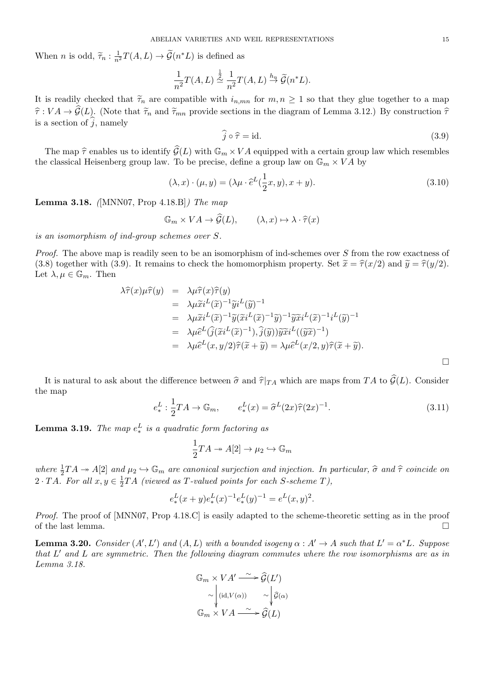When *n* is odd,  $\tilde{\tau}_n : \frac{1}{n^2}$ *n*<sup>2</sup>  $T(A, L) \rightarrow \widetilde{\mathcal{G}}(n^*L)$  is defined as

$$
\begin{aligned}\n\text{ABELIAN VARIETIES AND WELL REPRESENTATIONS} \\
&\quad \text{)} \rightarrow \widetilde{\mathcal{G}}(n^*L) \text{ is defined as} \\
&\quad \frac{1}{n^2} T(A, L) \stackrel{\frac{1}{2}}{\simeq} \frac{1}{n^2} T(A, L) \stackrel{h_n}{\rightarrow} \widetilde{\mathcal{G}}(n^*L).\n\end{aligned}
$$

It is readily checked that  $\tilde{\tau}_n$  are compatible with  $i_{n,mn}$  for  $m, n \geq 1$  so that they glue together to a map *τ*<sub>*τ*</sub> *τ*<sub>*λ*</sub> *- τ*<sub>*τ*</sub> *τ*<sub>*λ*</sub> *- τ*<sub>*π*</sub> *- τ*<sub>*n*</sub> *- τ*<sub>*n*</sub> *- τ*<sub>*n*</sub> *- τ*<sub>*n*</sub> *- τ*<sub>*n*</sub> *- τ*<sub>*n*</sub> *- τ*<sub>*n*</sub> *- - <i>τ*<sub>*n*</sub> *- <i>x*<sub>*n*</sub> *- <i>x*<sub>*n*</sub> *- <i>x*<sub>*n*</sub> *- <i>x*<sub>*n*</sub> *- <i>x*<sub>*n*</sub> It is readily checked that<br> $\hat{\tau}: VA \to \hat{\mathcal{G}}(L)$ . (Note this a section of  $\hat{j}$ , namely h  $i_{n,mn}$  for  $m, n \ge 1$  so that they glue together to a map sections in the diagram of Lemma 3.12.) By construction  $\hat{\tau}$ <br> $\hat{j} \circ \hat{\tau} = id.$  (3.9)  $VA \rightarrow \hat{\mathcal{G}}(L)$ . (Note that  $\tilde{\tau}_n$  and  $\tilde{\tau}_{mn}$  provide sections in the diagram of Lemma 3.12.) By construction  $\hat{\tau}$  a section of  $\hat{j}$ , namely  $\hat{j} \circ \hat{\tau} = id$ . (3.9)<br>The map  $\hat{\tau}$  enables us to identify  $\hat{\math$ 

$$
\widehat{j} \circ \widehat{\tau} = id. \tag{3.9}
$$

the classical Heisenberg group law. To be precise, define a group law on  $\mathbb{G}_m \times VA$  by  $\mathcal{G}(L)$  with  $\mathbb{G}_m \times VA$ .<br>To be precise, define<br> $(\lambda, x) \cdot (\mu, y) = (\lambda \mu \cdot \widehat{e})$ 

$$
(\lambda, x) \cdot (\mu, y) = (\lambda \mu \cdot \hat{e}^{L}(\frac{1}{2}x, y), x + y).
$$
  
(3.10)  
18.B]) The map  

$$
\mathbb{G}_m \times VA \to \hat{\mathcal{G}}(L), \qquad (\lambda, x) \mapsto \lambda \cdot \hat{\tau}(x)
$$

**Lemma 3.18.** *(*[MNN07, Prop 4.18.B]*) The map*

$$
\mathbb{G}_m \times VA \to \widehat{\mathcal{G}}(L), \qquad (\lambda, x) \mapsto \lambda \cdot \widehat{\tau}(x)
$$

*is an isomorphism of ind-group schemes over S.*

*Proof.* The above map is readily seen to be an isomorphism of ind-schemes over *S* from the row exactness of (3.8) together with (3.9). It remains to check the homomorphism property. Set  $\tilde{x} = \hat{\tau}(x/2)$  and  $\tilde{y} = \hat{\tau}(y/2)$ . Let  $\lambda, \mu \in \mathbb{G}_m$ . Then *λ* is readily seen to be an isom<br>
9). It remains to check the *h*<br>  $\lambda \hat{\tau}(x) \mu \hat{\tau}(y) = \lambda \mu \hat{\tau}(x) \hat{\tau}(y)$ 

8) together with (3.9). It remains to check the homomorphism property. Set 
$$
x = \tau(x/2)
$$
 and  $y = \tau(y/2)$ .  
\n
$$
\begin{aligned}\n\lambda \hat{\tau}(x) \mu \hat{\tau}(y) &= \lambda \mu \hat{\tau}(x) \hat{\tau}(y) \\
&= \lambda \mu \tilde{x} i^L(\tilde{x})^{-1} \tilde{y} i^L(\tilde{y})^{-1} \\
&= \lambda \mu \tilde{x} i^L(\tilde{x})^{-1} \tilde{y} (\tilde{x} i^L(\tilde{x})^{-1} \tilde{y})^{-1} \tilde{y} \tilde{x} i^L(\tilde{x})^{-1} i^L(\tilde{y})^{-1} \\
&= \lambda \mu \tilde{e}^L(\hat{\jmath}(\tilde{x} i^L(\tilde{x})^{-1}), \hat{\jmath}(\tilde{y})) \tilde{y} \tilde{x} i^L((\tilde{y}\tilde{x})^{-1}) \\
&= \lambda \mu \tilde{e}^L(x, y/2) \hat{\tau} (\tilde{x} + \tilde{y}) = \lambda \mu \tilde{e}^L(x/2, y) \hat{\tau} (\tilde{x} + \tilde{y}).\n\end{aligned}
$$
\nIt is natural to ask about the difference between  $\hat{\sigma}$  and  $\hat{\tau}|_{TA}$  which are maps from  $TA$  to  $\hat{\mathcal{G}}(L)$ . Consider

the map  $\int \hat{\tau}|_{TA}$  which are<br>  $(x) = \hat{\sigma}^L(2x)\hat{\tau}(2x)$ 

$$
e_*^L: \frac{1}{2}TA \to \mathbb{G}_m, \qquad e_*^L(x) = \hat{\sigma}^L(2x)\hat{\tau}(2x)^{-1}.
$$
 (3.11)

**Lemma 3.19.** *The map*  $e_*^L$  *is a quadratic form factoring as* 

$$
\frac{1}{2}TA \twoheadrightarrow A[2] \to \mu_2 \hookrightarrow \mathbb{G}_m
$$

**Lemma 3.19.** The map  $e^{\omega}_*$  is a quadratic form factoring as  $\frac{1}{2}TA \rightarrow A[2] \rightarrow \mu_2 \hookrightarrow \mathbb{G}_m$ <br>where  $\frac{1}{2}TA \rightarrow A[2]$  and  $\mu_2 \hookrightarrow \mathbb{G}_m$  are canonical surjection and injection. In particular,  $\hat{\sigma}$  and  $\hat{\tau}$  coinc 2 *· TA.* For all  $x, y \in \frac{1}{2}$  $\frac{1}{2}TA$  (viewed as T-valued points for each S-scheme T),

$$
e_*^L(x+y)e_*^L(x)^{-1}e_*^L(y)^{-1} = e^L(x,y)^2.
$$

*Proof.* The proof of [MNN07, Prop 4.18.C] is easily adapted to the scheme-theoretic setting as in the proof of the last lemma.  $\Box$ 

**Lemma 3.20.** Consider  $(A', L')$  and  $(A, L)$  with a bounded isogeny  $\alpha : A' \to A$  such that  $L' = \alpha^* L$ . Suppose<br>that L' and L are symmetric. Then the following diagram commutes where the row isomorphisms are as in<br>Lemma 3.18.<br> $\$ *that L ′ and L are symmetric. Then the following diagram commutes where the row isomorphisms are as in Lemma 3.18.*

$$
\mathbb{G}_m \times VA' \xrightarrow{\sim} \widehat{\mathcal{G}}(L')
$$

$$
\sim \begin{vmatrix} \ddots & \ddots & \vdots \\ (\mathrm{id}, V(\alpha)) & \sim \\ \mathbb{G}_m \times VA & \xrightarrow{\sim} \widehat{\mathcal{G}}(L) \end{vmatrix}
$$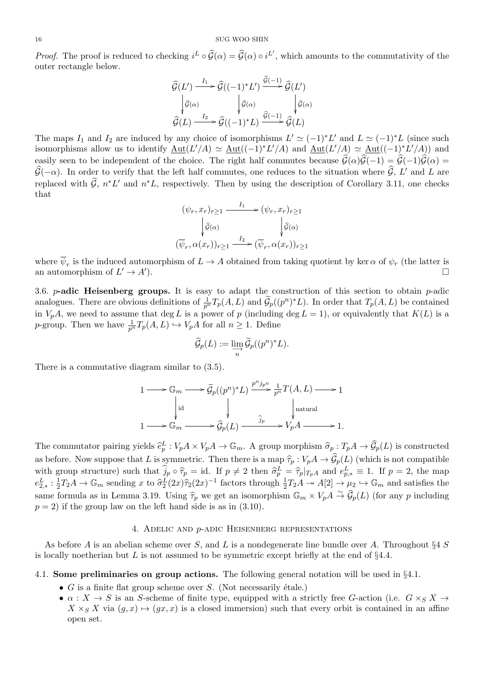<sup>16</sup><br> *Proof.* The proof is reduced to checking  $i^L \circ \widehat{G}(\alpha) = \widehat{G}(\alpha) \circ i^{L'}$ , which amounts to the commutativity of the outer rectangle below. *k*ing  $i^L \circ \widehat{\mathcal{G}}(\alpha) = \widehat{\mathcal{G}}(\alpha) \circ i^{L'}$ , which<br>  $\widehat{\mathcal{G}}(L') \xrightarrow{I_1} \widehat{\mathcal{G}}((-1)^*L') \xrightarrow{\widehat{\mathcal{G}}(-1)} \widehat{\mathcal{G}}(L')$ 

$$
\hat{\mathcal{G}}(L') \xrightarrow{I_1} \hat{\mathcal{G}}((-1)^*L') \xrightarrow{\hat{\mathcal{G}}(-1)} \hat{\mathcal{G}}(L')
$$
\n
$$
\downarrow \hat{\mathcal{G}}(\alpha) \qquad \downarrow \hat{\mathcal{G}}(\alpha) \qquad \downarrow \hat{\mathcal{G}}(\alpha)
$$
\n
$$
\hat{\mathcal{G}}(L) \xrightarrow{I_2} \hat{\mathcal{G}}((-1)^*L) \xrightarrow{\hat{\mathcal{G}}(-1)} \hat{\mathcal{G}}(L)
$$

The maps  $I_1$  and  $I_2$  are induced by any choice of isomorphisms  $L' \simeq (-1)^* L'$  and  $L \simeq (-1)^* L$  (since such isomorphisms allow us to identify  $\underline{\mathrm{Aut}}(L'/A) \simeq \underline{\mathrm{Aut}}((-1)^*L'/A)$  and  $\underline{\mathrm{Aut}}(L'/A) \simeq \underline{\mathrm{Aut}}((-1)^*L'/A)$  and The maps  $I_1$  and  $I_2$  are induced by any choice of isomorphisms  $L' \simeq (-1)^* L'$  and  $L \simeq (-1)^* L$  (since such isomorphisms allow us to identify  $\underline{\text{Aut}}(L'/A) \simeq \underline{\text{Aut}}((-1)^* L'/A)$  and  $\underline{\text{Aut}}(L'/A) \simeq \underline{\text{Aut}}((-1)^* L'/A)$  an The maps  $I_1$  and  $I_2$  are induced by any choice of isomorphisms  $L' \simeq (-1)^* L'$  and  $L \simeq (-1)^* L$ <br>isomorphisms allow us to identify  $\underline{\text{Aut}}(L'/A) \simeq \underline{\text{Aut}}((-1)^* L'/A)$  and  $\underline{\text{Aut}}(L'/A) \simeq \underline{\text{Aut}}((-1)^*$ <br>easily seen to be  $\widehat{G}(-\alpha)$ . In order to verify that the left half commutes, one reduces to the situation where  $\widehat{G}$ , L' and L are rhe maps  $I_1$  and  $I_2$  are model by any choice of isomorphisms  $L \equiv (-1) L$  and  $L \equiv (-1) L$  (since such isomorphisms allow us to identify  $\underline{\text{Aut}}(L'/A) \simeq \underline{\text{Aut}}((-1)^*L'/A)$  and  $\underline{\text{Aut}}(L'/A) \simeq \underline{\text{Aut}}((-1)^*L'/A)$  and easily s that

$$
(\psi_r, x_r)_{r \ge 1} \xrightarrow{I_1} (\psi_r, x_r)_{r \ge 1}
$$

$$
\downarrow \hat{g}(\alpha) \qquad \qquad \downarrow \hat{g}(\alpha)
$$

$$
(\overline{\psi}_r, \alpha(x_r))_{r \ge 1} \xrightarrow{I_2} (\overline{\psi}_r, \alpha(x_r))_{r \ge 1}
$$

where  $\psi_r$  is the induced automorphism of  $L \to A$  obtained from taking quotient by ker  $\alpha$  of  $\psi_r$  (the latter is an automorphism of  $L' \to A'$ ).  $\qquad \qquad \Box$ 

3.6. *p***-adic Heisenberg groups.** It is easy to adapt the construction of this section to obtain *p*-adic where  $\overline{\psi}_r$  is the induced automorphism of  $L \to A$  obtained from taking quotient by ker  $\alpha$  of  $\psi_r$  (the latter is<br>an automorphism of  $L' \to A'$ ).<br>3.6. *p***-adic Heisenberg groups.** It is easy to adapt the construction in  $V_pA$ , we need to assume that deg *L* is a power of *p* (including deg  $L = 1$ ), or equivalently that  $K(L)$  is a *p*-group. Then we have  $\frac{1}{p^n}T_p(A, L) \hookrightarrow V_pA$  for all  $n \geq 1$ . Define  $\int_{0}^{\infty} \frac{1}{p^n} T_p(A, L)$  and  $\theta$ <br> *A* for all  $n \geq 1$ . De<br>  $\widehat{\mathcal{G}}_p(L) := \lim_{n \to \infty} \widetilde{\mathcal{G}}_p((p)$ 

$$
\widehat{\mathcal{G}}_p(L) := \varinjlim_n \widetilde{\mathcal{G}}_p((p^n)^*L).
$$

There is a commutative diagram similar to (3.5).

There is a commutative diagram similar to (3.5).  
\n
$$
1 \longrightarrow \mathbb{G}_m \longrightarrow \widetilde{\mathcal{G}}_p((p^n)^*L) \xrightarrow{p^n j_{p^n}} \frac{1}{p^n} T(A, L) \longrightarrow 1
$$
\n
$$
\downarrow \text{id} \qquad \qquad \downarrow \qquad \qquad \downarrow \text{natural}
$$
\n
$$
1 \longrightarrow \mathbb{G}_m \longrightarrow \widehat{\mathcal{G}}_p(L) \xrightarrow{\widehat{j}_p} V_p A \longrightarrow 1.
$$
\nThe commutator pairing yields  $\widehat{e}_p^L : V_p A \times V_p A \to \mathbb{G}_m$ . A group morphism  $\widehat{\sigma}_p : T_p A \to \widehat{\mathcal{G}}_p(L)$  is constructed

 $1 \longrightarrow \mathbb{G}_m \longrightarrow \widehat{\mathcal{G}}_p(L) \longrightarrow \widehat{J}_p \longrightarrow V_p^{\mathcal{A}} \longrightarrow 1.$ <br>The commutator pairing yields  $\widehat{e}_p^L : V_p A \times V_p A \to \mathbb{G}_m$ . A group morphism  $\widehat{\sigma}_p : T_p A \to \widehat{\mathcal{G}}_p(L)$  is constructed as before. Now suppose that *L* is symmetric. The commutator pairing yields  $\hat{e}_p^L : V_p A \times V_p A \to \mathbb{G}_m$ . A group morphism  $\hat{\sigma}_p : \mathcal{I}$ <br>as before. Now suppose that *L* is symmetric. Then there is a map  $\hat{\tau}_p : V_p A \to \hat{\mathcal{G}}_p$  (with group structure) such that  $\hat{j$  $L_p^L = \hat{\tau}_p |_{T_pA}$  and  $e_{p,*}^L \equiv 1$ . If  $p = 2$ , the map  $e_{2,*}^L: \frac{1}{2}$  $\frac{1}{2}T_2A \to \mathbb{G}_m$  sending x to  $\widehat{\sigma}_2^L(2x)\widehat{\tau}_2(2x)^{-1}$  factors through  $\frac{1}{2}T_2A \to A[2] \to \mu_2 \hookrightarrow \mathbb{G}_m$  and satisfies the *The meatra pairing yields*  $\hat{e}_p^L : V_p A \times V_p$ <br>*T*<sub>2</sub>*A*  $\rightarrow$  *G<sub>m</sub>* sending *x* to  $\hat{\tau}_p^L(2x)\hat{\tau}_2(2x)$ <br>*T*<sub>2</sub>*A*  $\rightarrow$  *G<sub>m</sub>* sending *x* to  $\hat{\sigma}_2^L(2x)\hat{\tau}_2(2x)$ as before. Now suppose that *L* is symmetric. Then there is a map  $\hat{\tau}_p : V_p A \to \hat{\mathcal{G}}_p(L)$  (which is not compatible with group structure) such that  $\hat{j}_p \circ \hat{\tau}_p = id$ . If  $p \neq 2$  then  $\hat{\sigma}_p^L = \hat{\tau}_p |_{T_p A}$  and  $e_{p,*}^$ same formula as in Lemma 3.19. Using  $\hat{\tau}_p$  we get an isomorphism  $\mathbb{G}_m \times V_p A \stackrel{\sim}{\to} \hat{\mathcal{G}}_p(L)$  (for any p including  $p = 2$ ) if the group law on the left hand side is as in (3.10).

# 4. Adelic and *p*-adic Heisenberg representations

As before *A* is an abelian scheme over *S*, and *L* is a nondegenerate line bundle over *A*. Throughout *§*4 *S* is locally noetherian but *L* is not assumed to be symmetric except briefly at the end of *§*4.4.

# 4.1. **Some preliminaries on group actions.** The following general notation will be used in *§*4.1.

- $G$  is a finite flat group scheme over  $S$ . (Not necessarily étale.)
- $\alpha: X \to S$  is an *S*-scheme of finite type, equipped with a strictly free *G*-action (i.e.  $G \times_S X \to$  $X \times_S X$  via  $(g, x) \mapsto (gx, x)$  is a closed immersion) such that every orbit is contained in an affine open set.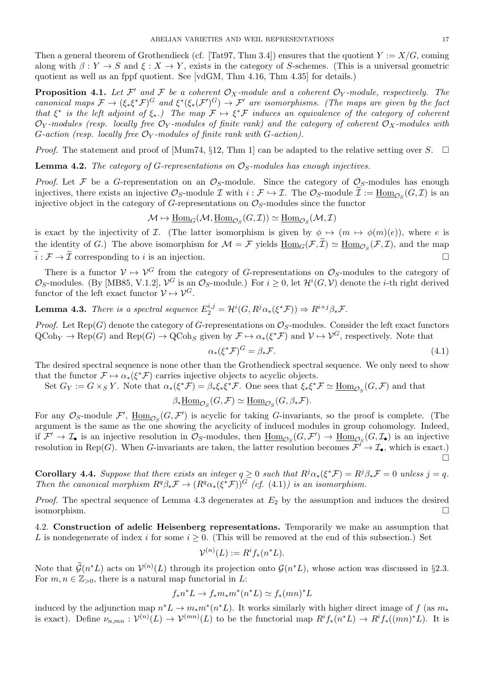Then a general theorem of Grothendieck (cf. [Tat97, Thm 3.4]) ensures that the quotient  $Y := X/G$ , coming along with  $\beta: Y \to S$  and  $\xi: X \to Y$ , exists in the category of *S*-schemes. (This is a universal geometric quotient as well as an fppf quotient. See [vdGM, Thm 4.16, Thm 4.35] for details.)

**Proposition 4.1.** Let  $\mathcal{F}'$  and  $\mathcal{F}$  be a coherent  $\mathcal{O}_X$ -module and a coherent  $\mathcal{O}_Y$ -module, respectively. The canonical maps  $\mathcal{F} \to (\xi_*\xi^*\mathcal{F})^G$  and  $\xi^*(\xi_*(\mathcal{F}')^G) \to \mathcal{F}'$  are isomorphisms. (The maps are given by the fact *that*  $\xi^*$  *is the left adjoint of*  $\xi_*$ *.)* The map  $\mathcal{F} \mapsto \xi^* \mathcal{F}$  *induces an equivalence of the category of coherent*  $\mathcal{O}_Y$ -modules (resp. locally free  $\mathcal{O}_Y$ -modules of finite rank) and the category of coherent  $\mathcal{O}_X$ -modules with *G*-action (resp. locally free  $\mathcal{O}_Y$ -modules of finite rank with *G*-action).

*Proof.* The statement and proof of  $\text{Mum74}, \S12, \text{Thm 1}$  can be adapted to the relative setting over *S*.  $\Box$ 

**Lemma 4.2.** *The category of G-representations on OS-modules has enough injectives.*

*Proof.* Let  $\mathcal F$  be a *G*-representation on an  $\mathcal O_S$ -module. Since the category of  $\mathcal O_S$ -modules has enough *Proof.* The statement and proof of [Mum74, §12, Thm 1] can be adapted to the relative setting **Lemma 4.2.** The *category of G-representations on*  $\mathcal{O}_S$ -modules has enough injectives.<br>*Proof.* Let  $\mathcal{F}$  be a *G*-re injectives, there exists an injective  $\mathcal{O}_S$ -module  $\mathcal{I}$  with  $i : \mathcal{F} \hookrightarrow \mathcal{I}$ . The  $\mathcal{O}_S$ -module  $\widetilde{\mathcal{I}} := \text{Hom}_{\mathcal{O}_S}(G, \mathcal{I})$  is an injective object in the category of *G*-representations on  $\mathcal{O}_S$ -modules since the functor

$$
\mathcal{M} \mapsto \underline{\mathrm{Hom}}_G(\mathcal{M}, \underline{\mathrm{Hom}}_{\mathcal{O}_S}(G, \mathcal{I})) \simeq \underline{\mathrm{Hom}}_{\mathcal{O}_S}(\mathcal{M}, \mathcal{I})
$$

is exact by the injectivity of *I*. (The latter isomorphism is given by  $\phi \mapsto (m \mapsto \phi(m)(e))$ , where *e* is injective object in the category of *G*-representations on  $\mathcal{O}_S$ -modules since the functor  $\mathcal{M} \mapsto \underline{\text{Hom}}_G(\mathcal{M}, \underline{\text{Hom}}_{\mathcal{O}_S}(G, \mathcal{I})) \simeq \underline{\text{Hom}}_{\mathcal{O}_S}(\mathcal{M}, \mathcal{I})$ <br>is exact by the injectivity of *I*. (The la the identity of G.) The above isomorphism for  $\mathcal{M} = \mathcal{F}$  yields  $\text{Hom}_{G}(\mathcal{F}, \widetilde{\mathcal{I}}) \simeq \text{Hom}_{\mathcal{O}_{G}}(\mathcal{F}, \mathcal{I})$ , and the map  $M \mapsto \underline{\text{Hom}}_G(\mathcal{M}, \underline{\text{Hom}}_{\mathcal{O}_S}(G, \mathcal{I})) \simeq \underline{\text{Hom}}_{\mathcal{O}_S}(\mathcal{M}, \mathcal{I})$ <br>is exact by the injectivity of  $\mathcal{I}$ . (The latter isomorphism is given by  $\phi \mapsto (m \mapsto \phi(m)(e))$ , where *e* is<br>the identity of *G*.) The above i

There is a functor  $V \mapsto V^G$  from the category of *G*-representations on  $\mathcal{O}_S$ -modules to the category of  $\mathcal{O}_S$ -modules. (By [MB85, V.1.2],  $\mathcal{V}^G$  is an  $\mathcal{O}_S$ -module.) For  $i \geq 0$ , let  $\mathcal{H}^i(G, \mathcal{V})$  denote the *i*-th right derived functor of the left exact functor  $\mathcal{V} \mapsto \mathcal{V}^G$ .

**Lemma 4.3.** There is a spectral sequence  $E_2^{i,j} = \mathcal{H}^i(G, R^j \alpha_*(\xi^* \mathcal{F})) \Rightarrow R^{i+j} \beta_* \mathcal{F}$ .

*Proof.* Let  $\text{Rep}(G)$  denote the category of *G*-representations on  $\mathcal{O}_S$ -modules. Consider the left exact functors  $QCoh_Y \to \text{Rep}(G)$  and  $\text{Rep}(G) \to \text{QCoh}_S$  given by  $\mathcal{F} \mapsto \alpha_*(\xi^* \mathcal{F})$  and  $\mathcal{V} \mapsto \mathcal{V}^G$ , respectively. Note that

$$
\alpha_*(\xi^*\mathcal{F})^G = \beta_*\mathcal{F}.\tag{4.1}
$$

The desired spectral sequence is none other than the Grothendieck spectral sequence. We only need to show that the functor  $\mathcal{F} \mapsto \alpha_*(\xi^*\mathcal{F})$  carries injective objects to acyclic objects.

Set  $G_Y := G \times_S Y$ . Note that  $\alpha_*(\xi^* \mathcal{F}) = \beta_* \xi_* \xi^* \mathcal{F}$ . One sees that  $\xi_* \xi^* \mathcal{F} \simeq \underline{\text{Hom}}_{\mathcal{O}_S}(G, \mathcal{F})$  and that

 $\beta_* \underline{\text{Hom}}_{\mathcal{O}_S}(G, \mathcal{F}) \simeq \underline{\text{Hom}}_{\mathcal{O}_S}(G, \beta_* \mathcal{F}).$ 

For any  $\mathcal{O}_S$ -module  $\mathcal{F}'$ ,  $\underline{\text{Hom}}_{\mathcal{O}_S}(G,\mathcal{F}')$  is acyclic for taking *G*-invariants, so the proof is complete. (The argument is the same as the one showing the acyclicity of induced modules in group cohomology. Indeed, if  $\mathcal{F}' \to \mathcal{I}_{\bullet}$  is an injective resolution in  $\mathcal{O}_S$ -modules, then  $\underline{\text{Hom}}_{\mathcal{O}_S}(G, \mathcal{F}') \to \underline{\text{Hom}}_{\mathcal{O}_S}(G, \mathcal{I}_{\bullet})$  is an injective resolution in Rep(*G*). When *G*-invariants are taken, the latter resolution becomes  $\mathcal{F}^f \to \mathcal{I}_\bullet$ , which is exact.)  $\Box$ 

**Corollary 4.4.** Suppose that there exists an integer  $q \ge 0$  such that  $R^j \alpha_*(\xi^* \mathcal{F}) = R^j \beta_* \mathcal{F} = 0$  unless  $j = q$ . *Then the canonical morphism*  $R^q \beta_* \mathcal{F} \to (R^q \alpha_* (\xi^* \mathcal{F}))^G$  *(cf.* (4.1)*) is an isomorphism.* 

*Proof.* The spectral sequence of Lemma 4.3 degenerates at  $E_2$  by the assumption and induces the desired isomorphism.  $\Box$ 

4.2. **Construction of adelic Heisenberg representations.** Temporarily we make an assumption that *L* is nondegenerate of index *i* for some  $i \geq 0$ . (This will be removed at the end of this subsection.) Set 4.2. **Construction**<br>*L* is nondegend<br>Note that  $\widetilde{\mathcal{G}}(n)$ 

$$
\mathcal{V}^{(n)}(L) := R^i f_*(n^*L).
$$

 $\mathscr{L}(L)$  acts on  $\mathcal{V}^{(n)}(L)$  through its projection onto  $\mathcal{G}(n^*L)$ , whose action was discussed in §2.3. For  $m, n \in \mathbb{Z}_{>0}$ , there is a natural map functorial in *L*:

$$
f_* n^* L \to f_* m_* m^* (n^* L) \simeq f_* (mn)^* L
$$

induced by the adjunction map  $n^*L \to m_*m^*(n^*L)$ . It works similarly with higher direct image of *f* (as  $m_*$ is exact). Define  $\nu_{n,mn} : \mathcal{V}^{(n)}(L) \to \mathcal{V}^{(mn)}(L)$  to be the functorial map  $R^i f_*(n^*L) \to R^i f_*(mn)^*L$ . It is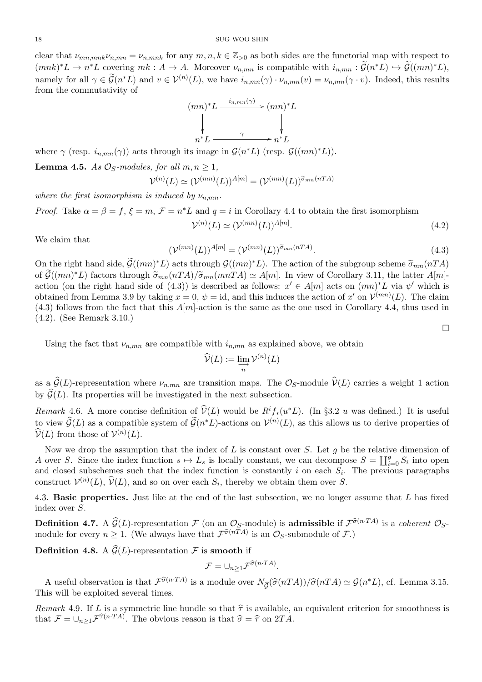clear that  $\nu_{mn,mnk}\nu_{n,mn} = \nu_{n,mnk}$  for any  $m, n, k \in \mathbb{Z}_{>0}$  as both sides are the functorial map with respect to  $(mnk)^*L \to n^*L$  covering  $mk : A \to A$ . Moreover  $\nu_{n,mn}$  is compatible with  $i_{n,mn} : \mathcal{G}(n^*L) \hookrightarrow \mathcal{G}((mn)^*L)$ , <sup>*s*</sup><sub>*kmnk*<sup>*Vn*</sup>*mm*</sub> = *v*<sub>*n*</sub>*mnk*<sub></sub> for any *m*, *n*, *k*  $\in \mathbb{Z}_{>0}$  as both sides are the functorial map with respective *r*<sub>*k*</sub> *c C* (*mn*) *+ C* covering *mk* : *A*  $\rightarrow$  *A*. Moreover *v*<sub>*n*</sub>*mn* is c <sup>18</sup><br>
clear that  $\nu_{mn,mnk}\nu_{n,mn} = \nu_{n,mnk}$  for any  $m, n, k \in \mathbb{Z}_{>0}$  as both sides are the functorial map with respect to<br>  $(mnk)^*L \to n^*L$  covering  $mk : A \to A$ . Moreover  $\nu_{n,mn}$  is compatible with  $i_{n,mn} : \widetilde{\mathcal{G}}(n^*L) \hookrightarrow \$ from the commutativity of

$$
(mn)^{*}L \xrightarrow{i_{n,mn}(\gamma)} (mn)^{*}L
$$
\n
$$
\downarrow \qquad \qquad \downarrow
$$
\n
$$
n^{*}L \xrightarrow{\gamma} n^{*}L
$$

where  $\gamma$  (resp.  $i_{n,mn}(\gamma)$ ) acts through its image in  $\mathcal{G}(n^*L)$  (resp.  $\mathcal{G}((mn)^*L)$ ).

**Lemma 4.5.** *As*  $\mathcal{O}_S$ *-modules, for all*  $m, n \geq 1$ *,* 

$$
\mathcal{V}^{(n)}(L) \simeq (\mathcal{V}^{(mn)}(L))^{A[m]} = (\mathcal{V}^{(mn)}(L))^{\widetilde{\sigma}_{mn}(nTA)}
$$

*where the first isomorphism is induced by*  $\nu_{n,mn}$ *.* 

*Proof.* Take  $\alpha = \beta = f$ ,  $\xi = m$ ,  $\mathcal{F} = n^*L$  and  $q = i$  in Corollary 4.4 to obtain the first isomorphism  $\mathcal{V}^{(n)}(L)\simeq(\mathcal{V}^{(mn)}(L))^{A[m]}$  $(4.2)$ 

We claim that

$$
(\mathcal{V}^{(mn)}(L))^{A[m]} = (\mathcal{V}^{(mn)}(L))^{\widetilde{\sigma}_{mn}(nTA)}.
$$
\n(4.3)

 $\Box$ 

We claim that<br>  $(\mathcal{V}^{(mn)}(L))^{A[m]} = (\mathcal{V}^{(mn)}(L))^{\tilde{\sigma}_{mn}(nTA)}$ . (4.3)<br>
On the right hand side,  $\tilde{\mathcal{G}}((mn)^*L)$  acts through  $\mathcal{G}((mn)^*L)$ . The action of the subgroup scheme  $\tilde{\sigma}_{mn}(nTA)$ We claim that<br>  $(\mathcal{V}^{(mn)}(L))^{A[m]} = (\mathcal{V}^{(mn)}(L))^{\tilde{\sigma}_{mn}(nTA)}$ . (4.3)<br>
On the right hand side,  $\tilde{\mathcal{G}}((mn)^*L)$  acts through  $\mathcal{G}((mn)^*L)$ . The action of the subgroup scheme  $\tilde{\sigma}_{mn}(nTA)$ <br>
of  $\tilde{\mathcal{G}}((mn)^*L)$  factors thro action (on the right hand side of (4.3)) is described as follows:  $x' \in A[m]$  acts on  $(mn)^*L$  via  $\psi'$  which is obtained from Lemma 3.9 by taking  $x = 0$ ,  $\psi = id$ , and this induces the action of  $x'$  on  $\mathcal{V}^{(mn)}(L)$ . The claim  $(4.3)$  follows from the fact that this  $A[m]$ -action is the same as the one used in Corollary 4.4, thus used in (4.2). (See Remark 3.10.)

Using the fact that  $\nu_{n,mn}$  are compatible with  $i_{n,mn}$  as explained above, we obtain

with 
$$
i_{n,mn}
$$
 as expla  

$$
\widehat{\mathcal{V}}(L) := \varinjlim_{n} \mathcal{V}^{(n)}(L)
$$

Using the fact that  $\nu_{n,mn}$  are compatible with  $i_{n,mn}$  as explained above, we obtain<br>  $\hat{\mathcal{V}}(L) := \lim_{n} \mathcal{V}^{(n)}(L)$ <br>
as a  $\hat{\mathcal{G}}(L)$ -representation where  $\nu_{n,mn}$  are transition maps. The  $\mathcal{O}_S$ -module  $\hat{\math$  $\hat{\mathcal{V}}(L) := \varinjlim_{n} \mathcal{V}^{(n)}(L)$ <br>as a  $\hat{\mathcal{G}}(L)$ -representation where  $\nu_{n,mn}$  are transition maps. The  $\mathcal{O}$ <br>by  $\hat{\mathcal{G}}(L)$ . Its properties will be investigated in the next subsection. as a  $\hat{\mathcal{G}}(L)$ -representation where  $\nu_{n,mn}$  are transition maps. The  $\mathcal{O}_S$ -module  $\hat{\mathcal{V}}(L)$  carries a weight 1 action<br>by  $\hat{\mathcal{G}}(L)$ . Its properties will be investigated in the next subsection.<br>*Remark* 4.

as a  $\widehat{\mathcal{G}}(L)$ -representation where  $\nu_{n,mn}$  are tr<br>by  $\widehat{\mathcal{G}}(L)$ . Its properties will be investigated<br>*Remark* 4.6. A more concise definition of  $\widehat{\mathcal{G}}(n)$ <br>to view  $\widehat{\mathcal{G}}(L)$  as a compatible system of  $\mathscr{L}^*L$ -actions on  $\mathcal{V}^{(n)}(L)$ , as this allows us to derive properties of by  $\widehat{G}(L)$ . Its properti<br> *Remark* 4.6. A more<br> *v*iew  $\widehat{G}(L)$  as a con<br>  $\widehat{\mathcal{V}}(L)$  from those of  $\mathcal{V}$  $(n)(L).$ ⨿

Now we drop the assumption that the index of *L* is constant over *S*. Let *g* be the relative dimension of *A* over *S*. Since the index function  $s \mapsto L_s$  is locally constant, we can decompose  $S = \coprod_{i=0}^g S_i$  into open and closed subschemes such that the index function is constantly *i* on each *S<sup>i</sup>* . The previous paragraphs construct  $\mathcal{V}^{(n)}(L)$ ,  $\widehat{\mathcal{V}}(L)$ , and so on over each  $S_i$ , thereby we obtain them over S. p the assumption that the index<br>ce the index function  $s \mapsto L_s$  is l<br>sochemes such that the index fun<br> $(L)$ ,  $\hat{\mathcal{V}}(L)$ , and so on over each  $S_i$ 

4.3. **Basic properties.** Just like at the end of the last subsection, we no longer assume that *L* has fixed index over *S*. **Construct**  $\mathcal{V}^{(n)}(L)$ ,  $\mathcal{V}(L)$ , and so on over each  $S_i$ , thereby we obtain them over *S*.<br>4.3. **Basic properties.** Just like at the end of the last subsection, we no longer assume that *L* has fixed index over

module for every  $n \geq 1$ . (We always have that  $\mathcal{F}^{\hat{\sigma}(nTA)}$  is an  $\mathcal{O}_S$ -submodule of  $\mathcal{F}$ .) **Definition 4.7.** A  $\widehat{G}(L)$ -representation  $\mathcal{F}$  (on an  $\mathcal{O}_S$ -m module for every  $n \geq 1$ . (We always have that  $\mathcal{F}^{\widehat{\sigma}(nTA)}$ <br>**Definition 4.8.** A  $\widehat{G}(L)$ -representation  $\mathcal{F}$  is **smooth** if

$$
\mathcal{F} = \cup_{n \geq 1} \mathcal{F}^{\widehat{\sigma}(n \cdot TA)}.
$$

**A** useful observation is that  $\mathcal{F}^{\hat{\sigma}(n \cdot TA)}$  is a module over  $N_{\hat{G}}(\hat{\sigma}(nTA))/\hat{\sigma}(nTA) \simeq \mathcal{G}(n^*L)$ , cf. Lemma 3.15.<br>
in the base of the state of the state of the state of the state of the state of the state of t This will be exploited several times. *F* =  $\bigcup_{n\geq 1}$ *F* (*n*-*r*<sub>1</sub>).<br>*Remark* 4.9*.* If *L* is a symmetric line bundle so that  $\hat{\tau}$  is available, an equivalent criterion for smoothness is *Remark* 4.9*.* If *L* is a symmetric line bundle so that  $\hat{\$ is that  $\mathcal{F}^{\hat{\sigma}(n \cdot TA)}$  is a module over  $N_{\hat{G}}(\hat{\sigma}(nT))$ <br>everal times.<br>ymmetric line bundle so that  $\hat{\tau}$  is available, a<br>The obvious reason is that  $\hat{\sigma} = \hat{\tau}$  on  $2TA$ .

that  $\mathcal{F} = \bigcup_{n \geq 1} \mathcal{F}^{\hat{\tau}(n \cdot TA)}$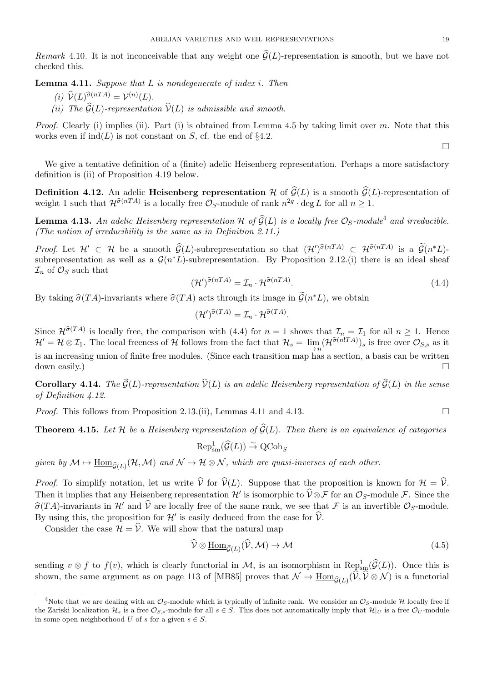*Remark* 4.10. It is not inconceivable that any weight one  $\mathcal{G}(L)$ -representation is smooth, but we have not checked this. *(i) (i) (i) (i) (i) (i) (i) (i) (i) (i) (i) (i) (i) (i) (i) (i) (i) (i) (i) (i) (i) (i) (i) (i) (i) (i) (i) (i) (i) (i) (i) (i) (i) (i) (i) (i) (i)* 

**Lemma 4.11.** *Suppose that L is nondegenerate of index i. Then*

- 
- *(ii) The*  $\hat{G}(L)$ *-representation*  $\hat{V}(L)$  *is admissible and smooth.*

*Proof.* Clearly (i) implies (ii). Part (i) is obtained from Lemma 4.5 by taking limit over *m*. Note that this works even if  $\text{ind}(L)$  is not constant on *S*, cf. the end of §4.2.

We give a tentative definition of a (finite) adelic Heisenberg representation. Perhaps a more satisfactory definition is (ii) of Proposition 4.19 below.

**Definition 4.12.** An adelic **Heisenberg representation**  $\mathcal{H}$  of  $\widehat{\mathcal{G}}(L)$  is a smooth  $\widehat{\mathcal{G}}(L)$ -representation of weight 1 such that  $\mathcal{H}^{\hat{\sigma}(nTA)}$  is a locally free  $\mathcal{O}_S$ -module of rank  $n^{2g} \cdot \text{deg } L$  for all  $n \geq 1$ . **Lemma 4.12.** An adelic **Heisenberg representation**  $H$  of  $\widehat{G}(L)$  is a smooth  $\widehat{G}(L)$ -r weight 1 such that  $\mathcal{H}^{\widehat{\sigma}(nTA)}$  is a locally free  $\mathcal{O}_S$ -module of rank  $n^{2g} \cdot \text{deg } L$  for all  $n \geq 1$ .<br>**Lemma 4.13** 

**Lemma 4.13.** An adelic Heisenberg representation  $H$  of  $\widehat{G}(L)$  is a locally free  $\mathcal{O}_S$ -module<sup>4</sup> and irreducible. *(The notion of irreducibility is the same as in Definition 2.11.)* **Lemma 4.13.** An adelic Heisenberg representation  $H$  of  $\hat{G}(L)$  is a locally free  $\mathcal{O}_S$ -module<sup>4</sup> and irreducible.<br> *(The notion of irreducibility is the same as in Definition 2.11.)<br>
<i>Proof.* Let  $H' \subset H$  be a smoo

subrepresentation as well as a  $\mathcal{G}(n^*L)$ -subrepresentation. By Proposition 2.12.(i) there is an ideal sheaf  $\mathcal{I}_n$  of  $\mathcal{O}_S$  such that  $(\mathcal{H}')^{\widehat{\sigma}(nTA)} = \mathcal{I}_n \cdot \mathcal{H}^{\widehat{\sigma}(nTA)}$ . (4.4)<br>By taking  $\widehat{\sigma}(TA)$ -inv  $\mathcal{I}_n$  of  $\mathcal{O}_S$  such that

$$
(\mathcal{H}')^{\widehat{\sigma}(nTA)} = \mathcal{I}_n \cdot \mathcal{H}^{\widehat{\sigma}(nTA)}.
$$
\n(4.4)

By taking  $\hat{\sigma}(TA)$ -invariants where  $\hat{\sigma}(TA)$  acts through its image in  $\tilde{\mathcal{G}}(n^*L)$ , we obtain

$$
(\mathcal{H}')^{\widehat{\sigma}(TA)} = \mathcal{I}_n \cdot \mathcal{H}^{\widehat{\sigma}(TA)}.
$$

Since  $\mathcal{H}^{\hat{\sigma}(TA)}$  is locally free, the comparison with (4.4) for  $n = 1$  shows that  $\mathcal{I}_n = \mathcal{I}_1$  for all  $n \geq 1$ . Hence  $\mathcal{H}' = \mathcal{H} \otimes \mathcal{I}_1$ . The local freeness of  $\mathcal{H}$  follows from the fact that  $\mathcal{H}_s = \lim_{n \to \infty} (\mathcal{H}^{\widehat{\sigma}(n!TA)})_s$  is free over  $\mathcal{O}_{S,s}$  as it is an increasing union of finite free modules. (Since each transi is an increasing union of finite free modules. (Since each transition map has a section, a basis can be written  $down$  easily.)

*of Definition 4.12.* **Theorem 4.15.** Let  $\mathcal{H}$  be a Heisenberg representation of  $\hat{\mathcal{G}}(L)$ . Then there is an equivalence of categories **Theorem 4.15.** Let  $\mathcal{H}$  be a Heisenberg representation of  $\hat{\mathcal{G}}(L)$ . Then there is an equiv

*Proof.* This follows from Proposition 2.13.(ii), Lemmas 4.11 and 4.13.

(ii), Lemmas 4.11 and 4  
representation of 
$$
\hat{G}(L)
$$
.  
 $Rep_{sm}^1(\hat{G}(L)) \overset{\sim}{\rightarrow} QCoh_S$ 

 $given\; by\; \mathcal{M}\mapsto \underline{\mathrm{Hom}}_{\widehat{\mathcal{G}}(L)}(\mathcal{H},\mathcal{M})\; \textit{and}\; \mathcal{N}\mapsto \mathcal{H}\otimes \mathcal{N}, \textit{which are quasi-inverses of each other.}$ 

 $Rep_{sm}^1(\widehat{\mathcal{G}}(L)) \stackrel{\sim}{\to} \text{QCoh}_S$ <br>*given by*  $\mathcal{M} \mapsto \underline{Hom}_{\widehat{\mathcal{G}}(L)}(\mathcal{H}, \mathcal{M})$  and  $\mathcal{N} \mapsto \mathcal{H} \otimes \mathcal{N}$ , which are quasi-inverses of each other.<br>*Proof.* To simplify notation, let us write  $\widehat{\mathcal{V}}$  for Then it implies that any Heisenberg representation  $\mathcal{H}'$  is isomorphic to  $\widehat{\mathcal{V}} \otimes \mathcal{F}$  for an  $\mathcal{O}_S$ -module  $\mathcal{F}$ . Since the ich are quasi-inverses of each other.<br>Suppose that the proposition is known for  $\mathcal{H} = \hat{\mathcal{V}}$ .<br>is isomorphic to  $\hat{\mathcal{V}} \otimes \mathcal{F}$  for an  $\mathcal{O}_S$ -module  $\mathcal{F}$ . Since the *given by*  $M \mapsto \underline{\text{Hom}}_{\widehat{G}(L)}(\mathcal{H}, \mathcal{M})$  and  $N \mapsto \mathcal{H} \otimes \mathcal{N}$ , which are quasi-inverses of each other.<br>*Proof.* To simplify notation, let us write  $\widehat{\mathcal{V}}$  for  $\widehat{\mathcal{V}}(L)$ . Suppose that the proposition is By using this, the proposition for  $\mathcal{H}'$  is easily deduced from the case for  $\hat{\mathcal{V}}$ . rite  $\hat{\mathcal{V}}$  for  $\hat{\mathcal{V}}(L)$ . Suppose that the p<br>ppresentation  $\mathcal{H}'$  is isomorphic to  $\hat{\mathcal{V}} \otimes \hat{\mathcal{S}}$ <br>ally free of the same rank, we see that<br>is easily deduced from the case for  $\hat{\mathcal{V}}$ . consider the case  $H = \hat{\nu}$  and  $\hat{\nu}$  are locally free of the same rank,<br>*TA*)-invariants in  $H'$  and  $\hat{\nu}$  are locally free of the same rank,<br>*L* using this, the proposition for  $H'$  is easily deduced from the<br>Consid *V* free of the same rank, we see that  $\mathcal F$  is an invertible  $\mathcal O_S$ -module.<br>
assily deduced from the case for  $\hat{\mathcal V}$ .<br>
(*W*) we that the natural map<br>  $\hat{\mathcal V}\otimes\underline{\text{Hom}}_{\widehat{\mathcal G}(L)}(\hat{\mathcal V},\mathcal M)\to\mathcal M$  (4.5)

$$
\widehat{\mathcal{V}} \otimes \underline{\text{Hom}}_{\widehat{G}(L)}(\widehat{\mathcal{V}}, \mathcal{M}) \to \mathcal{M}
$$
\n(4.5)

Consider the case  $\mathcal{H} = \hat{\mathcal{V}}$ . We will show that the natural map<br>  $\hat{\mathcal{V}} \otimes \underline{\text{Hom}}_{\hat{\mathcal{G}}(L)}(\hat{\mathcal{V}}, \mathcal{M}) \to \mathcal{M}$  (4.5)<br>
sending  $v \otimes f$  to  $f(v)$ , which is clearly functorial in *M*, is an isomorphism in Rep<sub></sub> shown, the same argument as on page 113 of [MB85] proves that  $\mathcal{N} \to \underline{\text{Hom}}_{\widehat{G}(L)}(\widehat{\mathcal{V}}, \widehat{\mathcal{V}} \otimes \mathcal{N})$  is a functorial (4.5)<br>  $\text{Rep}^1_{\text{sm}}(\widehat{\mathcal{G}}(L))$ . Once this is  $(\widehat{\mathcal{V}}, \widehat{\mathcal{V}} \otimes \mathcal{N})$  is a functorial

<sup>&</sup>lt;sup>4</sup>Note that we are dealing with an  $\mathcal{O}_S$ -module which is typically of infinite rank. We consider an  $\mathcal{O}_S$ -module  $\mathcal{H}$  locally free if the Zariski localization  $\mathcal{H}_s$  is a free  $\mathcal{O}_{S,s}$ -module for all  $s \in S$ . This does not automatically imply that  $\mathcal{H}|_U$  is a free  $\mathcal{O}_U$ -module in some open neighborhood *U* of *s* for a given  $s \in S$ .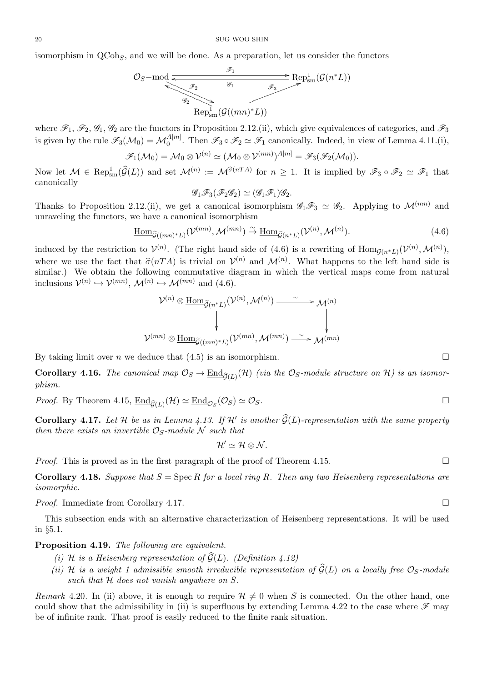isomorphism in QCoh*<sup>S</sup>* , and we will be done. As a preparation, let us consider the functors

$$
\mathcal{O}_S-\text{mod} \xrightarrow{\mathscr{F}_1} \text{Rep}^1_{\text{sm}}(\mathcal{G}(n^*L))
$$
  

$$
\mathcal{G}_2 \xrightarrow{\mathscr{G}_1} \mathcal{G}((mn)^*L)
$$

where  $\mathscr{F}_1$ ,  $\mathscr{F}_2$ ,  $\mathscr{G}_1$ ,  $\mathscr{G}_2$  are the functors in Proposition 2.12.(ii), which give equivalences of categories, and  $\mathscr{F}_3$ is given by the rule  $\mathscr{F}_3(\mathcal{M}_0) = \mathcal{M}_0^{A[m]}$ . Then  $\mathscr{F}_3 \circ \mathscr{F}_2 \simeq \mathscr{F}_1$  canonically. Indeed, in view of Lemma 4.11.(i), where  $\mathscr{F}_1$ ,  $\mathscr{F}_2$ ,  $\mathscr{G}_1$ ,  $\mathscr{G}_2$  are the functors in Proposition 2.12.(ii), which give equivalences of categories, and  $\mathscr{F}_3$ <br>is given by the rule  $\mathscr{F}_3(\mathcal{M}_0) = \mathcal{M}_0^{A[m]}$ . Then  $\mathscr{F}_3 \circ \mathscr{F}_2 \s$ 

$$
\mathscr{F}_1(\mathcal{M}_0) = \mathcal{M}_0 \otimes \mathcal{V}^{(n)} \simeq (\mathcal{M}_0 \otimes \mathcal{V}^{(mn)})^{A[m]} = \mathscr{F}_3(\mathscr{F}_2(\mathcal{M}_0)).
$$

canonically

$$
\mathscr{G}_1\mathscr{F}_3(\mathscr{F}_2\mathscr{G}_2)\simeq(\mathscr{G}_1\mathscr{F}_1)\mathscr{G}_2.
$$

Thanks to Proposition 2.12.(ii), we get a canonical isomorphism  $\mathscr{G}_1 \mathscr{F}_3 \simeq \mathscr{G}_2$ . Applying to  $\mathcal{M}^{(mn)}$  and unraveling the functors, we have a canonical isomorphism

$$
\underline{\text{Hom}}_{\widetilde{\mathcal{G}}((mn)^{*}L)}(\mathcal{V}^{(mn)},\mathcal{M}^{(mn)}) \stackrel{\sim}{\to} \underline{\text{Hom}}_{\widetilde{\mathcal{G}}(n^{*}L)}(\mathcal{V}^{(n)},\mathcal{M}^{(n)}).
$$
\n(4.6)

induced by the restriction to  $V^{(n)}$ . (The right hand side of (4.6) is a rewriting of  $\underline{\text{Hom}}_{\mathcal{G}(n^*L)}(\mathcal{V}^{(n)},\mathcal{M}^{(n)})$ ,  $\underline{\text{Hom}}_{\widetilde{\mathcal{G}}((mn)^*L)}(\mathcal{V}^{(mn)}, \mathcal{M}^{(m)})$ <br>induced by the restriction to  $\mathcal{V}^{(n)}$ . (The right hand<br>where we use the fact that  $\widehat{\sigma}(nTA)$  is trivial on  $\mathcal{V}$  $(n)$  and  $\mathcal{M}^{(n)}$ . What happens to the left hand side is similar.) We obtain the following commutative diagram in which the vertical maps come from natural inclusions  $V^{(n)} \hookrightarrow V^{(mn)}$ ,  $\mathcal{M}^{(n)} \hookrightarrow \mathcal{M}^{(mn)}$  and (4.6).

$$
\mathcal{V}^{(n)}\otimes\underbrace{\mathrm{Hom}}_{\widetilde{\mathcal{G}}(n^{*}L)}(\mathcal{V}^{(n)},\mathcal{M}^{(n)})\stackrel{\sim}{\longrightarrow} \mathcal{M}^{(n)}\\\downarrow\downarrow\\\mathcal{V}^{(mn)}\otimes\underbrace{\mathrm{Hom}}_{\widetilde{\mathcal{G}}((mn)^{*}L)}(\mathcal{V}^{(mn)},\mathcal{M}^{(mn)})\stackrel{\sim}{\longrightarrow} \mathcal{M}^{(mn)}
$$

By taking limit over *n* we deduce that  $(4.5)$  is an isomorphism.

**Corollary 4.16.** The canonical map  $\mathcal{O}_S \to \underline{\text{End}}_{\widehat{\mathcal{G}}(L)}(\mathcal{H})$  (via the  $\mathcal{O}_S$ -module structure on  $\mathcal{H}$ ) is an isomor*phism.* **Corollary Corollary Corollary Corollary Corollary 4.17.** *Let H be as in Lemma 4.13.* If *H' is another*  $\hat{G}(L)$ *-representation with the same property* 

*Proof.* By Theorem 4.15,  $\underline{\text{End}}_{\hat{\mathcal{G}}(L)}(\mathcal{H}) \simeq \underline{\text{End}}_{\mathcal{O}_S}(\mathcal{O}_S) \simeq \mathcal{O}_S$ .

*then there exists an invertible*  $\mathcal{O}_S$ *-module*  $\mathcal N$  *such that* 

$$
\mathcal{H}'\simeq \mathcal{H}\otimes \mathcal{N}.
$$

*Proof.* This is proved as in the first paragraph of the proof of Theorem 4.15.

**Corollary 4.18.** *Suppose that*  $S = \text{Spec } R$  *for a local ring*  $R$ *. Then any two Heisenberg representations are isomorphic.*

*Proof.* Immediate from Corollary 4.17. □

This subsection ends with an alternative characterization of Heisenberg representations. It will be used in *§*5.1.

# **Proposition 4.19.** *The following are equivalent.*

- *(i) H is a Heisenberg representation of*  $\widehat{G}(L)$ *. (Definition 4.12)*
- *(ii)*  $H$  *is a weight 1 admissible smooth irreducible representation of*  $\widehat{G}(L)$  *on a locally free*  $\mathcal{O}_S$ *-module such that H does not vanish anywhere on S.*

*Remark* 4.20. In (ii) above, it is enough to require  $H \neq 0$  when *S* is connected. On the other hand, one could show that the admissibility in (ii) is superfluous by extending Lemma 4.22 to the case where  $\mathscr F$  may be of infinite rank. That proof is easily reduced to the finite rank situation.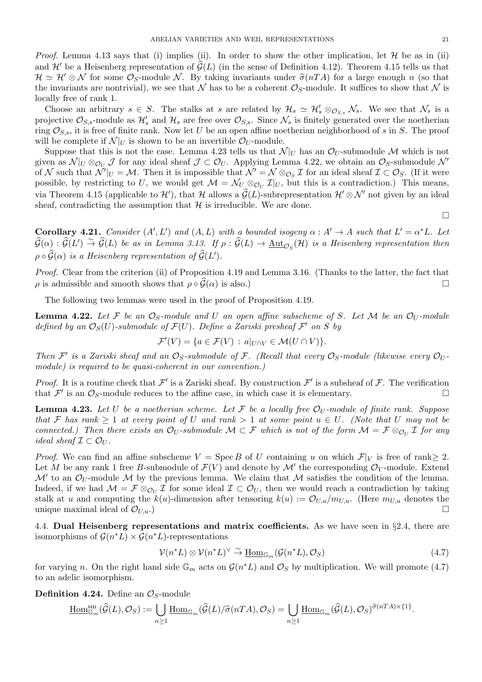*Proof.* Lemma 4.13 says that (i) implies (ii). In order to show the other implication, let  $H$  be as in (ii) ABELIAN VARIETIES AND WEIL REPRESENTATIONS 21<br>*Proof.* Lemma 4.13 says that (i) implies (ii). In order to show the other implication, let  $\mathcal H$  be as in (ii) and  $\mathcal H'$  be a Heisenberg representation of  $\hat{\mathcal G}(L)$  (in *Hroof.* Lemma 4.13 says that (i) implies (ii). In order to show the other implication, let  $H$  be as in (ii) and  $H'$  be a Heisenberg representation of  $\hat{G}(L)$  (in the sense of Definition 4.12). Theorem 4.15 tells us t the invariants are nontrivial), we see that  $\mathcal N$  has to be a coherent  $\mathcal O_S$ -module. It suffices to show that  $\mathcal N$  is

locally free of rank 1. Choose an arbitrary  $s \in S$ . The stalks at *s* are related by  $\mathcal{H}_s \simeq \mathcal{H}'_s \otimes_{\mathcal{O}_{S,s}} \mathcal{N}_s$ . We see that  $\mathcal{N}_s$  is a projective  $\mathcal{O}_{S,s}$ -module as  $\mathcal{H}'_s$  and  $\mathcal{H}_s$  are free over  $\mathcal{O}_{S,s}$ . Since  $\mathcal{N}_s$  is finitely generated over the noetherian ring  $\mathcal{O}_{S,s}$ , it is free of finite rank. Now let *U* be an open affine noetherian neighborhood of *s* in *S*. The proof will be complete if  $\mathcal{N}|_U$  is shown to be an invertible  $\mathcal{O}_U$ -module.

Suppose that this is not the case. Lemma 4.23 tells us that  $\mathcal{N}|_U$  has an  $\mathcal{O}_U$ -submodule  $\mathcal M$  which is not given as  $\mathcal{N}|_U \otimes_{\mathcal{O}_U} \mathcal{J}$  for any ideal sheaf  $\mathcal{J} \subset \mathcal{O}_U$ . Applying Lemma 4.22, we obtain an  $\mathcal{O}_S$ -submodule  $\mathcal{N}'$ of *N* such that  $\mathcal{N}'|_U = \mathcal{M}$ . Then it is impossible that  $\mathcal{N}' = \mathcal{N} \otimes_{\mathcal{O}_S} \mathcal{I}$  for an ideal sheaf  $\mathcal{I} \subset \mathcal{O}_S$ . (If it were possible, by restricting to *U*, we would get  $\mathcal{M} = \mathcal{N}_U \otimes_{\mathcal{O}_U} \mathcal{I}|_U$ , but this is a contradiction.) This means, via Theorem 4.15 (applicable to  $\mathcal{H}'$ ), that  $\mathcal{H}$  allows a  $\widehat{\mathcal{G}}(L)$ -subrepresentation  $\mathcal{H}' \otimes \mathcal{N}'$  not given by an ideal b. Lemma 4.23 tells us that  $N|_U$  has an  $\mathcal{O}_U$ -submodule  $M$  which is not sheaf  $\mathcal{J} \subset \mathcal{O}_U$ . Applying Lemma 4.22, we obtain an  $\mathcal{O}_S$ -submodule  $\mathcal{N}'$  is impossible that  $\mathcal{N}' = \mathcal{N} \otimes_{\mathcal{O}_S} \mathcal{I}$  f sheaf, contradicting the assumption that  $H$  is irreducible. We are done.

**Corollary 4.21.** Consider  $(A', L')$  and  $(A, L)$  with a bounded isogeny  $\alpha : A' \to A$  such that  $L' = \alpha^* L$ . Let sheaf, contradicting the assumption that  $\mathcal H$  is irreducible. We are done.<br> **Corollary 4.21.** Consider  $(A', L')$  and  $(A, L)$  with a bounded isogeny  $\alpha : A' \to A$  such that  $L' = \alpha^* L$ . Let  $\widehat{G}(\alpha) : \widehat{G}(L') \stackrel{\sim}{\to} \widehat{G}(L)$  *<i>Corollary* 4.21. *Consider*  $(A', L')$  *and*  $(A, L)$ <br> $\widehat{\mathcal{G}}(\alpha) : \widehat{\mathcal{G}}(L') \stackrel{\sim}{\rightarrow} \widehat{\mathcal{G}}(L)$  be as in Lemma 3.13. I<br> $\rho \circ \widehat{\mathcal{G}}(\alpha)$  is a Heisenberg representation of  $\widehat{\mathcal{G}}(L)$ *′* )*.*  $\hat{G}(\alpha) : \hat{G}(L') \stackrel{\sim}{\rightarrow} \hat{G}(L)$  be as in Lemma 3.13. If  $\rho : \hat{G}(L) \rightarrow \underline{\text{Aut}}_{\mathcal{O}_S}(\mathcal{H})$  is a Heisenberg representation then  $\rho \circ \hat{G}(\alpha)$  is a Heisenberg representation of  $\hat{G}(L')$ .<br>*Proof.* Clear from the crite

*Proof.* Clear from the criterion (ii) of Proposition 4.19 and Lemma 3.16. (Thanks to the latter, the fact that

The following two lemmas were used in the proof of Proposition 4.19.

**Lemma 4.22.** Let F be an  $\mathcal{O}_S$ -module and U an open affine subscheme of S. Let M be an  $\mathcal{O}_U$ -module *defined by an*  $\mathcal{O}_S(U)$ -submodule of  $\mathcal{F}(U)$ . Define a Zariski presheaf  $\mathcal{F}'$  on S by

$$
\mathcal{F}'(V) = \{ a \in \mathcal{F}(V) : a|_{U \cap V} \in \mathcal{M}(U \cap V) \}.
$$

*Then*  $\mathcal{F}'$  is a Zariski sheaf and an  $\mathcal{O}_S$ -submodule of  $\mathcal{F}$ . (Recall that every  $\mathcal{O}_S$ -module (likewise every  $\mathcal{O}_U$ *module) is required to be quasi-coherent in our convention.)*

*Proof.* It is a routine check that  $\mathcal{F}'$  is a Zariski sheaf. By construction  $\mathcal{F}'$  is a subsheaf of  $\mathcal{F}$ . The verification that  $\mathcal{F}'$  is an  $\mathcal{O}_S$ -module reduces to the affine case, in which case it is elementary.

**Lemma 4.23.** Let U be a noetherian scheme. Let  $\mathcal F$  be a locally free  $\mathcal O_U$ -module of finite rank. Suppose *that*  $\mathcal{F}$  *has rank*  $\geq 1$  *at every point of*  $U$  *and rank*  $> 1$  *at some point*  $u \in U$ *. (Note that*  $U$  *may not be connected.) Then there exists an*  $\mathcal{O}_U$ -submodule  $\mathcal{M} \subset \mathcal{F}$  which is not of the form  $\mathcal{M} = \mathcal{F} \otimes_{\mathcal{O}_U} \mathcal{I}$  for any *ideal sheaf*  $\mathcal{I} \subset \mathcal{O}_U$ .

*Proof.* We can find an affine subscheme  $V = \text{Spec } B$  of *U* containing *u* on which  $\mathcal{F}|_V$  is free of rank  $\geq 2$ . Let *M* be any rank 1 free *B*-submodule of  $\mathcal{F}(V)$  and denote by  $\mathcal{M}'$  the corresponding  $\mathcal{O}_V$ -module. Extend  $\mathcal{M}'$  to an  $\mathcal{O}_U$ -module  $\mathcal M$  by the previous lemma. We claim that  $\mathcal M$  satisfies the condition of the lemma. Indeed, if we had  $\mathcal{M} = \mathcal{F} \otimes_{\mathcal{O}_U} \mathcal{I}$  for some ideal  $\mathcal{I} \subset \mathcal{O}_U$ , then we would reach a contradiction by taking stalk at *u* and computing the  $k(u)$ -dimension after tensoring  $k(u) := \mathcal{O}_{U,u}/m_{U,u}$ . (Here  $m_{U,u}$  denotes the unique maximal ideal of  $\mathcal{O}_{U,u}$ .)

4.4. **Dual Heisenberg representations and matrix coefficients.** As we have seen in *§*2.4, there are isomorphisms of  $\mathcal{G}(n^*L) \times \mathcal{G}(n^*L)$ -representations

$$
\mathcal{V}(n^*L) \otimes \mathcal{V}(n^*L)^{\vee} \stackrel{\sim}{\to} \underline{\text{Hom}}_{\mathbb{G}_m}(\mathcal{G}(n^*L), \mathcal{O}_S)
$$
\n(4.7)

for varying *n*. On the right hand side  $\mathbb{G}_m$  acts on  $\mathcal{G}(n^*L)$  and  $\mathcal{O}_S$  by multiplication. We will promote (4.7)<br>to an adelic isomorphism.<br>**Definition 4.24.** Define an  $\mathcal{O}_S$ -module<br> $\underline{\text{Hom}}_{\mathbb{G}_m}^{\text{$ to an adelic isomorphism.

**Definition 4.24.** Define an  $\mathcal{O}_S$ -module

$$
\underline{\mathrm{Hom}}^{\mathrm{sm}}_{\mathbb{G}_m}(\widehat{\mathcal{G}}(L),\mathcal{O}_S):=\bigcup_{n\geq 1}\underline{\mathrm{Hom}}_{\mathbb{G}_m}(\widehat{\mathcal{G}}(L)/\widehat{\sigma}(nTA),\mathcal{O}_S)=\bigcup_{n\geq 1}\underline{\mathrm{Hom}}_{\mathbb{G}_m}(\widehat{\mathcal{G}}(L),\mathcal{O}_S)^{\widehat{\sigma}(nTA)\times\{1\}}.
$$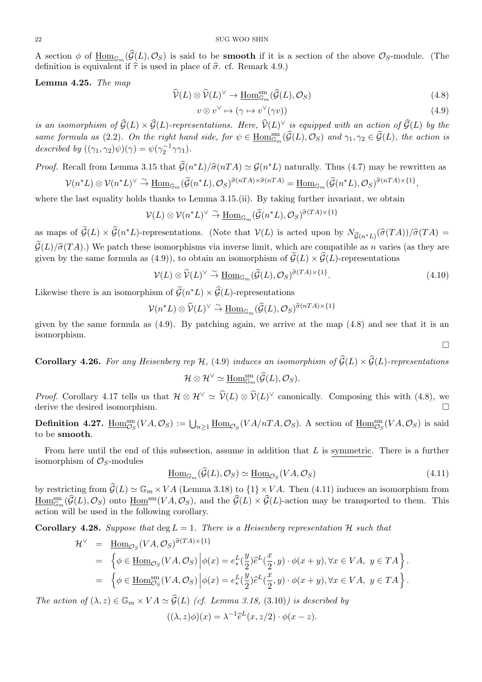22<br>
A section  $\phi$  of  $\underline{\text{Hom}}_{\mathbb{G}_m}(\widehat{\mathcal{G}}(L), \mathcal{O}_S)$  is said to be **smooth** if it is a section of the above  $\mathcal{O}_S$ -module. (The definition  $\phi$  of  $\underline{\text{Hom}}_{\mathbb{G}_m}(\widehat{\mathcal{G}}(L), \mathcal{O}_S)$  is said to be **smooth** if it is a definition is equivalent if  $\widehat{\tau}$  is used in place of  $\widehat{\sigma}$ . cf. Remark 4.9.) *S* said to be **smooth** if it is a section of the above  $\mathcal{O}_S$ -module. (The *n* place of  $\hat{\sigma}$ . cf. Remark 4.9.)<br>  $\hat{\mathcal{V}}(L) \otimes \hat{\mathcal{V}}(L)^{\vee} \to \underline{\text{Hom}}_{\mathbb{G}_m}^{\text{sm}}(\hat{\mathcal{G}}(L), \mathcal{O}_S)$  (4.8)

**Lemma 4.25.** *The map*

$$
\widehat{\mathcal{V}}(L) \otimes \widehat{\mathcal{V}}(L)^{\vee} \to \underline{\text{Hom}}_{\mathbb{G}_m}^{\text{sm}}(\widehat{\mathcal{G}}(L), \mathcal{O}_S)
$$
\n(4.8)

$$
v \otimes v^{\vee} \mapsto (\gamma \mapsto v^{\vee}(\gamma v)) \tag{4.9}
$$

**i**s an isomorphism of  $\widehat{G}(L) \times \widehat{G}(L) \times \widehat{G}(L) \to \text{Hom}_{\mathbb{G}_m}^{\text{sm}}(\widehat{G}(L), \mathcal{O}_S)$  (4.8)<br>
is an isomorphism of  $\widehat{G}(L) \times \widehat{G}(L)$ -representations. Here,  $\widehat{\mathcal{V}}(L)^{\vee}$  is equipped with an action of  $\widehat{G}(L)$ *same formula as* (2.2). On the right hand side, for  $\psi \in \underline{\text{Hom}}_{\mathbb{G}_m}^{\text{sm}}$ (*A*.8)<br>
(*G*) *(A.9*)<br> *a i is equipped with an action of*  $\widehat{G}(L)$  *by the*<br>  $(\widehat{G}(L), \mathcal{O}_S)$  *and*  $\gamma_1, \gamma_2 \in \widehat{G}(L)$ , *the action is described by*  $((\gamma_1, \gamma_2)\psi)(\gamma) = \psi(\gamma_2^{-1}\gamma\gamma_1)$ *. is an isomorphism of*  $G(L) \times G(L)$ -repres<br>*same formula as* (2.2). On the right han<br>*described by*  $((\gamma_1, \gamma_2)\psi)(\gamma) = \psi(\gamma_2^{-1}\gamma\gamma_1)$ .<br>*Proof.* Recall from Lemma 3.15 that  $\tilde{G}(n)$  $i$ *L*)*/* $\hat{\sigma}$ (*nTA*)  $\simeq \mathcal{G}(n)$ <br>*\*L*)/ $\hat{\sigma}$ (*nTA*)  $\simeq \mathcal{G}(n)$  $(\widetilde{G}(n^*L)/\widehat{\sigma}(nTA) \simeq \mathcal{G}(n^*L) \text{ naturally. Thus}$ <br>  $(\widetilde{G}(n^*L)/\widehat{\sigma}(nTA) \simeq \mathcal{G}(n^*L) \text{ naturally. Thus}$ <br>  $(\widetilde{G}(n^*L), \mathcal{O}_S)^{\widehat{\sigma}(nTA) \times \widehat{\sigma}(nTA)} = \underline{\text{Hom}}_{\mathbb{G}_m}(\widetilde{\mathcal{G}}(n))$ 

*<sup>∗</sup>L*) naturally. Thus (4.7) may be rewritten as

$$
\mathcal{V}(n^*L) \otimes \mathcal{V}(n^*L)^{\vee} \stackrel{\sim}{\to} \underline{\text{Hom}}_{\mathbb{G}_m}(\widetilde{\mathcal{G}}(n^*L), \mathcal{O}_S)^{\widehat{\sigma}(nTA) \times \widehat{\sigma}(nTA)} = \underline{\text{Hom}}_{\mathbb{G}_m}(\widetilde{\mathcal{G}}(n^*L), \mathcal{O}_S)^{\widehat{\sigma}(nTA) \times \{1\}},
$$
he last equality holds thanks to Lemma 3.15. (ii). By taking further invariant, we obtain  

$$
\mathcal{V}(L) \otimes \mathcal{V}(n^*L)^{\vee} \stackrel{\sim}{\to} \underline{\text{Hom}}_{\mathbb{G}_m}(\widetilde{\mathcal{G}}(n^*L), \mathcal{O}_S)^{\widehat{\sigma}(TA) \times \{1\}}
$$

where the last equality holds thanks to Lemma 3.15.(ii). By taking further invariant, we obtain

$$
\mathcal V(L)\otimes \mathcal V(n^*L)^\vee\stackrel{\sim}{\to}\underline{\mathrm{Hom}}_{\mathbb G_m}(\widetilde{\mathcal G}(n^*L),\mathcal O_S)^{\widehat{\sigma}(TA)\times\{1\}}
$$

where the last equality holds thanks to Lemma 3.15.(ii). By taking further invariant, we obtain<br>  $V(L) \otimes V(n^*L)^{\vee} \overset{\sim}{\to} \underline{\text{Hom}}_{\mathbb{G}_m}(\widetilde{\mathcal{G}}(n^*L), \mathcal{O}_S)^{\widehat{\sigma}(TA) \times \{1\}}$ <br>
as maps of  $\widetilde{\mathcal{G}}(L) \times \widetilde{\mathcal{G}}(n^$  $V(L) \otimes V(n^*L)^{\vee} \stackrel{\sim}{\to} \underline{\text{Hom}}_{\mathbb{G}_m}(\widetilde{\mathcal{G}}(n^*L), \mathcal{O}_S)^{\widehat{\sigma}(TA) \times \{1\}}$ <br>as maps of  $\widetilde{\mathcal{G}}(L) \times \widetilde{\mathcal{G}}(n^*L)$ -representations. (Note that  $V(L)$  is acted upon by  $N_{\widetilde{\mathcal{G}}(n^*L)}(\widehat{\sigma}(TA))/\widehat{\sigma}(TA) =$ <br> $\widet$  $V(L) \otimes V(n^*L)^* \to \underline{\text{Hom}}_{\mathbb{G}_m}(\mathcal{G}(n^*L), \mathcal{O}_S)^{\sigma(\Delta^*L) \times \Gamma}$ <br>as maps of  $\widetilde{\mathcal{G}}(L) \times \widetilde{\mathcal{G}}(n^*L)$ -representations. (Note that  $V(L)$  is acted upon by  $N_{\widetilde{\mathcal{G}}(n^*L)}(\widehat{\sigma}(TA))$ ,  $\widetilde{\mathcal{G}}(L)/\widehat{\sigma}(TA)$ .) We *v*e *V*(*L*) *is* a *isomorphisms* via inverse limit, which<br>
(*A.9*)), to obtain an isomorphism of  $\hat{Q}$ <br>  $V(L) \otimes \hat{V}(L)^{\vee} \overset{\sim}{\to} \underline{\text{Hom}}_{\mathbb{G}_m}(\hat{\mathcal{G}}(L), \mathcal{O}_S)$ given by the same formula as (4.9)), to obtain an isomorphism of  $\hat{G}$ <br>given by the same formula as (4.9)), to obtain an isomorphism of  $\hat{G}$ <br> $V(L) \otimes \hat{V}(L)^{\vee} \stackrel{\sim}{\to} \underline{\text{Hom}}_{\mathbb{G}_m}(\hat{G}(L), \mathcal{O}_S)^{\hat{G}}$ <br>Likewise t

$$
\mathcal{V}(L) \otimes \widehat{\mathcal{V}}(L)^{\vee} \stackrel{\sim}{\to} \underline{\text{Hom}}_{\mathbb{G}_m}(\widehat{\mathcal{G}}(L), \mathcal{O}_S)^{\widehat{\sigma}(TA) \times \{1\}}.
$$
\n
$$
\text{(4.10)}
$$
\n
$$
\text{ism of } \widetilde{\mathcal{G}}(n^*L) \times \widehat{\mathcal{G}}(L)\text{-representations}
$$
\n
$$
\mathcal{V}(n^*L) \otimes \widehat{\mathcal{V}}(L)^{\vee} \stackrel{\sim}{\to} \underline{\text{Hom}}_{\mathbb{G}_m}(\widehat{\mathcal{G}}(L), \mathcal{O}_S)^{\widehat{\sigma}(nTA) \times \{1\}}
$$

 $\Box$ 

$$
\mathcal V(n^*L)\otimes \widehat{\mathcal V}(L)^\vee\stackrel{\sim}{\to}\underline{\mathrm{Hom}}_{\mathbb G_m}(\widehat{\mathcal G}(L),\mathcal O_S)^{\widehat{\sigma}(nTA)\times\{1\}}
$$

given by the same formula as  $(4.9)$ . By patching again, we arrive at the map  $(4.8)$  and see that it is an isomorphism. given by the same formula as (4.9). By patching again, we arrive at the map (4.8) and see that it is an isomorphism.<br> **Corollary 4.26.** *For any Heisenberg rep H*, (4.9) *induces an isomorphism of*  $\widehat{G}(L) \times \widehat{G}(L)$ -

 $\iota$ <sup>8</sup> an isomo<br>( $\widehat{G}(L), \mathcal{O}_S$ ). **Corollary 4.26.** For any Heisenberg rep  $\mathcal{H}$ , (4.9) induces an isomorphism of  $\widehat{\mathcal{G}}(L) \times \widehat{\mathcal{G}}(L)$ -representations  $\mathcal{H} \otimes \mathcal{H}^{\vee} \simeq \underline{\text{Hom}}_{\mathbb{G}_m}^{\text{sm}}(\widehat{\mathcal{G}}(L), \mathcal{O}_S)$ .<br>*Proof.* Corollary 4.17

$$
\mathcal{H}\otimes\mathcal{H}^\vee\simeq \mathop{\underline{\rm Hom}}\nolimits^{\mathop{\mathrm{sm}}\nolimits}_{\mathbb{G}_m}({\widehat{\mathcal{G}}}(L),\mathcal{O}_S).
$$

derive the desired isomorphism.  $\mathcal{H} \otimes \mathcal{H}^{\vee} \simeq \underline{\text{Hom}}_{\mathbb{G}_m}^{\text{sm}}(\mathcal{G}(L), \mathcal{O}_S).$ <br> *Proof.* Corollary 4.17 tells us that  $\mathcal{H} \otimes \mathcal{H}^{\vee} \simeq \hat{\mathcal{V}}(L) \otimes \hat{\mathcal{V}}(L)^{\vee}$  canonically. Composing this with (4.8), we derive the desired

to be **smooth**.

From here until the end of this subsection, assume in addition that *L* is symmetric. There is a further isomorphism of  $\mathcal{O}_S$ -modules  $(\widehat{\mathcal{G}}(L), \mathcal{O}_S) \simeq \underline{\text{Hom}}_{\mathcal{O}_S}$ From here until the end of this subsection, assume in addition that *L* is <u>symmetric</u>. There is a further<br>isomorphism of  $\mathcal{O}_S$ -modules<br> $\underline{\text{Hom}}_{\mathbb{G}_m}(\hat{\mathcal{G}}(L), \mathcal{O}_S) \simeq \underline{\text{Hom}}_{\mathcal{O}_S}(VA, \mathcal{O}_S)$  (4.11)<br>by re

$$
\underline{\text{Hom}}_{\mathbb{G}_m}(\widehat{\mathcal{G}}(L), \mathcal{O}_S) \simeq \underline{\text{Hom}}_{\mathcal{O}_S}(VA, \mathcal{O}_S) \tag{4.11}
$$

Homsm G*m* (*G*<sub>C</sub>) onto Hom<sub>G<sub>m</sub></sub> ( $\widehat{G}(L), \mathcal{O}_S$ )  $\simeq$  <u>Hom<sub> $\mathcal{O}_S$ </u> (*VA,*  $\mathcal{O}_S$ ) (4.11)<br>icting from  $\widehat{G}(L) \simeq \mathbb{G}_m \times VA$  (Lemma 3.18) to {1} × *VA*. Then (4.11) induces an isomorphism from<br> $(\widehat{G}(L), \mathcal{O}_S)$  onto <u></u></sub></u> action will be used in the following corollary. {

**Corollary 4.28.** Suppose that  $\deg L = 1$ . There is a Heisenberg representation  $\mathcal{H}$  such that uppose that  $\deg L = 1$ .

be used in the following corollary.  
\n7 **4.28.** Suppose that deg 
$$
L = 1
$$
. There is a Heisenberg representation H such that  
\n
$$
\mathcal{H}^{\vee} = \underline{\text{Hom}}_{\mathcal{O}_S}(VA, \mathcal{O}_S)^{\hat{\sigma}(TA) \times \{1\}}
$$
\n
$$
= \left\{ \phi \in \underline{\text{Hom}}_{\mathcal{O}_S}(VA, \mathcal{O}_S) \middle| \phi(x) = e_*^L(\frac{y}{2})\hat{e}^L(\frac{x}{2}, y) \cdot \phi(x + y), \forall x \in VA, y \in TA \right\}.
$$
\n
$$
= \left\{ \phi \in \underline{\text{Hom}}_{\mathcal{O}_S}^{\text{sm}}(VA, \mathcal{O}_S) \middle| \phi(x) = e_*^L(\frac{y}{2})\hat{e}^L(\frac{x}{2}, y) \cdot \phi(x + y), \forall x \in VA, y \in TA \right\}.
$$
\n1 of  $(\lambda, z) \in \mathbb{G}_m \times VA \simeq \hat{\mathcal{G}}(L)$  (cf. Lemma 3.18, (3.10)) is described by  
\n
$$
((\lambda, z)\phi)(x) = \lambda^{-1}\hat{e}^L(x, z/2) \cdot \phi(x - z).
$$

*The action of*  $(\lambda, z) \in \mathbb{G}_m \times VA \simeq \widehat{\mathcal{G}}(L)$  *(cf. Lemma 3.18, (3.10)) is described by* 

$$
((\lambda, z)\phi)(x) = \lambda^{-1}\hat{e}^L(x, z/2) \cdot \phi(x - z).
$$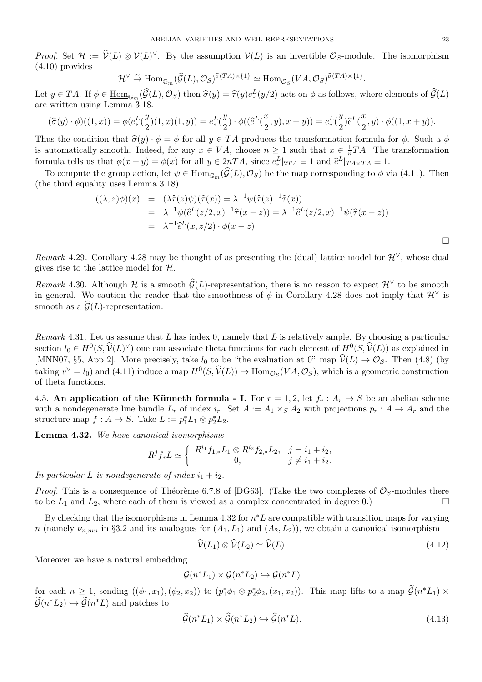*Proof.* Set  $\mathcal{H} := \hat{\mathcal{V}}(L) \otimes \mathcal{V}(L)^{\vee}$ . By the assumption  $\mathcal{V}(L)$  is an invertible  $\mathcal{O}_S$ -module. The isomorphism (4.10) provides EXECTIVE VARIETIITY the assumed  $(\widehat{G}(L), \mathcal{O}_S)$ Proof. Set  $\mathcal{H} := \hat{\mathcal{V}}(L) \otimes \mathcal{V}(L)^{\vee}$ . By the assumption  $\mathcal{V}(L)$  is an invertible  $\mathcal{O}_S$ -module. The isomorphism <br>(4.10) provides<br> $\mathcal{H}^{\vee} \stackrel{\sim}{\to} \underline{\text{Hom}}_{\mathbb{G}_m}(\hat{\mathcal{G}}(L), \mathcal{O}_S)^{\hat{\sigma}(TA) \times \{1\}} \simeq \underline$ 

$$
\mathcal{H}^{\vee} \stackrel{\sim}{\to} \underline{\operatorname{Hom}}_{\mathbb{G}_m}(\widehat{\mathcal{G}}(L), \mathcal{O}_S)^{\widehat{\sigma}(TA) \times \{1\}} \simeq \underline{\operatorname{Hom}}_{\mathcal{O}_S}(VA, \mathcal{O}_S)^{\widehat{\sigma}(TA) \times \{1\}}.
$$

are written using Lemma 3.18.  $y \in TA$ . If  $\phi \in \underline{\text{Hom}}_{\mathbb{G}_m}(\widehat{\mathcal{G}}(L), \mathcal{O}_S)$  then  $\widehat{\sigma}(y) = \widehat{\tau}(y)e_*^T$ <br>written using Lemma 3.18.<br> $(\widehat{\sigma}(y) \cdot \phi)((1, x)) = \phi(e_*^L(\frac{y}{\sigma})(1, x)(1, y)) = e_*^L(\frac{y}{\sigma}) \cdot \phi((\widehat{\epsilon}))$ )*e*b

$$
(\widehat{\sigma}(y) \cdot \phi)((1,x)) = \phi(e_*^L(\frac{y}{2})(1,x)(1,y)) = e_*^L(\frac{y}{2}) \cdot \phi((\widehat{e}^L(\frac{x}{2},y), x+y)) = e_*^L(\frac{y}{2})\widehat{e}^L(\frac{x}{2},y) \cdot \phi((1,x+y)).
$$

Thus the condition that  $\hat{\sigma}(y) \cdot \phi = \phi$  for all  $y \in TA$  produces the transformation formula for  $\phi$ . Such a  $\phi$ is automatically smooth. Indeed, for any  $x \in VA$ , choose  $n \geq 1$  such that  $x \in \frac{1}{n}$  $\frac{1}{n}TA$ . The transformation  $(x + y) = e^{\mu}_{*}$ <br> *l*et transformat<br>
1 such that *x*<br>  $|_{2TA} \equiv 1$  and  $\hat{e}$ [*TA* produces the transformation formula for  $\phi$ . Such a  $\phi$ <br> *CA*, choose  $n \geq 1$  such that  $x \in \frac{1}{n}TA$ . The transformation  $2nTA$ , since  $e^L_*|_{2TA} \equiv 1$  and  $\hat{e}^L|_{TAxTA} \equiv 1$ .<br>  $(\hat{G}(L), \mathcal{O}_S)$  be the map corres

formula tells us that  $\phi(x + y) = \phi(x)$  for all  $y \in 2nTA$ , since  $e_*^L|_{2TA} \equiv 1$  and  $\hat{e}^L|_{TA \times TA} \equiv 1$ .<br>To compute the group action, let  $\psi \in \underline{\text{Hom}}_{\mathbb{G}_m}(\hat{G}(L), \mathcal{O}_S)$  be the map corresponding to  $\phi$  v (the third e (the third equality uses Lemma 3.18)

To compute the group action, let 
$$
\psi \in \underline{\text{Hom}}_{\mathbb{G}_m}(\mathcal{G}(L), \mathcal{O}_S)
$$
 be the map corresponding to  $\phi$  via (4.1  
ne third equality uses Lemma 3.18)  

$$
((\lambda, z)\phi)(x) = (\lambda \hat{\tau}(z)\psi)(\hat{\tau}(x)) = \lambda^{-1}\psi(\hat{\tau}(z)^{-1}\hat{\tau}(x))
$$

$$
= \lambda^{-1}\psi(\hat{e}^L(z/2, x)^{-1}\hat{\tau}(x-z)) = \lambda^{-1}\hat{e}^L(z/2, x)^{-1}\psi(\hat{\tau}(x-z))
$$

$$
= \lambda^{-1}\hat{e}^L(x, z/2) \cdot \phi(x-z)
$$

*Remark* 4.29. Corollary 4.28 may be thought of as presenting the (dual) lattice model for  $\mathcal{H}^{\vee}$ , whose dual gives rise to the lattice model for *H*. *Remark* 4.29. Corollary 4.28 may be thought of as presenting the (dual) lattice model for  $\mathcal{H}^{\vee}$ , whose dual gives rise to the lattice model for  $\mathcal{H}$ .<br>*Remark* 4.30. Although  $\mathcal{H}$  is a smooth  $\widehat{\mathcal{G}}(L)$ 

in general. We caution the reader that the smoothness of  $\phi$  in Corollary 4.28 does not imply that  $\mathcal{H}^{\vee}$  is *Remark* 4.30. Although  $\mathcal{H}$  is a smooth  $\widehat{\mathcal{G}}(L)$ -representation, there is no reason to expect  $\mathcal{H}^{\vee}$  to be smooth in general. We caution the reader that the smoothness of  $\phi$  in Corollary 4.28 does not

*Remark* 4.31*.* Let us assume that *L* has index 0, namely that *L* is relatively ample. By choosing a particular smooth as a  $\mathcal{G}(L)$ -representation.<br> *Remark* 4.31. Let us assume that *L* has index 0, namely that *L* is relatively ample. By choosing a particular<br>
section  $l_0 \in H^0(S, \hat{\mathcal{V}}(L)^{\vee})$  one can associate theta functio *Remark* 4.31. Let us assume that *L* has index 0, namely that *L* is relatively ample. By choosing a particular section  $l_0 \in H^0(S, \hat{\mathcal{V}}(L)^\vee)$  one can associate theta functions for each element of  $H^0(S, \hat{\mathcal{V}}(L))$ taking  $v^{\vee} = l_0$  and (4.11) induce a map  $H^0(S, \hat{\mathcal{V}}(L)) \to \text{Hom}_{\mathcal{O}_S}(VA, \mathcal{O}_S)$ , which is a geometric construction  $L$  theta functions for<br>  $l_0$  to be "the evalua<br>  $(S, \hat{V}(L)) \rightarrow \text{Hom}_{\mathcal{O}_S}$ of theta functions.

4.5. An application of the Künneth formula - I. For  $r = 1, 2$ , let  $f_r : A_r \to S$  be an abelian scheme with a nondegenerate line bundle  $L_r$  of index  $i_r$ . Set  $A := A_1 \times_S A_2$  with projections  $p_r : A \to A_r$  and the structure map  $f: A \to S$ . Take  $L := p_1^* L_1 \otimes p_2^* L_2$ .

**Lemma 4.32.** *We have canonical isomorphisms*

$$
R^jf_*L\simeq\left\{\begin{array}{cc}R^{i_1}f_{1,*}L_1\otimes R^{i_2}f_{2,*}L_2, & j=i_1+i_2, \\ 0, & j\neq i_1+i_2.\end{array}\right.
$$

In particular L is nondegenerate of index  $i_1 + i_2$ .

*Proof.* This is a consequence of Théorème 6.7.8 of [DG63]. (Take the two complexes of  $\mathcal{O}_S$ -modules there to be  $L_1$  and  $L_2$ , where each of them is viewed as a complex concentrated in degree 0.)

By checking that the isomorphisms in Lemma 4.32 for *n <sup>∗</sup>L* are compatible with transition maps for varying *n* (namely  $\nu_{n,mn}$  in §3.2 and its analogues for  $(A_1, L_1)$  and  $(A_2, L_2)$ ), we obtain a canonical isomorphism *V*ewed as a complex concentrated in degree 0.)  $\Box$ <br>*Pmma* 4.32 for  $n^*L$  are compatible with transition maps for varying<br>for  $(A_1, L_1)$  and  $(A_2, L_2)$ , we obtain a canonical isomorphism<br> $\hat{\mathcal{V}}(L_1) \otimes \hat{\mathcal{V}}(L_2) \$ 

$$
\widehat{\mathcal{V}}(L_1) \otimes \widehat{\mathcal{V}}(L_2) \simeq \widehat{\mathcal{V}}(L). \tag{4.12}
$$

Moreover we have a natural embedding

$$
\mathcal{G}(n^*L_1) \times \mathcal{G}(n^*L_2) \hookrightarrow \mathcal{G}(n^*L)
$$

Moreover we have a natural embedding<br>  $\mathcal{G}(n^*L_1) \times \mathcal{G}(n^*L_2) \hookrightarrow \mathcal{G}(n^*L)$ <br>
for each  $n \geq 1$ , sending  $((\phi_1, x_1), (\phi_2, x_2))$  to  $(p_1^*\phi_1 \otimes p_2^*\phi_2, (x_1, x_2))$ . This map lifts to a map  $\widetilde{\mathcal{G}}(n^*L_1) \times$ Moreover we ha<br>
for each  $n \geq 1$ ,<br>  $\widetilde{\mathcal{G}}(n^*L_2) \hookrightarrow \widetilde{\mathcal{G}}(n$  $\widetilde{\mathcal{G}}(n^*L_2) \hookrightarrow \widetilde{\mathcal{G}}(n^*L)$  and patches to  $G(n^*L_1) \times G(n^*L_2) \hookrightarrow G(n^*L_1)$ <br> *x*<sub>2</sub>) to  $(p_1^*\phi_1 \otimes p_2^*\phi_2, (x_1,$ <br>  $\widehat{\mathcal{G}}(n^*L_1) \times \widehat{\mathcal{G}}(n^*L_2) \hookrightarrow \widehat{\mathcal{G}}(n^*L_1)$ 

$$
\widehat{\mathcal{G}}(n^*L_1) \times \widehat{\mathcal{G}}(n^*L_2) \hookrightarrow \widehat{\mathcal{G}}(n^*L). \tag{4.13}
$$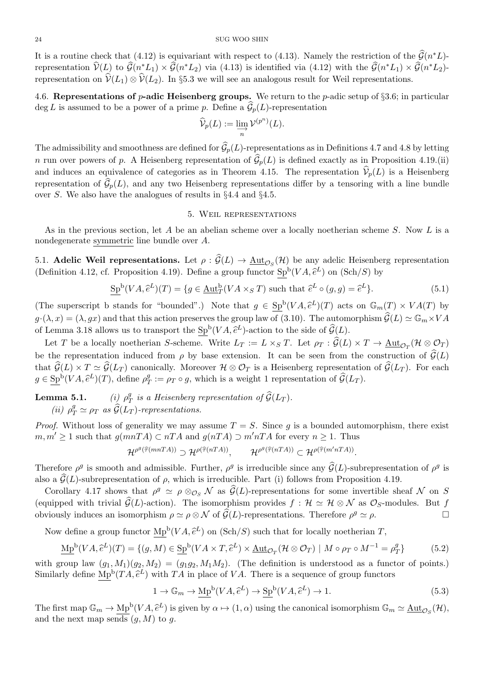It is a routine check that (4.12) is equivariant with respect to (4.13). Namely the restriction of the  $\hat{G}(n^*L)$ -<sup>24</sup><br>SUG WOO SHIN<br>It is a routine check that (4.12) is equivariant with respect to (4.13). Namely the restriction of the  $\hat{G}(n)$ <br>representation  $\hat{V}(L)$  to  $\hat{G}(n^*L_1) \times \hat{G}(n^*L_2)$  via (4.13) is identified via (4.1 representation  $\hat{V}(L)$  to  $\hat{G}(n^*L_1) \times \hat{G}(n^*L_2)$  via (4.13) is identified via (4.12) with the  $\hat{G}(n^*L_1) \times \hat{G}(n^*L_2)$ representation  $\hat{V}(L)$  to  $\hat{G}(n^*L_1) \times \hat{G}(n^*L_2)$  via (4.13) is identified via (4.12) with the  $\hat{G}(n^*L_1) \times \hat{G}(n^*L_2) \times \hat{G}(n^*L_1) \times \hat{V}(L_1) \otimes \hat{V}(L_2)$ . In §5.3 we will see an analogous result for Weil rep

4.6. **Representations of** *p***-adic Heisenberg groups.** We return to the *p*-adic setup of *§*3.6; in particular representation on  $\hat{V}(L_1) \otimes \hat{V}(L_2)$ . In §5.3 we will see an analogous result for Weil representations.<br>4.6. **Representations of** *p***-adic Heisenberg groups.** We return to the *p*-adic setup of §3.6; in j deg *L* is a *V*b*p*(*L*) := lim*−→* deg *L* is assumed to be a power of a prime *p*. Define a  $\hat{\mathcal{G}}_p(L)$ -representation<br> $\hat{\mathcal{V}}_p(L) := \lim_{\substack{\longrightarrow \\ n}} \mathcal{V}^{(p^n)}(L)$ .<br>The admissibility and smoothness are defined for  $\hat{\mathcal{G}}_p(L)$ -representations as in Defin

$$
\widehat{\mathcal{V}}_p(L) := \varinjlim_n \mathcal{V}^{(p^n)}(L).
$$

 $\hat{\mathcal{V}}_p(L) := \varinjlim_n \mathcal{V}^{(p^n)}(L).$ <br>The admissibility and smoothness are defined for  $\hat{\mathcal{G}}_p(L)$ -representations as in Definitions 4.7 and 4.8 by letting *n* run over powers of *p*. A Heisenberg representation of  $\hat{\math$ The admissibility and smoothness are defined for  $\hat{G}_p(L)$ -representations as in Definitions 4.7 and 4.8 by letting <br>*n* run over powers of *p*. A Heisenberg representation of  $\hat{G}_p(L)$  is defined exactly as in Proposit The admissibility and smoothness are defined for  $\widehat{\mathcal{G}}_p(L)$ -representations as in Definitions 4.7 and 4.8 by letting *n* run over powers of *p*. A Heisenberg representation of  $\widehat{\mathcal{G}}_p(L)$  is defined exactly as in over *S*. We also have the analogues of results in *§*4.4 and *§*4.5.

## 5. Weil representations

As in the previous section, let *A* be an abelian scheme over a locally noetherian scheme *S*. Now *L* is a nondegenerate symmetric line bundle over *A*. 5. WELL REFRESENTATIONS<br>As in the previous section, let *A* be an abelian scheme over a locally noetherian scheme *S*. Now *L* is a<br>nondegenerate symmetric line bundle over *A*.<br>5.1. **Adelic Weil representations.** Let  $\rho$ 

(Definition 4.12, cf. Proposition 4.19). Define a group functor  $\text{Sp}^b(VA, \hat{e}^L)$  on  $(\text{Sch}/S)$  by %<br>be any  $(VA, \hat{e}$ **resentations.** Let  $\rho : \hat{G}(L) \to \underline{\text{Aut}}_{\mathcal{O}_S}(\mathcal{H})$  be any adelic Heiroposition 4.19). Define a group functor  $\underline{\text{Sp}}^{\text{b}}(VA, \hat{e}^L)$  on  $(\text{Sch}/\mathcal{H}, \hat{e}^L)(T) = \{g \in \underline{\text{Aut}}_T^{\text{b}}(VA \times_S T) \text{ such that } \hat{e}^L \circ (g, g) = \hat{e}$ (Definition 4.12, cf. Proposition 4.19). Define a group functor  $\text{Sp}^b(VA, \hat{e}^L)$  on  $(\text{Sch}/S)$  by<br>  $\text{Sp}^b(VA, \hat{e}^L)(T) = \{g \in \text{Aut}^b_T(VA \times_S T) \text{ such that } \hat{e}^L \circ (g, g) = \hat{e}^L\}.$  (5.1)<br>
(The superscript b stands for "bounded

$$
\underline{\mathrm{Sp}}^{\mathrm{b}}(VA, \hat{e}^L)(T) = \{ g \in \underline{\mathrm{Aut}}_T^{\mathrm{b}}(VA \times_S T) \text{ such that } \hat{e}^L \circ (g, g) = \hat{e}^L \}. \tag{5.1}
$$

 $g_P^b(VA, \hat{e}^L)(T) = \{g \in \underline{\text{Aut}}_T^b(VA \times_S T) \text{ such that } \hat{e}^L \circ (g, g) = \hat{e}^L\}.$  (5.1)<br>
(The superscript b stands for "bounded".) Note that  $g \in \underline{\text{Sp}}^b(VA, \hat{e}^L)(T)$  acts on  $\mathbb{G}_m(T) \times VA(T)$  by  $g \cdot (\lambda, x) = (\lambda, gx)$  and that this a of Lemma 3.18 allows us to transport the  $\text{Sp}^b(VA, \hat{e}^L)$ -action to the side of  $\hat{\mathcal{G}}(L)$ .  $\underline{\text{tr}}_T^{\text{b}}(VA \times_S T)$  such that  $\hat{e}^L \circ (g, g)$  =<br>
Note that  $g \in \underline{\text{Sp}}^{\text{b}}(VA, \hat{e}^L)(T)$  acts<br>
is the group law of (3.10). The autom<br>  $(VA, \hat{e}^L)$ -action to the side of  $\hat{G}(L)$ . he superscript b stands for "bounded".) Note that  $g \in \text{Sp}^b(VA, \hat{e}^L)(T)$  acts on  $\mathbb{G}_m(T) \times (\lambda, x) = (\lambda, gx)$  and that this action preserves the group law of (3.10). The automorphism  $\hat{\mathcal{G}}(L) \simeq$ <br>Lemma 3.18 allows us  $g \cdot (\lambda, x) = (\lambda, gx)$  and that this action preserves the group law of (3.10). The automorphism  $\hat{G}(L) \simeq \mathbb{G}_m \times VA$ <br>of Lemma 3.18 allows us to transport the  $\text{Sp}^b(VA, \hat{e}^L)$ -action to the side of  $\hat{G}(L)$ .<br>Let *T* be a

 $(\mathcal{H} \otimes \mathcal{O}_T)$ of Lemma 3.18 allows us to transport the  $\text{Sp}^b(VA, \hat{e}^L)$ -action to the side of  $\hat{\mathcal{G}}(L)$ .<br>Let *T* be a locally noetherian *S*-scheme. Write  $L_T := L \times_S T$ . Let  $\rho_T : \hat{\mathcal{G}}(L) \times T \to \underline{\text{Aut}}_{\mathcal{O}_T}(\mathcal{H} \otimes \mathcal{O}_T)$ <br> Let *T* be a locally noetheri<br>
be the representation induced<br>
that  $\widehat{\mathcal{G}}(L) \times T \simeq \widehat{\mathcal{G}}(L_T)$  canon<br>  $g \in \text{Sp}^{\text{b}}(VA, \widehat{e}^L)(T)$ , define  $\rho_q^g$ *T* := *<sup>ρ</sup><sup>T</sup> ◦ <sup>g</sup>*, which is a weight 1 representation of *<sup>G</sup>*b(*L<sup>T</sup>* ). is a Heisenberg *i* and *i* and *p* by base extension. It can anonically. Moreover  $\mathcal{H} \otimes \mathcal{O}_T$  is a Heisenberg *i*  $\varrho_T^g := \rho_T \circ g$ , which is a weight 1 repres *is a Heisenberg representation of*  $\widehat{\mathcal{G}}(L_T)$ .

**Lemma 5.1.** *(i)*  $\rho_7^g$ *T*  $(iii)$   $\rho_7^g$ *T*  $\simeq G(L_T)$  canonically. Moreo<br> *T A*,  $\hat{e}^L$ )(*T*), define  $\rho_T^g := \rho_T \circ g$ , w<br> **5.1.** (*i*)  $\rho_T^g$  *is a Heisenberg r*<br>  $T^g \simeq \rho_T$  *as*  $\hat{G}(L_T)$ -representations.

*Proof.* Without loss of generality we may assume  $T = S$ . Since g is a bounded automorphism, there exist *m, m'* ≥ 1 such that  $g(mnTA)$  ⊂  $nTA$  and  $g(nTA)$  ⊃  $m'nTA$  for every  $n \ge 1$ . Thus *Proof.* Without loss of generality we may assume  $T = S$ . Since g is a bounded automorphism, there exist  $m, m' \ge 1$  such that  $g(mnTA) \subset nTA$  and  $g(nTA) \supset m'nTA$  for every  $n \ge 1$ . Thus<br> $\mathcal{H}^{\rho^g(\widehat{\tau}(mnTA))} \supset \mathcal{H}^{\rho(\widehat{\tau}(nTA))$ 

$$
\mathcal{H}^{\rho^g(\widehat{\tau}(mnTA))} \supset \mathcal{H}^{\rho(\widehat{\tau}(nTA))}, \qquad \mathcal{H}^{\rho^g(\widehat{\tau}(nTA))} \subset \mathcal{H}^{\rho(\widehat{\tau}(m'nTA))}.
$$

 $m, m' \geq 1$  such that  $g(mnTA) \subset nTA$  and  $g(nTA) \supset m'nTA$  for every  $n \geq 1$ . Thus<br>  $\mathcal{H}^{\rho^g(\widehat{\tau}(mnTA))} \supset \mathcal{H}^{\rho(\widehat{\tau}(nTA))}$ ,  $\mathcal{H}^{\rho^g(\widehat{\tau}(nTA))} \subset \mathcal{H}^{\rho(\widehat{\tau}(m'nTA)})$ .<br>
Therefore  $\rho^g$  is smooth and admissible. Further *nTA*))  $\supset \mathcal{H}^{\rho(\widehat{\tau}(nTA))}$ ,  $\mathcal{H}^{\rho^g(\widehat{\tau}(nTA))} \subset \mathcal{H}^{\rho(\widehat{\tau}(m'nTA))}$ .<br>missible. Further,  $\rho^g$  is irreducible since any  $\widehat{\mathcal{G}}(L)$ -subrepresentation of  $\rho^g$  is  $f \rho$ , which is irreducible. Part (i) follo

Corollary 4.17 shows that *ρ* Therefore  $\rho^g$  is smooth and admissible. Further,  $\rho^g$  is irreducible since any  $\hat{G}(L)$ -subrepresentation of  $\rho^g$  is also a  $\hat{G}(L)$ -subrepresentation of  $\rho$ , which is irreducible. Part (i) follows from Proposit also a  $\hat{G}(L)$ -subrepresentation of  $\rho$ , which is irreducible. Part (i) follows from Prop<br>Corollary 4.17 shows that  $\rho^g \simeq \rho \otimes_{\mathcal{O}_S} \mathcal{N}$  as  $\hat{G}(L)$ -representations for some i<br>(equipped with trivial  $\hat{G}(L)$ obviously induces an isomorphism  $\rho \simeq \rho \otimes \mathcal{N}$  of  $\widehat{\mathcal{G}}(L)$ -representations. Therefore  $\rho^g \simeq \rho$ . Corollary 4.17 shows that  $\rho^g \simeq \rho \otimes_{\mathcal{O}_S} \mathcal{N}$  as  $\mathcal{G}(L)$ -representations for some invertible quipped with trivial  $\widehat{\mathcal{G}}(L)$ -action). The isomorphism provides  $f : \mathcal{H} \simeq \mathcal{H} \otimes \mathcal{N}$  as  $\mathcal{O}_{S}$ formal divide  $g(z)$  density. The nonsetional<br>
duces an isomorphism  $\rho \simeq \rho \otimes \mathcal{N}$  of  $\widehat{g}(z)$ <br>
(*VA*,  $\widehat{e}^L$ )(*T*) = {(*g*, *M*)  $\in$  Sp<sup>b</sup>(*VA* × *T*,  $\widehat{e}$ 

$$
\underline{\mathrm{Mp}}^{\mathrm{b}}(VA, \hat{e}^L)(T) = \{ (g, M) \in \underline{\mathrm{Sp}}^{\mathrm{b}}(VA \times T, \hat{e}^L) \times \underline{\mathrm{Aut}}_{\mathcal{O}_T}(\mathcal{H} \otimes \mathcal{O}_T) \mid M \circ \rho_T \circ M^{-1} = \rho_T^g \} \tag{5.2}
$$

with group law  $(g_1, M_1)(g_2, M_2) = (g_1g_2, M_1M_2)$ . (The definition is understood as a functor of points.) Similarly define  $\underline{\mathrm{Mp}}^{\mathrm{b}}(TA, \hat{e}^L)$  with *TA* in place of *VA*. There is a sequence of group functors<br>  $1 \to \mathbb{G}_m \to \underline{\mathrm{Mp}}^{\mathrm{b}}(VA, \hat{e}^L) \to \underline{\mathrm{Sp}}^{\mathrm{b}}(VA, \hat{e}^L) \to 1.$ <br>
The first map  $\mathbb{G}_m \to \mathrm{Mp}^{\mathrm{b}}(VA, \$  $(T) = \{$ <br> $M_1)(g_2$ <br> $(TA, \hat{e})$ (*V*<sub>A</sub>). (The definition is<br>
(*V*<sub>A</sub>,  $\hat{e}^L$ )  $\rightarrow$  Sp<sup>b</sup>(*V*<sub>A</sub>,  $\hat{e}$ )

$$
1 \to \mathbb{G}_m \to \underline{\mathrm{Mp}}^{\mathrm{b}}(VA, \hat{e}^L) \to \underline{\mathrm{Sp}}^{\mathrm{b}}(VA, \hat{e}^L) \to 1. \tag{5.3}
$$

The first map  $\mathbb{G}_m \to \underline{\mathrm{Mp}}^{\mathrm{b}}(VA, \hat{e}^L)$  is given by  $\alpha \mapsto (1, \alpha)$  using the canonical isomorphism  $\mathbb{G}_m \simeq \underline{\mathrm{Aut}}_{\mathcal{O}_S}(\mathcal{H}),$ and the next map sends  $(g, M)$  to  $g$ .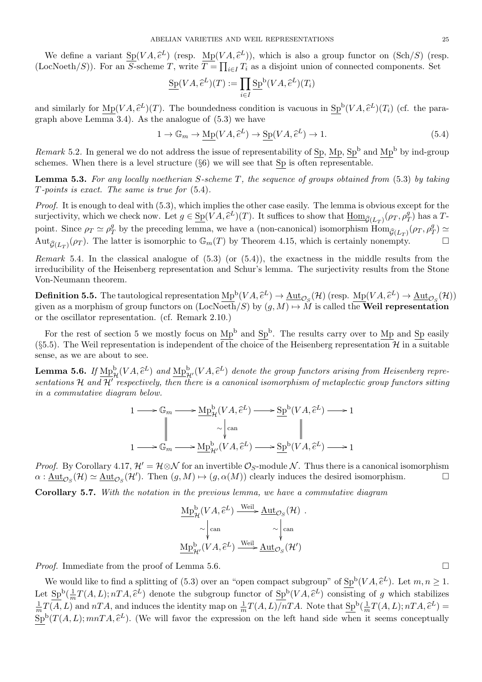ABELIAN VARIETIES AND WEIL REPRESENTATIONS 25<br>We define a variant  $Sp(VA, \hat{e}^L)$  (resp.  $Mp(VA, \hat{e}^L)$ ), which is also a group functor on (Sch/S) (resp. (LocNoeth/S)). For an *S*-scheme *T*, write  $T = \prod_{i \in I} T_i$  as a disjoint union of connected components. Set IAN VARIETIES AND WEIL REPRES<br>
(resp.  $\underline{\text{Mp}}(VA, \hat{e}^L)$ ), which is<br> *T*, write  $\overline{T} = \prod_{i \in I} T_i$  as a disjoin<br>  $\text{Sp}(VA, \hat{e}^L)(T) := \prod \text{Sp}^b(VA, \hat{e}^L)$ 

$$
\underline{\mathrm{Sp}}(VA, \hat{e}^L)(T) := \prod_{i \in I} \underline{\mathrm{Sp}}^{\mathrm{b}}(VA, \hat{e}^L)(T_i)
$$

(LocNoeth/S)). For an S-scheme  $T$ , write  $T = \prod_{i \in I} T_i$  as a disjoint union of connected components. Set<br>  $\underline{\mathrm{Sp}}(VA, \hat{e}^L)(T) := \prod_{i \in I} \underline{\mathrm{Sp}}^{\mathrm{b}}(VA, \hat{e}^L)(T_i)$ <br>
and similarly for  $\mathrm{Mp}(VA, \hat{e}^L)(T)$ . The boundednes graph above Lemma 3.4). As the analogue of  $(5.3)$  we have 7). The boundedness condition is vacue analogue of (5.3) we have<br>  $1 \to \mathbb{G}_m \to \underline{\mathrm{Mp}}(VA, \hat{e}^L) \to \underline{\mathrm{Sp}}(VA, \hat{e}^L)$ 

$$
1 \to \mathbb{G}_m \to \underline{\mathrm{Mp}}(VA, \hat{e}^L) \to \underline{\mathrm{Sp}}(VA, \hat{e}^L) \to 1. \tag{5.4}
$$

*Remark* 5.2. In general we do not address the issue of representability of Sp, Mp,  $Sp^b$  and Mp<sup>b</sup> by ind-group schemes. When there is a level structure (*§*6) we will see that Sp is often representable.

**Lemma 5.3.** *For any locally noetherian S-scheme T, the sequence of groups obtained from* (5.3) *by taking T-points is exact. The same is true for* (5.4)*.*

*Proof.* It is enough to deal with  $(5.3)$ , which implies the other case easily. The lemma is obvious except for the **Lemma 5.3.** For any locally noetherian S-scheme T, the sequence of groups obtained from (5.3) T-points is exact. The same is true for (5.4).<br>*Proof.* It is enough to deal with (5.3), which implies the other case easily.  $(T/T)$  has a *T*point. Since  $\rho_T \simeq \rho_T^g$ <sup>g</sup>
by the preceding lemma, we have a (non-canonical) isomorphism  $\text{Hom}_{\widehat{\mathcal{G}}(L)}(\rho_T, \rho_T^g)$  $_T^g$ ) ≃ Aut $_{\widehat{\mathcal{G}}(L_T)}(\rho_T)$ . The latter is isomorphic to  $\mathbb{G}_m(T)$  by Theorem 4.15, which is certainly nonempty.

*Remark* 5.4. In the classical analogue of  $(5.3)$  (or  $(5.4)$ ), the exactness in the middle results from the irreducibility of the Heisenberg representation and Schur's lemma. The surjectivity results from the Stone Von-Neumann theorem. *Remark* 5.4. In the classical analogue of (5.3) (or (5.4)), the exactness in the middle results from the stone irreducibility of the Heisenberg representation and Schur's lemma. The surjectivity results from the Stone Vo

given as a morphism of group functors on  $(LocNoeth/S)$  by  $(q, M) \mapsto \tilde{M}$  is called the **Weil representation** or the oscillator representation. (cf. Remark 2.10.)

For the rest of section 5 we mostly focus on  $Mp<sup>b</sup>$  and  $Sp<sup>b</sup>$ . The results carry over to Mp and Sp easily (§5.5). The Weil representation is independent of the choice of the Heisenberg representation  $\mathcal{H}$  in a suitable sense, as we are about to see. For the rest of section 5 we mostly focus on  $Mp^b$  and  $Sp^b$ . The results carry over to  $Mp$  and  $Sp$  easily (§5.5). The Weil representation is independent of the choice of the Heisenberg representation  $\mathcal{H}$  in a suitab

*sentations H and H′ respectively, then there is a canonical isomorphism of metaplectic group functors sitting in a commutative diagram below.*  $\widehat{e}^L$ ) denote the group funct<br>  $\iota$  canonical isomorphism of<br>  $(VA, \widehat{e}^L) \longrightarrow \mathrm{Sp}^{\mathrm{b}}(VA, \widehat{e}^L)$ 

$$
1 \longrightarrow \mathbb{G}_m \longrightarrow \underline{\mathrm{Mp}}^{\mathrm{b}}_{\mathcal{H}}(VA, \hat{e}^L) \longrightarrow \underline{\mathrm{Sp}}^{\mathrm{b}}(VA, \hat{e}^L) \longrightarrow 1
$$
  

$$
\parallel \sim \downarrow_{\mathrm{can}} \qquad \qquad \parallel
$$
  

$$
1 \longrightarrow \mathbb{G}_m \longrightarrow \underline{\mathrm{Mp}}^{\mathrm{b}}_{\mathcal{H}'}(VA, \hat{e}^L) \longrightarrow \underline{\mathrm{Sp}}^{\mathrm{b}}(VA, \hat{e}^L) \longrightarrow 1
$$

*Proof.* By Corollary 4.17,  $\mathcal{H}' = \mathcal{H} \otimes \mathcal{N}$  for an invertible  $\mathcal{O}_S$ -module  $\mathcal{N}$ . Thus there is a canonical isomorphism  $\alpha$ :  $\underline{\text{Aut}}_{\mathcal{O}_S}(\mathcal{H}) \simeq \underline{\text{Aut}}_{\mathcal{O}_S}(\mathcal{H}')$ . Then  $(g, M) \mapsto (g, \alpha(M))$  clearly induces the desired isomorphism.  $\square$ <br> **Corollary 5.7.** With the notation in the previous lemma, we have a commutative diagram<br>  $\text{$ 

**Corollary 5.7.** *With the notation in the previous lemma, we have a commutative diagram*

$$
\underbrace{\mathrm{Mp}^{\mathrm{b}}_{\mathcal{H}}(VA, \hat{e}^{L}) \xrightarrow{\mathrm{Weil}} \underline{\mathrm{Aut}}_{\mathcal{O}_S}(\mathcal{H})} \cdot \underset{\mathrm{Map}^{\mathrm{b}}_{\mathcal{H}'}(VA, \hat{e}^{L}) \xrightarrow{\mathrm{Weil}} \underline{\mathrm{Aut}}_{\mathcal{O}_S}(\mathcal{H}')}{\mathrm{Map}^{\mathrm{b}}_{\mathcal{H}'}(VA, \hat{e}^{L}) \xrightarrow{\mathrm{Weil}} \underline{\mathrm{Aut}}_{\mathcal{O}_S}(\mathcal{H}')}.
$$

*Proof.* Immediate from the proof of Lemma 5.6. □

We would like to find a splitting of (5.3) over an "open compact subgroup" of  $\text{Sp}^{\text{b}}(VA, \hat{e}^L)$ . Let  $m, n \geq 1$ . Let  $\text{Sp}^b(\frac{1}{m})$ *mediate from the proof of Lemma 5.6.*<br>
and like to find a splitting of (5.3) over an "open compact subgroup" of  $\mathcal{S}p^{b}(VA, \hat{e}^{L})$ . Let  $m, n \geq 1$ .<br>  $\frac{1}{m}T(A, L); nTA, \hat{e}^{L})$  denote the subgroup functor of  $\mathcal{S}p^{b$ 1  $\frac{1}{m}T(A, L)$  and *nTA*, and induces the identity map on  $\frac{1}{m}T(A, L)/nTA$ . Note that  $\underline{\text{Sp}}^{\text{b}}(\frac{1}{m})$  $\frac{1}{m}T(A,L); nTA, \hat{e}^L$  = *A*,  $\hat{e}^L$ ). Let *m*, *n f g* which stabio  $T(A, L); nTA, \hat{e}$  $Sp<sup>b</sup>(T(A, L); mnTA,  $\hat{e}^{L}$ ). (We will favor the expression on the left hand side when it seems conceptually$ Ve would like to fin<br>  $\frac{\text{Sp}^{\text{b}}(\frac{1}{m}T(A, L); nT)}{(A, L)}$  and  $nTA$ , and  $nTA$ ,  $\hat{e}$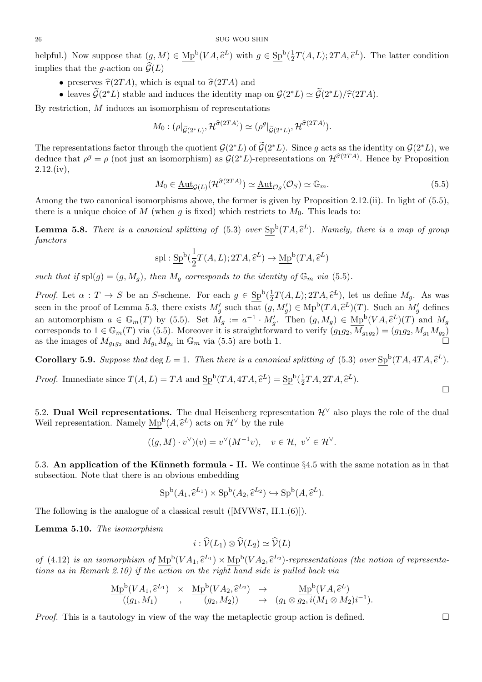26<br>helpful.) Now suppose that  $(g, M) \in \text{Mp}^{\text{b}}(VA, \hat{e}^L)$  with  $g \in \text{Sp}^{\text{b}}(\frac{1}{2})$  $\frac{1}{2}T(A, L); 2TA, \hat{e}^{L}).$  The latter condition <sup>26</sup><br>helpful.) Now suppose that  $(g, M)$ <br>implies that the *g*-action on  $\widehat{G}(L)$ *i*) Now suppose that  $(g, M) \in \underline{Mp}^b(VA, \hat{e}^L)$  with<br> *i* s that the *g*-action on  $\widehat{G}(L)$ <br>
• preserves  $\widehat{\tau}(2TA)$ , which is equal to  $\widehat{\sigma}(2TA)$  and *i*.) Now suppose that  $(g, M) \in \text{Mp}^b(VA, \hat{e}^L)$  with  $g \in \text{Sp}^b(\frac{1}{2}T(A, L); 2TA, \hat{e}^L)$ . Then is that the *g*-action on  $\hat{\mathcal{G}}(L)$ <br>
• preserves  $\hat{\tau}(2TA)$ , which is equal to  $\hat{\sigma}(2TA)$  and<br>
• leaves  $\tilde{\mathcal{G}}(2^*L$ 

- 
- 

By restriction, *M* induces an isomorphism of representations

$$
M_0: (\rho|_{\widetilde{\mathcal{G}}(2^*L)}, \mathcal{H}^{\widehat{\sigma}(2TA)}) \simeq (\rho^g|_{\widetilde{\mathcal{G}}(2^*L)}, \mathcal{H}^{\widehat{\sigma}(2TA)}).
$$

The representations factor through the quotient  $\mathcal{G}(2^*L)$  of  $\tilde{\mathcal{G}}(2^*L)$ . Since *g* acts as the identity on  $\mathcal{G}(2^*L)$ , we deduce that  $\rho^g = \rho$  (not just an isomorphism) as  $\mathcal{G}(2^*L)$ -representations on  $\mathcal{H}^{\hat{\sigma}(2TA)}$ . Hence by Proposition  $2.12$ .(iv),

$$
M_0 \in \underline{\text{Aut}}_{\mathcal{G}(L)}(\mathcal{H}^{\widehat{\sigma}(2TA)}) \simeq \underline{\text{Aut}}_{\mathcal{O}_S}(\mathcal{O}_S) \simeq \mathbb{G}_m. \tag{5.5}
$$

Among the two canonical isomorphisms above, the former is given by Proposition 2.12.(ii). In light of (5.5), there is a unique choice of  $M$  (when  $g$  is fixed) which restricts to  $M_0$ . This leads to: Among the two canonical isomorphisms above, the former is given by Proposition 2.12.(ii). In light of (5.5), there is a unique choice of  $M$  (when  $g$  is fixed) which restricts to  $M_0$ . This leads to:<br>**Lemma 5.8.** *There* 

*functors ng of* (5.3) over  $\underline{\text{Sp}}^{\text{b}}(TA, \hat{e}^L)$ .<br>  $T(A, L); 2TA, \hat{e}^L) \rightarrow \text{Mp}^{\text{b}}(TA, \hat{e}^L)$ 

$$
\mathrm{spl}:\underline{\mathrm{Sp}}^{\mathrm{b}}(\frac{1}{2}T(A,L);2TA,\widehat{e}^L)\rightarrow \underline{\mathrm{Mp}}^{\mathrm{b}}(TA,\widehat{e}^L)
$$

such that if  $\text{spl}(g) = (g, M_q)$ , then  $M_q$  corresponds to the identity of  $\mathbb{G}_m$  *via* (5.5).

*Proof.* Let  $\alpha: T \to S$  be an *S*-scheme. For each  $g \in \text{Sp}^b(\frac{1}{2})$  $\rightarrow \underline{\mathrm{Mp}}^{\mathrm{b}}(TA, \hat{e}^{L})$ <br> *ntity of*  $\mathbb{G}_{m}$  *via* (5.5).<br>  $\frac{1}{2}T(A, L); 2TA, \hat{e}^{L}),$  let us define  $M_{g}$ . As was such that if  $\text{spl}(g) = (g, M_g)$ , then  $M_g$  corresponds to the identity of  $\mathbb{G}_m$  via (5.5).<br>*Proof.* Let  $\alpha : T \to S$  be an *S*-scheme. For each  $g \in \text{Sp}^b(\frac{1}{2}T(A, L); 2TA, \hat{e}^L)$ , let us define  $M_g$ . As was<br>seen in the p an automorphism  $a \in \mathbb{G}_m(T)$  by (5.5). Set  $M_g := a^{-1} \cdot M'_g$ . Then  $(g, M_g) \in \underline{Mp}^b(VA, \hat{e}^L)(T)$  and  $M_g$ for  $\det(W)$ <br>  $(VA, \hat{e})$ corresponds to  $1 \in \mathbb{G}_m(T)$  via (5.5). Moreover it is straightforward to verify  $(g_1g_2, M_{g_1g_2}) = (g_1g_2, M_{g_1}M_{g_2})$ as the images of  $M_{g_1g_2}$  and  $M_{g_1}M_{g_2}$  in  $\mathbb{G}_m$  via (5.5) are both 1.  $(g_1g_2, M_{g_1}M)$ <br>  $(TA, 4TA, \widehat{e})$ as the images of  $M_{g_1g_2}$  and  $M_{g_1}M_{g_2}$  in  $\mathbb{G}_m$  via (5.5) are both 1.<br> **Corollary 5.9.** Suppose that deg  $L = 1$ . Then there is a canonical spl:<br> *Proof.* Immediate since  $T(A, L) = TA$  and  $Sp^b(TA, 4TA, \hat{e}^L) = Sp^b(\$  $litting of (5.3)$ <br> $\frac{1}{2}TA, 2TA, \hat{e}^L$ .

**Corollary 5.9.** *Suppose that* deg  $L = 1$ *. Then there is a canonical splitting of* (5.3) *over*  $Sp^b(TA, 4TA, \tilde{e}^L)$ *.* 

5.2. **Dual Weil representations.** The dual Heisenberg representation  $\mathcal{H}^{\vee}$  also plays the role of the dual Froot. Intineuate since  $I(A, L) = IA$  and  $\frac{\partial P}{\partial L}(A, 4IA, e^I) =$ <br>
5.2. **Dual Weil representations.** The dual Heisenberg repress<br>
Weil representation. Namely  $Mp^b(A, \hat{e}^L)$  acts on  $\mathcal{H}^{\vee}$  by the rule

$$
((g, M) \cdot v^{\vee})(v) = v^{\vee}(M^{-1}v), \quad v \in \mathcal{H}, \ v^{\vee} \in \mathcal{H}^{\vee}.
$$

5.3. An application of the Künneth formula - II. We continue §4.5 with the same notation as in that subsection. Note that there is an obvious embedding **leth formula - II.** We continue §4.<sup>1</sup><br>
vious embedding<br>  $(A_1, \hat{e}^{L_1}) \times \text{Sp}^{\mathsf{b}}(A_2, \hat{e}^{L_2}) \hookrightarrow \text{Sp}^{\mathsf{b}}(A, \hat{e}^{L_1})$ 

$$
\underline{\mathrm{Sp}}^{\mathrm{b}}(A_1, \widehat{e}^{L_1}) \times \underline{\mathrm{Sp}}^{\mathrm{b}}(A_2, \widehat{e}^{L_2}) \hookrightarrow \underline{\mathrm{Sp}}^{\mathrm{b}}(A, \widehat{e}^{L}).
$$

The following is the analogue of a classical result ([MVW87, II.1.(6)]).

**Lemma 5.10.** *The isomorphism*

al result ([MVW87, II.1.  

$$
i : \widehat{\mathcal{V}}(L_1) \otimes \widehat{\mathcal{V}}(L_2) \simeq \widehat{\mathcal{V}}(L)
$$

**i**  $\hat{\mathcal{V}}(L_1) \otimes \hat{\mathcal{V}}(L_2) \simeq \hat{\mathcal{V}}(L)$ <br> *of* (4.12) *is an isomorphism of*  $Mp^b(VA_1, \hat{e}^{L_1}) \times Mp^b(VA_2, \hat{e}^{L_2})$ -representations (the notion of representa*tions as in Remark 2.10) if the action on the right hand side is pulled back via*  $\lim_{M \to \infty} \int \frac{M_{\text{P}}^{\text{b}}(VA_{1}, \hat{e}^{L_{1}}) \times M_{\text{P}}^{\text{b}}(VA_{2}, \hat{e}^{L_{2}}) \cdot \text{representation}}{f(\text{the action on the right hand side is pulled back via})}$ <br>  $(VA_{1}, \hat{e}^{L_{1}}) \times M_{\text{P}}^{\text{b}}(VA_{2}, \hat{e}^{L_{2}}) \rightarrow M_{\text{P}}^{\text{b}}(VA_{2}, \hat{e}^{L_{2}})$ 

$$
\frac{\text{Mp}^{\text{b}}(VA_1, \hat{e}^{L_1})}{((g_1, M_1)}, \quad \frac{\text{Mp}^{\text{b}}(VA_2, \hat{e}^{L_2})}{(g_2, M_2)}) \quad \mapsto \quad (g_1 \otimes \overline{g_2, i}(M_1 \otimes M_2)i^{-1}).
$$

*Proof.* This is a tautology in view of the way the metaplectic group action is defined.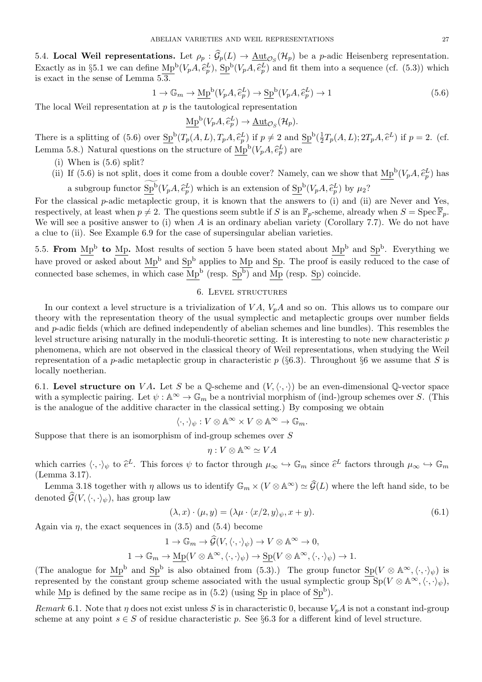**13.4. Local Weil representations.** Let  $\rho_p : \hat{\mathcal{G}}_p(L) \to \underline{\text{Aut}}_{\mathcal{O}_S}(\mathcal{H}_p)$  be a *p*-adic Heisenberg representation. ABELIAN VARIETIES AND WEIL REPRESENTATIONS 27<br>
5.4. **Local Weil representations.** Let  $\rho_p : \hat{G}_p(L) \to \underline{\text{Aut}}_{\mathcal{O}_S}(\mathcal{H}_p)$  be a *p*-adic Heisenberg representation.<br>
Exactly as in §5.1 we can define  $\text{Mp}^b(V_pA, \hat{e}_p^$ is exact in the sense of Lemma  $5.\overline{3.}$  $\widehat{\mathcal{G}}_p(L) \to \underline{\mathrm{Aut}}_{\mathcal{O}_S}(\mathcal{H}_p)$  be<br>  $\overline{\mathrm{Sp}}^{\mathrm{b}}(V_pA, \widehat{e}_p^L)$  and fit therefore  $(V_pA, \widehat{e}_p^L) \to \mathrm{Sp}^{\mathrm{b}}(V_pA, \widehat{e}_p^L)$ 

$$
1 \to \mathbb{G}_m \to \underline{\mathrm{Mp}}^{\mathrm{b}}(V_p A, \hat{e}_p^L) \to \underline{\mathrm{Sp}}^{\mathrm{b}}(V_p A, \hat{e}_p^L) \to 1
$$
  
at *p* is the tautological representation  

$$
\mathrm{Mp}^{\mathrm{b}}(V_p A, \hat{e}_p^L) \to \underline{\mathrm{Aut}}_{\mathcal{O}_S}(\mathcal{H}_p).
$$
 (5.6)

The local Weil representation at *p* is the tautological representation

$$
\underline{\mathrm{Mp}}^{\mathrm{b}}(V_p A, \widehat{e}_p^L) \to \underline{\mathrm{Aut}}_{\mathcal{O}_S}(\mathcal{H}_p).
$$

The local Weil representation at *p* is the tautological representation<br>  $\frac{\text{Mp}^{\text{b}}(V_pA, \hat{e}_p^L) \rightarrow \text{Aut}_{\mathcal{O}_S}(\mathcal{H}_p)}{\text{There is a splitting of (5.6) over $\text{Sp}^{\text{b}}(T_p(A, L), T_pA, \hat{e}_p^L)$ if } p \neq 2$ and $\text{Sp}^{\text{b}}(\frac{1}{2})$}$  $\frac{1}{2}T_p(A,L); 2T_pA, \widehat{e}^L) \text{ if } p=2. \ \ (\text{cf.}$ The local went representation at p is the tautological representation<br>  $\underline{\mathrm{Mp}}^{\mathrm{b}}(V_pA, \hat{e}_p^L) \to \underline{\mathrm{Aut}}_{\mathcal{O}_S}(\mathcal{H}_p).$ <br>
There is a splitting of (5.6) over  $\underline{\mathrm{Sp}}^{\mathrm{b}}(T_p(A, L), T_pA, \hat{e}_p^L)$  if  $p \neq 2$  and<br>
Lem if  $p = \sqrt{\sqrt{(V_p A, \hat{e}_p)}^2}$ 

- (i) When is (5.6) split?
- (ii) If (5.6) is not split, does it come from a double cover? Namely, can we show that  $Mp^b(V_pA, \hat{e}_p^L)$  has 5.8.) Natural questions<br>When is (5.6) split?<br>If (5.6) is not split, does<br>a subgroup functor  $\widetilde{\text{Sp}}^{\text{b}}$ on the structure of  $\underline{Mp}^b(V_pA, \hat{e}_p^L)$  are<br>
s it come from a double cover? Namely, can w<br>  $(V_pA, \hat{e}_p^L)$  which is an extension of  $\mathrm{Sp}^b(V_pA, \hat{e}_p^L)$  $\binom{L}{p}$  which is an extension of  $\frac{\text{Sp}^{\text{b}}}(V_pA, \hat{e}_p^L)$  by  $\mu_2$ ?

For the classical *p*-adic metaplectic group, it is known that the answers to (i) and (ii) are Never and Yes, respectively, at least when  $p \neq 2$ . The questions seem subtle if *S* is an  $\mathbb{F}_p$ -scheme, already when  $S = \text{Spec } \overline{\mathbb{F}}_p$ . We will see a positive answer to (i) when *A* is an ordinary abelian variety (Corollary 7.7). We do not have a clue to (ii). See Example 6.9 for the case of supersingular abelian varieties.

5.5. **From** Mp<sup>b</sup> to Mp. Most results of section 5 have been stated about Mp<sup>b</sup> and Sp<sup>b</sup>. Everything we have proved or asked about  $Mp^b$  and  $Sp^b$  applies to Mp and Sp. The proof is easily reduced to the case of connected base schemes, in which case  $Mp^b$  (resp.  $Sp^b$ ) and Mp (resp. Sp) coincide.

# 6. Level structures

In our context a level structure is a trivialization of  $VA$ ,  $V_pA$  and so on. This allows us to compare our theory with the representation theory of the usual symplectic and metaplectic groups over number fields and *p*-adic fields (which are defined independently of abelian schemes and line bundles). This resembles the level structure arising naturally in the moduli-theoretic setting. It is interesting to note new characteristic *p* phenomena, which are not observed in the classical theory of Weil representations, when studying the Weil representation of a *p*-adic metaplectic group in characteristic *p* (*§*6.3). Throughout *§*6 we assume that *S* is locally noetherian.

6.1. Level structure on *VA*. Let *S* be a Q-scheme and  $(V, \langle \cdot, \cdot \rangle)$  be an even-dimensional Q-vector space with a symplectic pairing. Let  $\psi : \mathbb{A}^{\infty} \to \mathbb{G}_m$  be a nontrivial morphism of (ind-)group schemes over *S*. (This is the analogue of the additive character in the classical setting.) By composing we obtain

$$
\langle \cdot, \cdot \rangle_{\psi}: V \otimes \mathbb{A}^{\infty} \times V \otimes \mathbb{A}^{\infty} \to \mathbb{G}_m.
$$

Suppose that there is an isomorphism of ind-group schemes over *S*

$$
\eta:V\otimes \mathbb{A}^\infty \simeq VA
$$

Suppose that there is an isomorphism of ind-group schemes over S<br>  $\eta: V \otimes \mathbb{A}^{\infty} \simeq VA$ <br>
which carries  $\langle \cdot, \cdot \rangle_{\psi}$  to  $\hat{e}^{L}$ . This forces  $\psi$  to factor through  $\mu_{\infty} \hookrightarrow \mathbb{G}_{m}$  since  $\hat{e}^{L}$  factors th (Lemma 3.17).

Lemma 3.18 together with *η* allows us to identify  $\mathbb{G}_m \times (V \otimes \mathbb{A}^{\infty}) \simeq \widehat{\mathcal{G}}(L)$  where the left hand side, to be denoted  $\widehat{\mathcal{G}}(V, \langle \cdot, \cdot \rangle_{\psi})$ , has group law

$$
(\lambda, x) \cdot (\mu, y) = (\lambda \mu \cdot \langle x/2, y \rangle_{\psi}, x + y). \tag{6.1}
$$

Again via  $\eta$ , the exact sequences in  $(3.5)$  and  $(5.4)$  become

is group law  
\n
$$
(\lambda, x) \cdot (\mu, y) = (\lambda \mu \cdot \langle x/2, y \rangle_{\psi}, x + y).
$$
\nsequences in (3.5) and (5.4) become  
\n
$$
1 \to \mathbb{G}_m \to \widehat{\mathcal{G}}(V, \langle \cdot, \cdot \rangle_{\psi}) \to V \otimes \mathbb{A}^{\infty} \to 0,
$$
\n
$$
1 \to \mathbb{G}_m \to \underline{\mathrm{Mp}}(V \otimes \mathbb{A}^{\infty}, \langle \cdot, \cdot \rangle_{\psi}) \to \underline{\mathrm{Sp}}(V \otimes \mathbb{A}^{\infty}, \langle \cdot, \cdot \rangle_{\psi}) \to 1.
$$

(The analogue for  $\text{Mp}^{\text{b}}$  and  $\text{Sp}^{\text{b}}$  is also obtained from (5.3).) The group functor  $\text{Sp}(V \otimes \mathbb{A}^{\infty}, \langle \cdot, \cdot \rangle_{\psi})$  is represented by the constant group scheme associated with the usual symplectic group  $Sp(V \otimes \mathbb{A}^{\infty}, \langle \cdot, \cdot \rangle_{\psi}),$ while Mp is defined by the same recipe as in  $(5.2)$  (using Sp in place of Sp<sup>b</sup>).

*Remark* 6.1. Note that *η* does not exist unless *S* is in characteristic 0, because  $V_pA$  is not a constant ind-group scheme at any point  $s \in S$  of residue characteristic p. See §6.3 for a different kind of level structure.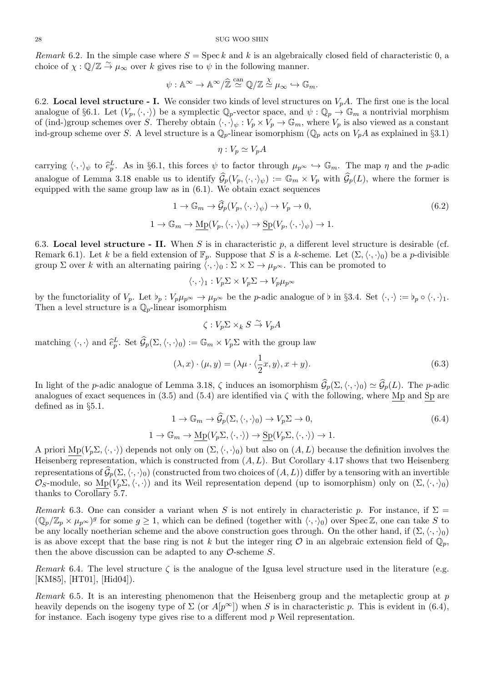*Remark* 6.2. In the simple case where  $S = \text{Spec } k$  and  $k$  is an algebraically closed field of characteristic 0, a choice of  $\chi : \mathbb{Q}/\mathbb{Z} \stackrel{\sim}{\to} \mu_\infty$  over *k* gives rise to  $\psi$  in the following manner.  $\frac{\partial}{\partial x}$ <br>in tl<br> $\infty/\hat{\mathbb{Z}}$ 

$$
\psi: \mathbb{A}^\infty \to \mathbb{A}^\infty/\widehat{\mathbb{Z}} \stackrel{\text{can}}{\simeq} \mathbb{Q}/\mathbb{Z} \stackrel{\chi}{\simeq} \mu_\infty \hookrightarrow \mathbb{G}_m.
$$

6.2. **Local level structure - I.** We consider two kinds of level structures on  $V_pA$ . The first one is the local analogue of §6.1. Let  $(V_p, \langle \cdot, \cdot \rangle)$  be a symplectic  $\mathbb{Q}_p$ -vector space, and  $\psi : \mathbb{Q}_p \to \mathbb{G}_m$  a nontrivial morphism of (ind-)group schemes over *S*. Thereby obtain  $\langle \cdot, \cdot \rangle_{\psi}: V_p \times V_p \to \mathbb{G}_m$ , where  $V_p$  is also viewed as a constant ind-group scheme over *S*. A level structure is a  $\mathbb{Q}_p$ -linear isomorphism ( $\mathbb{Q}_p$  acts on  $V_pA$  as explained in §3.1) ind-group scheme over S. A level structure is a  $\mathbb{Q}_p$ -linear isomorphism ( $\mathbb{Q}_p$  acts on  $V_pA$  as explained in §3.1)<br>ind-group scheme over S. A level structure is a  $\mathbb{Q}_p$ -linear isomorphism ( $\mathbb{Q}_p$  acts on

$$
\eta: V_p \simeq V_p A
$$

analogue of Lemma 3.18 enable us to identify  $\hat{G}_p(V_p, \langle \cdot, \cdot \rangle_\psi) := \mathbb{G}_m \times V_p$  with  $\hat{G}_p(L)$ , where the former is<br>analogue of Lemma 3.18 enable us to identify  $\hat{G}_p(V_p, \langle \cdot, \cdot \rangle_\psi) := \mathbb{G}_m \times V_p$  with  $\hat{G}_p(L)$ , where equipped with the same group law as in  $(6.1)$ . We obtain exact sequences analogue of Lemma 3.18 enable us to identify  $\widehat{\mathcal{G}}_p(V_p,\langle\cdot,\cdot\rangle_{\psi}) := \mathbb{G}_m \times V_p$  with  $\widehat{\mathcal{G}}_p(L)$ , where the former is

$$
1 \to \mathbb{G}_m \to \widehat{\mathcal{G}}_p(V_p, \langle \cdot, \cdot \rangle_{\psi}) \to V_p \to 0,
$$
  

$$
1 \to \mathbb{G}_m \to \underline{\mathrm{Mp}}(V_p, \langle \cdot, \cdot \rangle_{\psi}) \to \underline{\mathrm{Sp}}(V_p, \langle \cdot, \cdot \rangle_{\psi}) \to 1.
$$
 (6.2)

6.3. **Local level structure - II.** When *S* is in characteristic  $p$ , a different level structure is desirable (cf. Remark 6.1). Let *k* be a field extension of  $\mathbb{F}_p$ . Suppose that *S* is a *k*-scheme. Let  $(\Sigma, \langle \cdot, \cdot \rangle_0)$  be a *p*-divisible group  $\Sigma$  over *k* with an alternating pairing  $\langle \cdot, \cdot \rangle_0 : \Sigma \times \Sigma \to \mu_{p^\infty}$ . This can be promoted to

$$
\langle \cdot, \cdot \rangle_1 : V_p \Sigma \times V_p \Sigma \to V_p \mu_{p^{\infty}}
$$

by the functoriality of  $V_p$ . Let  $\nu_p : V_p \mu_{p^\infty} \to \mu_{p^\infty}$  be the *p*-adic analogue of  $\nu$  in §3.4. Set  $\langle \cdot, \cdot \rangle := \nu_p \circ \langle \cdot, \cdot \rangle_1$ . Then a level structure is a  $\mathbb{Q}_p$ -linear isomorphism Then a level structure is a  $\mathbb{Q}_p$ -linear isomorphism<br>  $\zeta: V_p \Sigma \times_k S \overset{\sim}{\to} V_p A$ <br>
matching  $\langle \cdot, \cdot \rangle$  and  $\hat{e}_p^L$ . Set  $\hat{G}_p(\Sigma, \langle \cdot, \cdot \rangle_0) := \mathbb{G}_m \times V_p \Sigma$  with the group law

$$
\zeta: V_p \Sigma \times_k S \overset{\sim}{\to} V_p A
$$

matching 
$$
\langle \cdot, \cdot \rangle
$$
 and  $\hat{e}_p^L$ . Set  $\mathcal{G}_p(\Sigma, \langle \cdot, \cdot \rangle_0) := \mathbb{G}_m \times V_p \Sigma$  with the group law  
\n
$$
(\lambda, x) \cdot (\mu, y) = (\lambda \mu \cdot \langle \frac{1}{2}x, y \rangle, x + y).
$$
\n
$$
\text{In light of the } p\text{-adic analogue of Lemma 3.18, } \zeta \text{ induces an isomorphism } \widehat{\mathcal{G}}_p(\Sigma, \langle \cdot, \cdot \rangle_0) \simeq \widehat{\mathcal{G}}_p(L). \text{ The } p\text{-adic algebra } \widehat{\mathcal{G}}_p(L) \text{ and } \widehat{\mathcal{G}}_p(L) \text{ is the } p\text{-adic algebra } \widehat{\mathcal{G}}_p(L) \text{ and } \widehat{\mathcal{G}}_p(L) \text{ is the } p\text{-adic algebra } \widehat{\mathcal{G}}_p(L) \text{ and } \widehat{\mathcal{G}}_p(L) \text{ is the } p\text{-adic algebra } \widehat{\mathcal{G}}_p(L) \text{ and } \widehat{\mathcal{G}}_p(L) \text{ is the } p\text{-adic algebra } \widehat{\mathcal{G}}_p(L) \text{ and } \widehat{\mathcal{G}}_p(L) \text{ is the } p\text{-adic algebra } \widehat{\mathcal{G}}_p(L) \text{ and } \widehat{\mathcal{G}}_p(L) \text{ is the } p\text{-adic algebra } \widehat{\mathcal{G}}_p(L) \text{ and } \widehat{\mathcal{G}}_p(L) \text{ is the } p\text{-adic algebra } \widehat{\mathcal{G}}_p(L) \text{ and } \widehat{\mathcal{G}}_p(L) \text{ is the } p\text{-adic algebra } \widehat{\mathcal{G}}_p(L) \text{ and } \widehat{\mathcal{G}}_p(L) \text{ is the } p\text{-adic algebra } \widehat{\mathcal{G}}_p(L) \text{ and } \widehat{\mathcal{G}}_p(L) \text{ is the } p\text{-adic algebra } \widehat{\mathcal{G}}_p(L) \text{ and } \widehat{\mathcal{G}}_p(L) \text{ is the } p\text{-adic algebra } \widehat{\mathcal{G}}_p(L) \text{ and } \widehat{\mathcal{G}}_p(L) \text{ is the } p\text{-adic algebra } \widehat{\mathcal{G}}_p(L) \text{ and
$$

analogues of exact sequences in (3.5) and (5.4) are identified via  $\zeta$  with the following, where Mp and Sp are defined as in *§*5.1. emma 3.18,  $\zeta$  induces an isomorphism  $\widehat{\mathcal{G}}_p(\Sigma, \langle \cdot, \cdot \rangle_0) \simeq \widehat{\mathcal{G}}_p(L)$ . The *p*-adic (i) and (5.4) are identified via  $\zeta$  with the following, where  $\underline{\text{Mp}}$  and  $\underline{\text{Sp}}$  are <br> $1 \to \mathbb{G}_m \to \widehat{\mathcal{G}}_p(\$ 

$$
1 \to \mathbb{G}_m \to \mathcal{G}_p(\Sigma, \langle \cdot, \cdot \rangle_0) \to V_p \Sigma \to 0,
$$
  

$$
1 \to \mathbb{G}_m \to \underline{\mathrm{Mp}}(V_p \Sigma, \langle \cdot, \cdot \rangle) \to \underline{\mathrm{Sp}}(V_p \Sigma, \langle \cdot, \cdot \rangle) \to 1.
$$
 (6.4)

A priori  $\text{Mp}(V_p \Sigma, \langle \cdot, \cdot \rangle)$  depends not only on  $(\Sigma, \langle \cdot, \cdot \rangle_0)$  but also on  $(A, L)$  because the definition involves the Heisenberg representation, which is constructed from (*A, L*). But Corollary 4.17 shows that two Heisenberg  $1 \to \mathbb{G}_m \to \underline{\mathrm{Mp}}(V_p \Sigma, \langle \cdot, \cdot \rangle) \to \underline{\mathrm{Sp}}(V_p \Sigma, \langle \cdot, \cdot \rangle) \to 1.$ <br>A priori  $\underline{\mathrm{Mp}}(V_p \Sigma, \langle \cdot, \cdot \rangle)$  depends not only on  $(\Sigma, \langle \cdot, \cdot \rangle_0)$  but also on  $(A, L)$  because the definition involves the Heisenberg representatio  $\mathcal{O}_S$ -module, so  $\text{Mp}(V_p \Sigma, \langle \cdot, \cdot \rangle)$  and its Weil representation depend (up to isomorphism) only on  $(\Sigma, \langle \cdot, \cdot \rangle_0)$ thanks to Corollary 5.7.

*Remark* 6.3. One can consider a variant when *S* is not entirely in characteristic *p*. For instance, if  $\Sigma =$  $(\mathbb{Q}_p/\mathbb{Z}_p \times \mu_{p^{\infty}})^g$  for some  $g \geq 1$ , which can be defined (together with  $\langle \cdot, \cdot \rangle_0$ ) over Spec Z, one can take S to be any locally noetherian scheme and the above construction goes through. On the other hand, if  $(\Sigma, \langle \cdot, \cdot \rangle_0)$ is as above except that the base ring is not *k* but the integer ring  $\mathcal O$  in an algebraic extension field of  $\mathbb Q_p$ , then the above discussion can be adapted to any *O*-scheme *S*.

*Remark* 6.4. The level structure  $\zeta$  is the analogue of the Igusa level structure used in the literature (e.g. [KM85], [HT01], [Hid04]).

*Remark* 6.5*.* It is an interesting phenomenon that the Heisenberg group and the metaplectic group at *p* heavily depends on the isogeny type of  $\Sigma$  (or  $A[p^{\infty}]$ ) when *S* is in characteristic *p*. This is evident in (6.4), for instance. Each isogeny type gives rise to a different mod *p* Weil representation.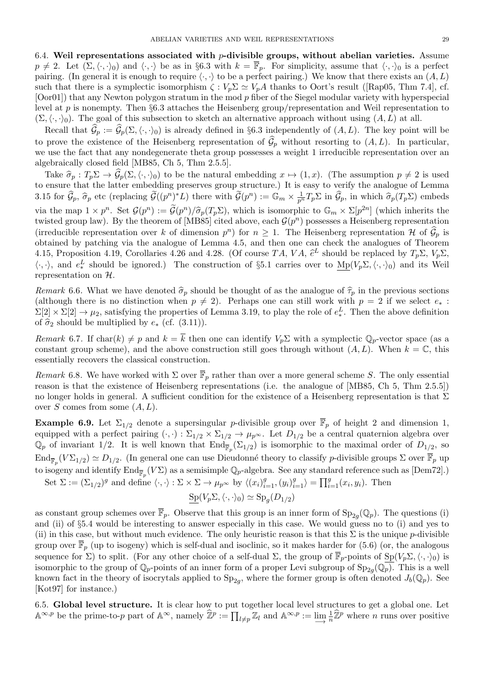6.4. **Weil representations associated with** *p***-divisible groups, without abelian varieties.** Assume  $p \neq 2$ . Let  $(\Sigma, \langle \cdot, \cdot \rangle_0)$  and  $\langle \cdot, \cdot \rangle$  be as in §6.3 with  $k = \overline{\mathbb{F}}_p$ . For simplicity, assume that  $\langle \cdot, \cdot \rangle_0$  is a perfect pairing. (In general it is enough to require  $\langle \cdot, \cdot \rangle$  to be a perfect pairing.) We know that there exists an  $(A, L)$ such that there is a symplectic isomorphism  $\zeta : V_p \Sigma \simeq V_p A$  thanks to Oort's result ([Rap05, Thm 7.4], cf. [Oor01]) that any Newton polygon stratum in the mod *p* fiber of the Siegel modular variety with hyperspecial level at *p* is nonempty. Then *§*6.3 attaches the Heisenberg group/representation and Weil representation to  $(\Sigma, \langle \cdot, \cdot \rangle_0)$ . The goal of this subsection to sketch an alternative approach without using  $(A, L)$  at all. ch that there is a symplectic isomorphism  $\zeta : V_p \Sigma \simeq V_p A$  thanks to Oort's result ([Rap05, Thm 7.4], cf. or01]) that any Newton polygon stratum in the mod p fiber of the Siegel modular variety with hyperspecial rel at p [Oor01]) that any Newton polygon stratum in the mod p noer of the sleger modular variety with hyperspecial<br>level at p is nonempty. Then §6.3 attaches the Heisenberg group/representation and Weil representation to<br> $(\Sigma, \langle \cdot$ 

we use the fact that any nondegenerate theta group possesses a weight 1 irreducible representation over an algebraically closed field [MB85, Ch 5, Thm 2.5.5]. Fracture that  $\mathcal{G}_p := \mathcal{G}_p(\Sigma, \langle \cdot, \cdot \rangle_0)$  is arready defined in 30.5 independently of  $(A, L)$ . The key point will be<br>prove the existence of the Heisenberg representation of  $\hat{\mathcal{G}}_p$  without resorting to  $(A, L)$ . In

to ensure that the latter embedding preserves group structure.) It is easy to verify the analogue of Lemma we use the ract that any nondegenerate theta group possesses a weight 1 irreducible representation over an algebraically closed field [MB85, Ch 5, Thm 2.5.5].<br>
Take  $\hat{\sigma}_p : T_p \Sigma \to \hat{\mathcal{G}}_p(\Sigma, \langle \cdot, \cdot \rangle_0)$  to be the natur *n*<sup>2</sup> *n*</sub> *n***<sup>2</sup>** *n***3** *n n*<sup>2</sup> *n***<sub>2</sub>** *n n*<sub>2</sub><sup></sup> *n***<sub>2</sub><sup></sup>** *n***<sub>2</sub><sup></sup> <b>***n***<sub>2</sub><sup></sup>** *n***<sub>2</sub><sup>***n***</sup>** *n***<sub>2</sub><sup>***n***</sup>** *n***<sub>2</sub><sup>***n***</sup>** *n***<sup>2</sup>***n***<sub>2</sub><sup>***n***</sup>** *n***<sup>2</sup>***n***<sub>2</sub><sup>***n***</sup>** *n***<sup>2</sup>***n***<sub>2</sub><sup>***n***</sup>** *n***<sup>2</sup>***n***<sub>2</sub><sup>***n***</sup>** *n***<sup>2</sup>***n***<sub>2</sub><sup>***n***</sup>** via the map  $1 \times p^n$ . Set  $\mathcal{G}(p^n) := \widetilde{\mathcal{G}}(p^n)/\widehat{\sigma}_p(T_p \Sigma)$ , which is isomorphic to  $\mathbb{G}_m \times \Sigma[p^{2n}]$  (which inherits the b<sub>0</sub>) to be the natural embedding  $x \mapsto (1, x)$ . (The ass<br>
dding preserves group structure.) It is easy to verify to<br>  $\widetilde{\mathcal{G}}((p^n)^*L)$  there with  $\widetilde{\mathcal{G}}(p^n) := \mathbb{G}_m \times \frac{1}{p^n} T_p \Sigma$  in  $\widehat{\mathcal{G}}_p$ , in  $\widetilde{\mathcal{G}}(p^n$ twisted group law). By the theorem of [MB85] cited above, each  $\mathcal{G}(p^n)$  possesses a Heisenberg representation (irreducible representation over  $k$  of dimension  $p^n$ obtained by patching via the analogue of Lemma 4.5, and then one can check the analogues of Theorem via the map  $1 \times p$ . Set  $\mathcal{G}(p) = \mathcal{G}(p) / \{(\mathcal{G}_p \cup \mathcal{G}_p)\}\$ , which is somorphic to  $\mathcal{G}_m \times \mathcal{L}[p]$  which inferris the twisted group law). By the theorem of [MB85] cited above, each  $\mathcal{G}(p^n)$  possesses a Heisenb  $\langle \cdot, \cdot \rangle$ , and  $e_*^L$  should be ignored.) The construction of §5.1 carries over to  $\underline{\mathrm{Mp}}(V_p \Sigma, \langle \cdot, \cdot \rangle_0)$  and its Weil representation on *H*.

(although there is no distinction when  $p \neq 2$ ). Perhaps one can still work with  $p = 2$  if we select  $e_*$ :  $\Sigma[2] \times \Sigma[2] \rightarrow \mu_2$ , satisfying the properties of Lemma 3.19, to play the role of  $e_*^L$ . Then the above definition *Remark* 6.6. What we have denoted  $\hat{\sigma}_p$  shou (although there is no distinction when  $p \neq \Sigma[2] \times \Sigma[2] \rightarrow \mu_2$ , satisfying the properties of  $\hat{\sigma}_2$  should be multiplied by  $e_*$  (cf. (3.11)).

*Remark* 6.7. If char $(k) \neq p$  and  $k = \overline{k}$  then one can identify  $V_p \Sigma$  with a symplectic  $\mathbb{Q}_p$ -vector space (as a constant group scheme), and the above construction still goes through without  $(A, L)$ . When  $k = \mathbb{C}$ , this essentially recovers the classical construction.

*Remark* 6.8. We have worked with  $\Sigma$  over  $\overline{\mathbb{F}}_p$  rather than over a more general scheme *S*. The only essential reason is that the existence of Heisenberg representations (i.e. the analogue of [MB85, Ch 5, Thm 2.5.5]) no longer holds in general. A sufficient condition for the existence of a Heisenberg representation is that  $\Sigma$ over *S* comes from some (*A, L*).

**Example 6.9.** Let  $\Sigma_{1/2}$  denote a supersingular *p*-divisible group over  $\overline{\mathbb{F}}_p$  of height 2 and dimension 1, equipped with a perfect pairing  $(\cdot, \cdot) : \Sigma_{1/2} \times \Sigma_{1/2} \to \mu_{p^{\infty}}$ . Let  $D_{1/2}$  be a central quaternion algebra over  $\mathbb{Q}_p$  of invariant 1/2. It is well known that  $\text{End}_{\overline{\mathbb{F}}_p}(\Sigma_{1/2})$  is isomorphic to the maximal order of  $D_{1/2}$ , so  $\text{End}_{\overline{\mathbb{F}}_p}(V\Sigma_{1/2}) \simeq D_{1/2}$ . (In general one can use Dieudonné theory to classify *p*-divisible groups  $\Sigma$  over  $\mathbb{F}_p$  up to isogeny and identify  $\text{End}_{\overline{\mathbb{F}}_p}(V\Sigma)$  as a semisimple  $\mathbb{Q}_p$ -algebra. See any standard reference such as  $[\text{Dem}72].$ 

Set  $\Sigma := (\Sigma_{1/2})^g$  and define  $\langle \cdot, \cdot \rangle : \Sigma \times \Sigma \to \mu_{p^{\infty}}$  by  $\langle (x_i)_{i=1}^g, (y_i)_{i=1}^g \rangle = \prod_{i=1}^g (x_i, y_i)$ . Then

$$
Sp(V_p\Sigma,\langle\cdot,\cdot\rangle_0)\simeq Sp_g(D_{1/2})
$$

as constant group schemes over  $\mathbb{F}_p$ . Observe that this group is an inner form of  $\text{Sp}_{2g}(\mathbb{Q}_p)$ . The questions (i) and (ii) of *§*5.4 would be interesting to answer especially in this case. We would guess no to (i) and yes to (ii) in this case, but without much evidence. The only heuristic reason is that this  $\Sigma$  is the unique *p*-divisible group over  $\overline{\mathbb{F}}_p$  (up to isogeny) which is self-dual and isoclinic, so it makes harder for (5.6) (or, the analogous sequence for  $\Sigma$ ) to split. (For any other choice of a self-dual  $\Sigma$ , the group of  $\overline{\mathbb{F}}_p$ -points of  $Sp(V_p \Sigma, \langle \cdot, \cdot \rangle_0)$  is isomorphic to the group of  $\mathbb{Q}_p$ -points of an inner form of a proper Levi subgroup of  $\text{Sp}_{2g}(\mathbb{Q}_p)$ . This is a well known fact in the theory of isocrytals applied to  $Sp_{2g}$ , where the former group is often denoted  $J_b(\mathbb{Q}_p)$ . See [Kot97] for instance.) Frake Isomorphic to the group of  $\mathbb{Q}_p$ -points of an inner form of a proper Levi subgrown fact in the theory of isocrytals applied to  $Sp_{2g}$ , where the former grou [Kot97] for instance.)<br>6.5. **Global level structure.** p is often denoted  $J_b(\mathbb{Q}_p)$ . See<br>
Luctures to get a global one. Let<br>  $\frac{1}{n}\hat{\mathbb{Z}}^p$  where *n* runs over positive

6.5. **Global level structure.** It is clear how to put together local level structures to get a global one. Let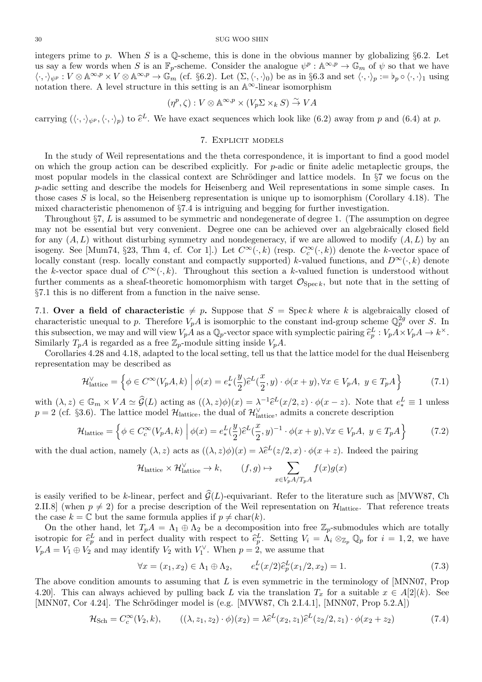integers prime to *p*. When *S* is a Q-scheme, this is done in the obvious manner by globalizing *§*6.2. Let us say a few words when *S* is an  $\mathbb{F}_p$ -scheme. Consider the analogue  $\psi^p : \mathbb{A}^{\infty,p} \to \mathbb{G}_m$  of  $\psi$  so that we have  $\langle \cdot, \cdot \rangle_{\psi^p}: V \otimes \mathbb{A}^{\infty, p} \times V \otimes \mathbb{A}^{\infty, p} \to \mathbb{G}_m^{\mathcal{F}}$  (cf. §6.2). Let  $(\Sigma, \langle \cdot, \cdot \rangle_0)$  be as in §6.3 and set  $\langle \cdot, \cdot \rangle_p := \flat_p \circ \langle \cdot, \cdot \rangle_1$  using notation there. A level structure in this setting is an  $\mathbb{A}^{\infty}$ -linear isomorphism carrying  $(\langle \cdot, \cdot \rangle_{\psi^p} : V \otimes \mathbb{A} \to \mathbb{A} \times V \otimes \mathbb{A} \to \mathbb{A} \to \mathbb{A} \text{ and } V$ . Let  $(\Sigma, \langle \cdot, \cdot \rangle_0)$  be as in 30.3 and set  $\langle \cdot, \cdot \rangle_p := \nu_p \circ \langle \cdot, \cdot \rangle_1$  using notation there. A level structure in this setting is an  $\mathbb$ 

$$
(\eta^p, \zeta) : V \otimes \mathbb{A}^{\infty, p} \times (V_p \Sigma \times_k S) \xrightarrow{\sim} VA
$$

## 7. Explicit models

In the study of Weil representations and the theta correspondence, it is important to find a good model on which the group action can be described explicitly. For *p*-adic or finite adelic metaplectic groups, the most popular models in the classical context are Schrödinger and lattice models. In §7 we focus on the *p*-adic setting and describe the models for Heisenberg and Weil representations in some simple cases. In those cases *S* is local, so the Heisenberg representation is unique up to isomorphism (Corollary 4.18). The mixed characteristic phenomenon of *§*7.4 is intriguing and begging for further investigation.

Throughout *§*7, *L* is assumed to be symmetric and nondegenerate of degree 1. (The assumption on degree may not be essential but very convenient. Degree one can be achieved over an algebraically closed field for any (*A, L*) without disturbing symmetry and nondegeneracy, if we are allowed to modify (*A, L*) by an isogeny. See [Mum74, §23, Thm 4, cf. Cor 1].) Let  $C^{\infty}(\cdot,k)$  (resp.  $C_c^{\infty}(\cdot,k)$ ) denote the *k*-vector space of locally constant (resp. locally constant and compactly supported) *k*-valued functions, and  $D^{\infty}(\cdot, k)$  denote the *k*-vector space dual of  $C^{\infty}(\cdot, k)$ . Throughout this section a *k*-valued function is understood without further comments as a sheaf-theoretic homomorphism with target  $\mathcal{O}_{\text{Spec } k}$ , but note that in the setting of *§*7.1 this is no different from a function in the naive sense.

7.1. **Over a field of characteristic**  $\neq p$ . Suppose that  $S = \text{Spec } k$  where k is algebraically closed of characteristic unequal to *p*. Therefore  $V_p A$  is isomorphic to the constant ind-group scheme  $\mathbb{Q}_p^{2g}$  over *S*. In 57.1 this is no different from a function in the naive sense.<br>
7.1. **Over a field of characteristic**  $\neq p$ . Suppose that  $S = \text{Spec } k$  where  $k$  is alger-<br>
characteristic unequal to  $p$ . Therefore  $V_pA$  is isomorphic to the *y* and will view  $V_pA$  as a  $\mathbb{Q}_p$ -vector space with symplectic pairing  $\hat{e}_p^L: V_pA \times V_pA \to k^{\times}$ . Similarly  $T_pA$  is regarded as a free  $\mathbb{Z}_p$ -module sitting inside  $V_pA$ .

Corollaries 4.28 and 4.18, adapted to the local setting, tell us that the lattice model for the dual Heisenberg representation may be described as ins<br>g,<br>)*ê* 

representation may be described as  
\n
$$
\mathcal{H}_{\text{lattice}}^{\vee} = \left\{ \phi \in C^{\infty}(V_p A, k) \; \middle| \; \phi(x) = e_*^L(\frac{y}{2})\hat{e}^L(\frac{x}{2}, y) \cdot \phi(x + y), \forall x \in V_p A, \; y \in T_p A \right\}
$$
\nwith  $(\lambda, z) \in \mathbb{G}_m \times VA \simeq \hat{\mathcal{G}}(L)$  acting as  $((\lambda, z)\phi)(x) = \lambda^{-1}\hat{e}^L(x/2, z) \cdot \phi(x - z)$ . Note that  $e_*^L \equiv 1$  unless

2)<br>:)<br>of<br>)*e*<sup>b</sup>

$$
p = 2
$$
 (cf. §3.6). The lattice model  $\mathcal{H}_{\text{lattice}}$ , the dual of  $\mathcal{H}_{\text{lattice}}^{\vee}$ , admits a concrete description  
\n
$$
\mathcal{H}_{\text{lattice}} = \left\{ \phi \in C_c^{\infty}(V_p A, k) \middle| \phi(x) = e_*^L(\frac{y}{2})\hat{e}^L(\frac{x}{2}, y)^{-1} \cdot \phi(x + y), \forall x \in V_p A, y \in T_p A \right\}
$$
\n
$$
\text{with the dual action, namely } (\lambda, z) \text{ acts as } ((\lambda, z)\phi)(x) = \lambda \hat{e}^L(z/2, x) \cdot \phi(x + z). \text{ Indeed the pairing}
$$
\n
$$
\text{where } \lambda \in \mathcal{H}_p \text{ and } \phi(x) = \lambda \hat{e}^L(z/2, x) \cdot \phi(x + z).
$$

with the dual action, namely  $(\lambda, z)$  acts as  $((\lambda, z)\phi)(x) = \lambda \hat{e}^{L}(z/2, x) \cdot \phi(x + z)$ . Indeed the pairing

$$
\mathcal{H}_{\text{lattice}} \times \mathcal{H}_{\text{lattice}}^{\vee} \to k, \qquad (f, g) \mapsto \sum_{x \in V_p A / T_p A} f(x) g(x)
$$

is easily verified to be *k*-linear, perfect and  $\hat{G}(L)$ -equivariant. Refer to the literature such as [MVW87, Ch 2.II.8] (when  $p \neq 2$ ) for a precise description of the Weil representation on  $\mathcal{H}_{\text{lattice}}$ . That reference treats the case  $k = \mathbb{C}$  but the same formula applies if  $p \neq \text{char}(k)$ . is easily vertined to be *k*-infear, perfect and  $\mathcal{G}(L)$ -equivariant. Keter to the interature such as  $|M| \nabla W \delta t$ , Cn 2.II.8] (when  $p \neq 2$ ) for a precise description of the Weil representation on  $\mathcal{H}_{\text{lattice}}$ . Tha

On the other hand, let  $T_pA = \Lambda_1 \oplus \Lambda_2$  be a decomposition into free  $\mathbb{Z}_p$ -submodules which are totally  $V_pA = V_1 \oplus V_2$  and may identify  $V_2$  with  $V_1^{\vee}$ . When  $p = 2$ , we assume that sition i<br>  $\therefore$  Sett<br>  $\therefore$  we as<br>  $(x/2)\hat{e}$ 

$$
\forall x = (x_1, x_2) \in \Lambda_1 \oplus \Lambda_2, \qquad e_*^L(x/2)\hat{e}_p^L(x_1/2, x_2) = 1.
$$
 (7.3)

The above condition amounts to assuming that *L* is even symmetric in the terminology of [MNN07, Prop 4.20]. This can always achieved by pulling back *L* via the translation  $T_x$  for a suitable  $x \in A[2](k)$ . See [MNN07, Cor 4.24]. The Schrödinger model is (e.g. [MVW87, Ch 2.I.4.1], [MNN07, Prop  $5.2.A$ ]) unts to assuming that *L* is even symmetric is chieved by pulling back *L* via the translation Schrödinger model is (e.g. [MVW87, Ch 2.I.4  $(V_2, k)$ ,  $((\lambda, z_1, z_2) \cdot \phi)(x_2) = \lambda \hat{e}^L(x_2, z_1)\hat{e}$ 

$$
\mathcal{H}_{\text{Sch}} = C_c^{\infty}(V_2, k), \qquad ((\lambda, z_1, z_2) \cdot \phi)(x_2) = \lambda \hat{e}^L(x_2, z_1) \hat{e}^L(z_2/2, z_1) \cdot \phi(x_2 + z_2)
$$
\n(7.4)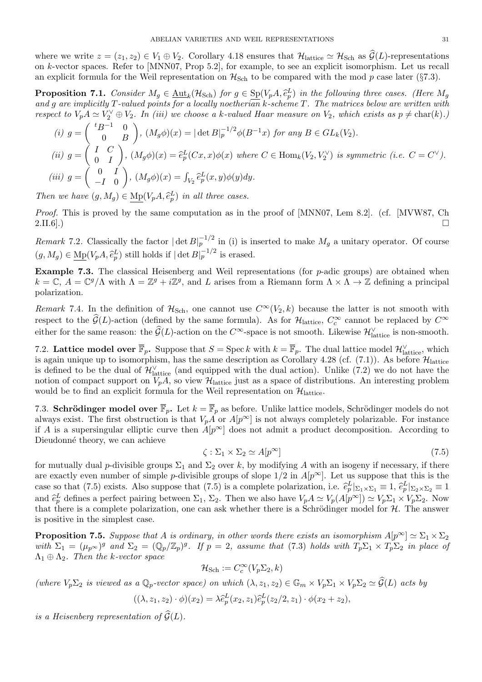where we write  $z = (z_1, z_2) \in V_1 \oplus V_2$ . Corollary 4.18 ensures that  $\mathcal{H}_{\text{lattice}} \simeq \mathcal{H}_{\text{Sch}}$  as  $\mathcal{G}(L)$ -representations on *k*-vector spaces. Refer to [MNN07, Prop 5.2], for example, to see an explicit isomorphism. Let us recall an explicit formula for the Weil representation on  $H_{Sch}$  to be compared with the mod  $p$  case later ( $\S 7.3$ ). where we write  $z = (z_1, z_2) \in V_1 \oplus V_2$ . Corollary 4.18 ensures that  $\mathcal{H}_{\text{lattice}} \simeq \mathcal{H}_{\text{Sch}}$  as  $\widehat{\mathcal{G}}(L)$ -representations<br>on k-vector spaces. Refer to [MNN07, Prop 5.2], for example, to see an explicit isomorphi

*and g are implicitly T-valued points for a locally noetherian k-scheme T. The matrices below are written with* ()

respect to 
$$
V_p A \simeq V_2^{\vee} \oplus V_2
$$
. In (iii) we choose a k-valued Haar measure on  $V_2$ , which exists as  $p \neq \text{char}(k)$ .)  
\n(i)  $g = \begin{pmatrix} {}^t B^{-1} & 0 \\ 0 & B \end{pmatrix}$ ,  $(M_g \phi)(x) = |\det B|_p^{-1/2} \phi(B^{-1}x)$  for any  $B \in GL_k(V_2)$ .  
\n(ii)  $g = \begin{pmatrix} I & C \\ 0 & I \end{pmatrix}$ ,  $(M_g \phi)(x) = \hat{e}_p^L(Cx, x)\phi(x)$  where  $C \in \text{Hom}_k(V_2, V_2^{\vee})$  is symmetric (i.e.  $C = C^{\vee}$ ).  
\n(iii)  $g = \begin{pmatrix} 0 & I \\ -I & 0 \end{pmatrix}$ ,  $(M_g \phi)(x) = \int_{V_2} \hat{e}_p^L(x, y)\phi(y)dy$ .  
\nThen we have  $(g, M_g) \in M_p(V_p A, \hat{e}_p^L)$  in all three cases.

*Proof.* This is proved by the same computation as in the proof of [MNN07, Lem 8.2]. (cf. [MVW87, Ch  $2.\text{II.6]}$ .)

*Remark* 7.2. Classically the factor  $|\det B|_p^{-1/2}$  in (i) is inserted to make  $M_g$  a unitary operator. Of course (*g, M<sub>g</sub>*)  $\in$  M<sub>p</sub>(*V<sub>p</sub>A,*  $\hat{e}_p^L$ ) still holds if  $|\det B|_p^{-1/2}$  in (i) is ir  $(g, M_g) \in$  Mp(*V<sub>p</sub>A,*  $\hat{e}_p^L$ ) still holds if  $|\det B|_p^{-1/2}$  is erased.

**Example 7.3.** The classical Heisenberg and Weil representations (for *p*-adic groups) are obtained when  $k = \mathbb{C}, A = \mathbb{C}^g/\Lambda$  with  $\Lambda = \mathbb{Z}^g + i\mathbb{Z}^g$ , and *L* arises from a Riemann form  $\Lambda \times \Lambda \to \mathbb{Z}$  defining a principal polarization.  $k = \mathbb{C}$ ,  $A = \mathbb{C}^g/\Lambda$  with  $\Lambda = \mathbb{Z}^g + i\mathbb{Z}^g$ , and *L* arises from a Riemann form  $\Lambda \times \Lambda \to \mathbb{Z}$  defining a principal polarization.<br> *Remark* 7.4. In the definition of  $\mathcal{H}_{Sch}$ , one cannot use  $C^{\infty}(V_2, k)$ 

*Remark* 7.4. In the definition of  $H_{\text{Sch}}$ , one cannot use  $C^{\infty}(V_2, k)$  because the latter is not smooth with polarization.<br>*Remark* 7.4. In the definition of  $\mathcal{H}_{Sch}$ , one cannot use  $C^{\infty}(V_2, k)$  because the latter is not smooth with respect to the  $\hat{\mathcal{G}}(L)$ -action (defined by the same formula). As for  $\mathcal{H}_{\text{lattice}}$ ,  $C_c$ 

7.2. **Lattice model over**  $\overline{\mathbb{F}}_p$ . Suppose that  $S = \text{Spec } k$  with  $k = \overline{\mathbb{F}}_p$ . The dual lattice model  $\mathcal{H}_{\text{lattice}}^{\vee}$ , which is again unique up to isomorphism, has the same description as Corollary 4.28 (cf.  $(7.1)$ ). As before  $\mathcal{H}_{\text{lattice}}$ is defined to be the dual of  $\mathcal{H}_{\text{lattice}}^{\vee}$  (and equipped with the dual action). Unlike (7.2) we do not have the notion of compact support on  $V_pA$ , so view  $\mathcal{H}_{\text{lattice}}$  just as a space of distributions. An interesting problem would be to find an explicit formula for the Weil representation on  $\mathcal{H}_{\text{lattice}}$ .

7.3. **Schrödinger model over**  $\overline{\mathbb{F}}_p$ . Let  $k = \overline{\mathbb{F}}_p$  as before. Unlike lattice models, Schrödinger models do not always exist. The first obstruction is that  $V_pA$  or  $A[p^{\infty}]$  is not always completely polarizable. For instance if *A* is a supersingular elliptic curve then  $A[p^{\infty}]$  does not admit a product decomposition. According to Dieudonné theory, we can achieve

$$
\zeta : \Sigma_1 \times \Sigma_2 \simeq A[p^{\infty}] \tag{7.5}
$$

for mutually dual *p*-divisible groups  $\Sigma_1$  and  $\Sigma_2$  over *k*, by modifying *A* with an isogeny if necessary, if there are exactly even number of simple *p*-divisible groups of slope  $1/2$  in  $A[p^{\infty}]$ . Let us suppose that this is the for mutually dual *p*-divisible groups  $\Sigma_1$  and  $\Sigma_2$  over *k*, by modifying *A* with an isogeny if necessary, if there are exactly even number of simple *p*-divisible groups of slope 1/2 in *A*[*p*<sup>∞</sup>]. Let us suppose for mutually dual *p*-divisible groups  $\Sigma_1$  and  $\Sigma_2$  over *k*, by modifying *A* with an isogeny if necessary, if there are exactly even number of simple *p*-divisible groups of slope  $1/2$  in  $A[p^{\infty}]$ . Let us suppose that there is a complete polarization, one can ask whether there is a Schrödinger model for  $H$ . The answer is positive in the simplest case.

**Proposition 7.5.** *Suppose that A is ordinary, in other words there exists an isomorphism*  $A[p^{\infty}] \simeq \Sigma_1 \times \Sigma_2$ with  $\Sigma_1 = (\mu_p \otimes)^g$  and  $\Sigma_2 = (\mathbb{Q}_p/\mathbb{Z}_p)^g$ . If  $p = 2$ , assume that (7.3) holds with  $T_p \Sigma_1 \times T_p \Sigma_2$  in place of  $\Lambda_1 \oplus \Lambda_2$ . Then the *k*-vector space with  $\Sigma_1 = (\mu_{p^{\infty}})^g$  and  $\Sigma_2 = (\mathbb{Q}_p/\mathbb{Z}_p)^g$ . If  $p = 2$ , assume that (7.3) holds with  $T_p \Sigma_1 \times T_p \Sigma_2$  in pl<br>  $\Lambda_1 \oplus \Lambda_2$ . Then the k-vector space<br>  $\mathcal{H}_{Sch} := C_c^{\infty}(V_p \Sigma_2, k)$ <br>
(where  $V_p \Sigma_2$  is viewed as a  $\mathbb$ 

$$
\mathcal{H}_{\mathrm{Sch}}:=C_c^\infty(V_p\Sigma_2,k)
$$

(where  $V_p \Sigma_2$  is viewed as a  $\mathbb{Q}_p$ -vector s<br>  $((\lambda, z_1, z_2) \cdot \phi)$ <br> *is a Heisenberg representation of*  $\widehat{G}(L)$ *.* 

$$
\mathcal{H}_{\text{Sch}} := C_c^{\infty}(V_p \Sigma_2, k)
$$
  
\n
$$
a \mathbb{Q}_p\text{-vector space) on which } (\lambda, z_1, z_2) \in \mathbb{G}_m \times V_p \Sigma_1 \times V_p
$$
  
\n
$$
((\lambda, z_1, z_2) \cdot \phi)(x_2) = \lambda \widehat{e}_p^L(x_2, z_1) \widehat{e}_p^L(z_2/2, z_1) \cdot \phi(x_2 + z_2),
$$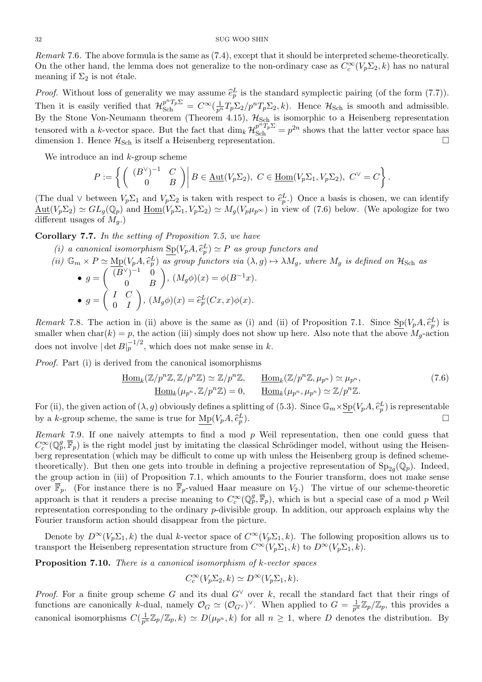*Remark* 7.6*.* The above formula is the same as (7.4), except that it should be interpreted scheme-theoretically. On the other hand, the lemma does not generalize to the non-ordinary case as  $C_c^{\infty}(V_p \Sigma_2, k)$  has no natural meaning if  $\Sigma_2$  is not étale. *Remark* 7.6. The above formula is the same as (7.4), except that it should be interpreted scheme-theoretically.<br>
On the other hand, the lemma does not generalize to the non-ordinary case as  $C_c^{\infty}(V_p \Sigma_2, k)$  has no natu

Then it is easily verified that  $\mathcal{H}_{Sch}^{p^n T_p \Sigma} = C^{\infty}(\frac{1}{p^n}T_p \Sigma_2/p^n T_p \Sigma_2, k)$ . Hence  $\mathcal{H}_{Sch}$  is smooth and admissible. By the Stone Von-Neumann theorem (Theorem 4.15),  $\mathcal{H}_{Sch}$  is isomorphic to a Heisenberg representation tensored with a *k*-vector space. But the fact that  $\dim_k \mathcal{H}_{\text{Sch}}^{p^n T_p \Sigma} = p^{2n}$  shows that the latter vector space has dimension 1. Hence  $\mathcal{H}_{Sch}$  is itself a Heisenberg representation. *k*-vector space. But the<br>
ence  $\mathcal{H}_{\text{Sch}}$  is itself a Heis<br> *P* :=  $\left\{ \begin{pmatrix} (B^{\vee})^{-1} & C \\ 0 & B \end{pmatrix} \right|$  $\frac{1}{2}$ 

We introduce an ind *k*-group scheme

We introduce an ind k-group scheme  
\n
$$
P := \left\{ \begin{pmatrix} (B^{\vee})^{-1} & C \\ 0 & B \end{pmatrix} \middle| B \in \underline{\text{Aut}}(V_p \Sigma_2), \ C \in \underline{\text{Hom}}(V_p \Sigma_1, V_p \Sigma_2), \ C^{\vee} = C \right\}.
$$
\n(The dual  $\vee$  between  $V_p \Sigma_1$  and  $V_p \Sigma_2$  is taken with respect to  $\hat{e}_p^L$ .) Once a basis is chosen, we can identify

 $\underline{\mathrm{Aut}}(V_p \Sigma_2) \simeq GL_q(\mathbb{Q}_p)$  and  $\underline{\mathrm{Hom}}(V_p \Sigma_1, V_p \Sigma_2) \simeq M_q(V_p \mu_{p^{\infty}})$  in view of (7.6) below. (We apologize for two different usages of  $M_g$ .)  $V_p \Sigma_2$ )  $\simeq GL_g(\mathbb{Q}_p)$  and  $\underline{\text{Hom}}(V_p \Sigma_1, V_p \Sigma_2) \simeq M_g(V_p \mu_{p^{\infty}})$  in view of ('<br>
ent usages of  $M_g$ .)<br> **pllary 7.7.** In the setting of Proposition 7.5, we have<br>
(i) a canonical isomorphism  $\text{Sp}(V_p A, \hat{e}_p^L) \simeq P$ 

**Corollary 7.7.** *In the setting of Proposition 7.5, we have*

- 
- **ollary 7.7.** In the setting of Proposition 7.5, we have<br>
(i) a canonical isomorphism  $\text{Sp}(V_p A, \hat{e}_p^L) \simeq P$  as group functors and<br>
(ii)  $\mathbb{G}_m \times P \simeq \text{Mp}(V_p A, \hat{e}_p^L)$  as group functors via  $(\lambda, g) \mapsto \lambda M_g$ , where  $M$ •  $g = \begin{pmatrix} (B^{\vee})^{-1} & 0 \\ 0 & B \end{pmatrix}$ 0 *B ,*  $(M_g \phi)(x) = \phi(B^{-1}x)$ . •  $g = \begin{pmatrix} I & C \\ 0 & I \end{pmatrix}$ 0 *I*  $, \hat{e}_p^L$ ) as group functors via ( $\lambda$ <br> *B B (M<sub>g</sub>* $\phi$ *)(x)* =  $\phi(B^{-1}x)$ <br> *,*  $(M_g\phi)(x) = \hat{e}_p^L(Cx, x)\phi(x)$ . **e**  $g = \begin{pmatrix} 0 & B \end{pmatrix}$ ,  $(M_g \phi)(x) = \hat{e}_p^L(Cx, x)\phi(x)$ .<br> **Remark** 7.8. The action in (ii) above is the same as (i) and (ii) of Proposition 7.1. Since  $Sp(V_pA, \hat{e}_p^L(Cx, x))$

 $_p^L$ ) is smaller when  $char(k) = p$ , the action (iii) simply does not show up here. Also note that the above  $M<sub>g</sub>$ -action does not involve  $|\det B|_p^{-1/2}$ , which does not make sense in *k*.

*Proof.* Part (i) is derived from the canonical isomorphisms

$$
\underline{\text{Hom}}_k(\mathbb{Z}/p^n\mathbb{Z}, \mathbb{Z}/p^n\mathbb{Z}) \simeq \mathbb{Z}/p^n\mathbb{Z}, \qquad \underline{\text{Hom}}_k(\mathbb{Z}/p^n\mathbb{Z}, \mu_{p^n}) \simeq \mu_{p^n},
$$
\n
$$
\underline{\text{Hom}}_k(\mathbb{Z}/p^n\mathbb{Z}, \mathbb{Z}/p^n\mathbb{Z}) \simeq 0, \qquad \underline{\text{Hom}}_k(\mu_{p^n}, \mu_{p^n}) \simeq \mathbb{Z}/p^n\mathbb{Z}.
$$
\n
$$
\text{For (ii), the given action of } (\lambda, g) \text{ obviously defines a splitting of (5.3). Since } \mathbb{G}_m \times \underline{\text{Sp}}(V_p A, \hat{e}_p^L) \text{ is representable}
$$

 $\underline{\text{Hom}}_k(\mathbb{Z}/p^n\mathbb{Z}, \mathbb{Z}/p^n\mathbb{Z}) \simeq \mathbb{Z}/p^n\mathbb{Z}$ <br>
For (ii), the given action of  $(\lambda, g)$  obviously defines a sp<br>
by a *k*-group scheme, the same is true for  $\text{Mp}(V_pA, \hat{e})$ *L p* ).  $\qquad \qquad \Box$ 

*Remark* 7.9*.* If one naively attempts to find a mod *p* Weil representation, then one could guess that  $C_c^{\infty}(\mathbb{Q}_p^g,\overline{\mathbb{F}}_p)$  is the right model just by imitating the classical Schrödinger model, without using the Heisenberg representation (which may be difficult to come up with unless the Heisenberg group is defined schemetheoretically). But then one gets into trouble in defining a projective representation of  $Sp_{2g}(\mathbb{Q}_p)$ . Indeed, the group action in (iii) of Proposition 7.1, which amounts to the Fourier transform, does not make sense over  $\overline{\mathbb{F}}_p$ . (For instance there is no  $\overline{\mathbb{F}}_p$ -valued Haar measure on  $V_2$ .) The virtue of our scheme-theoretic approach is that it renders a precise meaning to  $C_c^{\infty}(\mathbb{Q}_p^g, \overline{\mathbb{F}}_p)$ , which is but a special case of a mod *p* Weil representation corresponding to the ordinary *p*-divisible group. In addition, our approach explains why the Fourier transform action should disappear from the picture.

Denote by  $D^{\infty}(V_p \Sigma_1, k)$  the dual *k*-vector space of  $C^{\infty}(V_p \Sigma_1, k)$ . The following proposition allows us to transport the Heisenberg representation structure from  $C^{\infty}(V_p \Sigma_1, k)$  to  $D^{\infty}(V_p \Sigma_1, k)$ .

**Proposition 7.10.** *There is a canonical isomorphism of k-vector spaces*

$$
C_c^{\infty}(V_p \Sigma_2, k) \simeq D^{\infty}(V_p \Sigma_1, k).
$$

*Proof.* For a finite group scheme *G* and its dual *G*<sup>*∨*</sup> over *k*, recall the standard fact that their rings of functions are canonically *k*-dual, namely  $\mathcal{O}_G \simeq (\mathcal{O}_{G} \vee)^{\vee}$ . When applied to  $G = \frac{1}{p^n} \mathbb{Z}_p / \mathbb{Z}_p$ , this provides a canonical isomorphisms  $C(\frac{1}{p^n}\mathbb{Z}_p/\mathbb{Z}_p, k) \simeq D(\mu_{p^n}, k)$  for all  $n \geq 1$ , where *D* denotes the distribution. By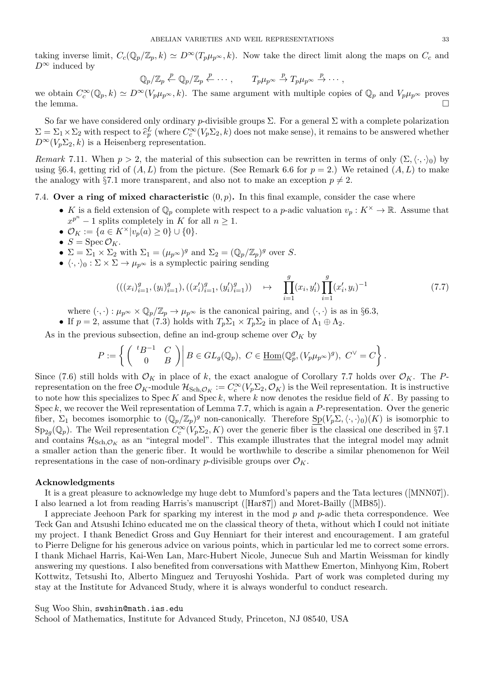taking inverse limit,  $C_c(\mathbb{Q}_p/\mathbb{Z}_p, k) \simeq D^\infty(T_p\mu_{p^\infty}, k)$ . Now take the direct limit along the maps on  $C_c$  and  $D^\infty$  induced by

$$
\mathbb{Q}_p/\mathbb{Z}_p \stackrel{p}{\leftarrow} \mathbb{Q}_p/\mathbb{Z}_p \stackrel{p}{\leftarrow} \cdots, \qquad T_p\mu_{p^{\infty}} \stackrel{p}{\rightarrow} T_p\mu_{p^{\infty}} \stackrel{p}{\rightarrow} \cdots,
$$

we obtain  $C_c^{\infty}(\mathbb{Q}_p, k) \simeq D^{\infty}(V_p \mu_{p^{\infty}}, k)$ . The same argument with multiple copies of  $\mathbb{Q}_p$  and  $V_p \mu_{p^{\infty}}$  proves the lemma.  $\square$ 

So far we have considered only ordinary *p*-divisible groups  $\Sigma$ . For a general  $\Sigma$  with a complete polarization we obtain  $C_c^{\infty}(\mathbb{Q}_p, k) \simeq D^{\infty}(V_p \mu_{p^{\infty}}, k)$ . The same argument with multiple copies of  $\mathbb{Q}_p$  and  $V_p \mu_{p^{\infty}}$  proves<br>the lemma.<br>So far we have considered only ordinary *p*-divisible groups  $\Sigma$ . For a genera  $D^{\infty}(V_p \Sigma_2, k)$  is a Heisenberg representation.

*Remark* 7.11. When  $p > 2$ , the material of this subsection can be rewritten in terms of only  $(\Sigma, \langle \cdot, \cdot \rangle_0)$  by using  $\S6.4$ , getting rid of  $(A, L)$  from the picture. (See Remark 6.6 for  $p = 2$ .) We retained  $(A, L)$  to make the analogy with §7.1 more transparent, and also not to make an exception  $p \neq 2$ .

# 7.4. **Over a ring of mixed characteristic**  $(0, p)$ . In this final example, consider the case where

- *K* is a field extension of  $\mathbb{Q}_p$  complete with respect to a *p*-adic valuation  $v_p: K^\times \to \mathbb{R}$ . Assume that  $x^{p^n} - 1$  splits completely in *K* for all  $n \geq 1$ .
- *•*  $\mathcal{O}_K := \{a \in K^\times | v_p(a) \geq 0\} \cup \{0\}.$
- $S = \text{Spec } \mathcal{O}_K$ .
- $\Sigma = \Sigma_1 \times \Sigma_2$  with  $\Sigma_1 = (\mu_p \infty)^g$  and  $\Sigma_2 = (\mathbb{Q}_p / \mathbb{Z}_p)^g$  over *S*.
- **•**  $\langle \cdot, \cdot \rangle_0 : \Sigma \times \Sigma \to \mu_p \infty$  is a symplectic pairing sending

$$
(((x_i)_{i=1}^g, (y_i)_{i=1}^g), ((x_i')_{i=1}^g, (y_i')_{i=1}^g)) \quad \mapsto \quad \prod_{i=1}^g (x_i, y_i') \prod_{i=1}^g (x_i', y_i)^{-1} \tag{7.7}
$$

where  $(\cdot, \cdot) : \mu_{p^{\infty}} \times \mathbb{Q}_p/\mathbb{Z}_p \to \mu_{p^{\infty}}$  is the canonical pairing, and  $\langle \cdot, \cdot \rangle$  is as in §6.3,

• If  $p = 2$ , assume that (7.3) holds with  $T_p \Sigma_1 \times T_p \Sigma_2$  in place of  $\Lambda_1 \oplus \Lambda_2$ .

As in the previous subsection, define an ind-group scheme over  $\mathcal{O}_K$  by

$$
\begin{aligned}\n\langle \cdot, \cdot \rangle : \mu_{p^{\infty}} \times \mathbb{Q}_p/\mathbb{Z}_p \to \mu_{p^{\infty}} \text{ is the canonical pairing, and } \langle \cdot, \cdot \rangle \text{ is as in §6.3,}\\
\text{assume that (7.3) holds with } T_p \Sigma_1 \times T_p \Sigma_2 \text{ in place of } \Lambda_1 \oplus \Lambda_2.\n\end{aligned}
$$
\n
$$
P := \left\{ \begin{pmatrix} {}^t B^{-1} & C \\ 0 & B \end{pmatrix} \middle| B \in GL_g(\mathbb{Q}_p), \ C \in \underline{\text{Hom}}(\mathbb{Q}_p^g, (V_p \mu_{p^{\infty}})^g), \ C^{\vee} = C \end{pmatrix}.
$$

Since (7.6) still holds with  $\mathcal{O}_K$  in place of *k*, the exact analogue of Corollary 7.7 holds over  $\mathcal{O}_K$ . The *P*representation on the free  $\mathcal{O}_K$ -module  $\mathcal{H}_{Sch, \mathcal{O}_K} := C_c^{\infty}(V_p \Sigma_2, \mathcal{O}_K)$  is the Weil representation. It is instructive to note how this specializes to Spec *K* and Spec *k*, where *k* now denotes the residue field of *K*. By passing to Spec *k*, we recover the Weil representation of Lemma 7.7, which is again a *P*-representation. Over the generic fiber,  $\Sigma_1$  becomes isomorphic to  $(\mathbb{Q}_p/\mathbb{Z}_p)^g$  non-canonically. Therefore  $\underline{\mathrm{Sp}}(V_p\Sigma,\langle\cdot,\cdot\rangle_0)(K)$  is isomorphic to  $\text{Sp}_{2g}(\mathbb{Q}_p)$ . The Weil representation  $C_c^{\infty}(V_p \Sigma_2, K)$  over the generic fiber is the classical one described in §7.1 and contains  $\mathcal{H}_{Sch, \mathcal{O}_K}$  as an "integral model". This example illustrates that the integral model may admit a smaller action than the generic fiber. It would be worthwhile to describe a similar phenomenon for Weil representations in the case of non-ordinary *p*-divisible groups over  $\mathcal{O}_K$ .

# **Acknowledgments**

It is a great pleasure to acknowledge my huge debt to Mumford's papers and the Tata lectures ([MNN07]). I also learned a lot from reading Harris's manuscript ([Har87]) and Moret-Bailly ([MB85]).

I appreciate Jeehoon Park for sparking my interest in the mod *p* and *p*-adic theta correspondence. Wee Teck Gan and Atsushi Ichino educated me on the classical theory of theta, without which I could not initiate my project. I thank Benedict Gross and Guy Henniart for their interest and encouragement. I am grateful to Pierre Deligne for his generous advice on various points, which in particular led me to correct some errors. I thank Michael Harris, Kai-Wen Lan, Marc-Hubert Nicole, Junecue Suh and Martin Weissman for kindly answering my questions. I also benefited from conversations with Matthew Emerton, Minhyong Kim, Robert Kottwitz, Tetsushi Ito, Alberto Minguez and Teruyoshi Yoshida. Part of work was completed during my stay at the Institute for Advanced Study, where it is always wonderful to conduct research.

## Sug Woo Shin, swshin@math.ias.edu

School of Mathematics, Institute for Advanced Study, Princeton, NJ 08540, USA